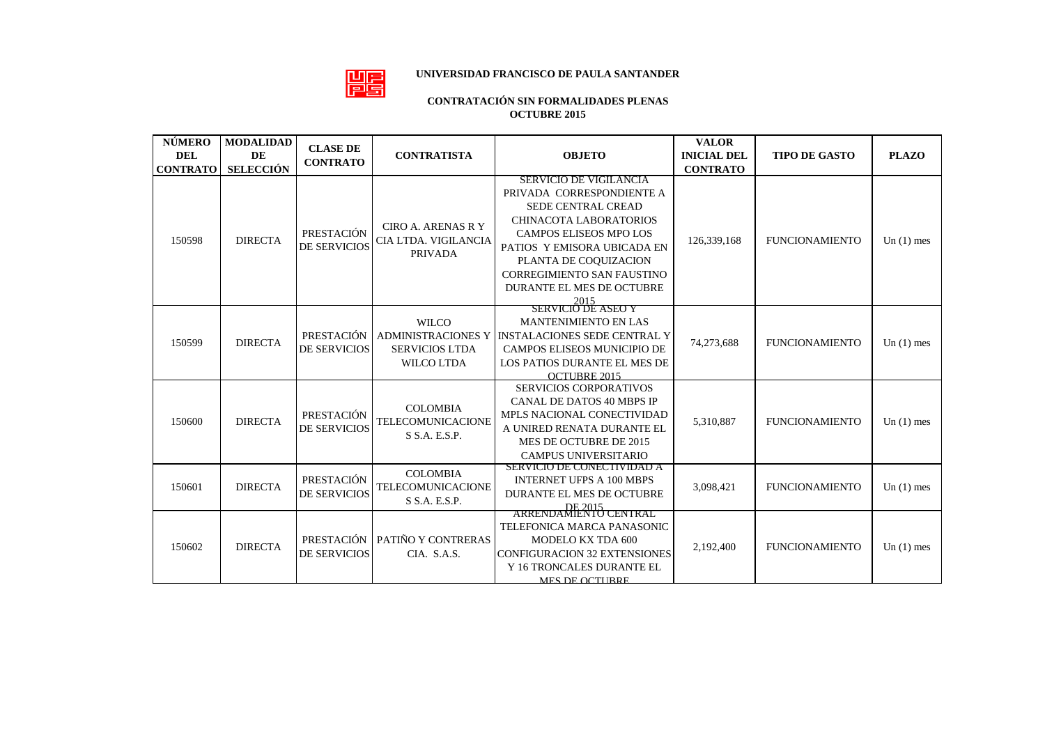## 體

## **UNIVERSIDAD FRANCISCO DE PAULA SANTANDER**

## **CONTRATACIÓN SIN FORMALIDADES PLENAS OCTUBRE 2015**

| <b>NÚMERO</b><br><b>DEL</b> | <b>MODALIDAD</b><br><b>DE</b> | <b>CLASE DE</b><br><b>CONTRATO</b> | <b>CONTRATISTA</b>                                                                      | <b>OBJETO</b>                                                                                                                                                                                                                                                                                       | <b>VALOR</b><br><b>INICIAL DEL</b> | <b>TIPO DE GASTO</b>  | <b>PLAZO</b> |
|-----------------------------|-------------------------------|------------------------------------|-----------------------------------------------------------------------------------------|-----------------------------------------------------------------------------------------------------------------------------------------------------------------------------------------------------------------------------------------------------------------------------------------------------|------------------------------------|-----------------------|--------------|
| <b>CONTRATO</b>             | <b>SELECCIÓN</b>              |                                    |                                                                                         |                                                                                                                                                                                                                                                                                                     | <b>CONTRATO</b>                    |                       |              |
| 150598                      | <b>DIRECTA</b>                | PRESTACIÓN<br>DE SERVICIOS         | <b>CIRO A. ARENAS R Y</b><br>CIA LTDA. VIGILANCIA<br><b>PRIVADA</b>                     | SERVICIO DE VIGILANCIA<br>PRIVADA CORRESPONDIENTE A<br>SEDE CENTRAL CREAD<br><b>CHINACOTA LABORATORIOS</b><br><b>CAMPOS ELISEOS MPO LOS</b><br>PATIOS Y EMISORA UBICADA EN<br>PLANTA DE COQUIZACION<br><b>CORREGIMIENTO SAN FAUSTINO</b><br>DURANTE EL MES DE OCTUBRE<br>2015<br>SERVICIO DE ASEO Y | 126,339,168                        | <b>FUNCIONAMIENTO</b> | Un $(1)$ mes |
| 150599                      | <b>DIRECTA</b>                | PRESTACIÓN<br><b>DE SERVICIOS</b>  | <b>WILCO</b><br><b>ADMINISTRACIONES Y</b><br><b>SERVICIOS LTDA</b><br><b>WILCO LTDA</b> | <b>MANTENIMIENTO EN LAS</b><br><b>INSTALACIONES SEDE CENTRAL Y</b><br>CAMPOS ELISEOS MUNICIPIO DE<br>LOS PATIOS DURANTE EL MES DE<br>OCTUBRE 2015                                                                                                                                                   | 74,273,688                         | <b>FUNCIONAMIENTO</b> | Un $(1)$ mes |
| 150600                      | <b>DIRECTA</b>                | PRESTACIÓN<br><b>DE SERVICIOS</b>  | <b>COLOMBIA</b><br>TELECOMUNICACIONE<br>S S.A. E.S.P.                                   | <b>SERVICIOS CORPORATIVOS</b><br><b>CANAL DE DATOS 40 MBPS IP</b><br>MPLS NACIONAL CONECTIVIDAD<br>A UNIRED RENATA DURANTE EL<br>MES DE OCTUBRE DE 2015<br><b>CAMPUS UNIVERSITARIO</b>                                                                                                              | 5,310,887                          | <b>FUNCIONAMIENTO</b> | Un $(1)$ mes |
| 150601                      | <b>DIRECTA</b>                | PRESTACIÓN<br>DE SERVICIOS         | <b>COLOMBIA</b><br><b>TELECOMUNICACIONE</b><br>S S.A. E.S.P.                            | SERVICIO DE CONECTIVIDAD A<br><b>INTERNET UFPS A 100 MBPS</b><br>DURANTE EL MES DE OCTUBRE<br>DE 2015<br>ARRENDAMIENTO CENTRAL                                                                                                                                                                      | 3,098,421                          | <b>FUNCIONAMIENTO</b> | Un $(1)$ mes |
| 150602                      | <b>DIRECTA</b>                | <b>DE SERVICIOS</b>                | PRESTACIÓN   PATIÑO Y CONTRERAS<br>CIA. S.A.S.                                          | TELEFONICA MARCA PANASONIC<br>MODELO KX TDA 600<br><b>CONFIGURACION 32 EXTENSIONES</b><br>Y 16 TRONCALES DURANTE EL<br><b>MES DE OCTURRE</b>                                                                                                                                                        | 2,192,400                          | <b>FUNCIONAMIENTO</b> | Un $(1)$ mes |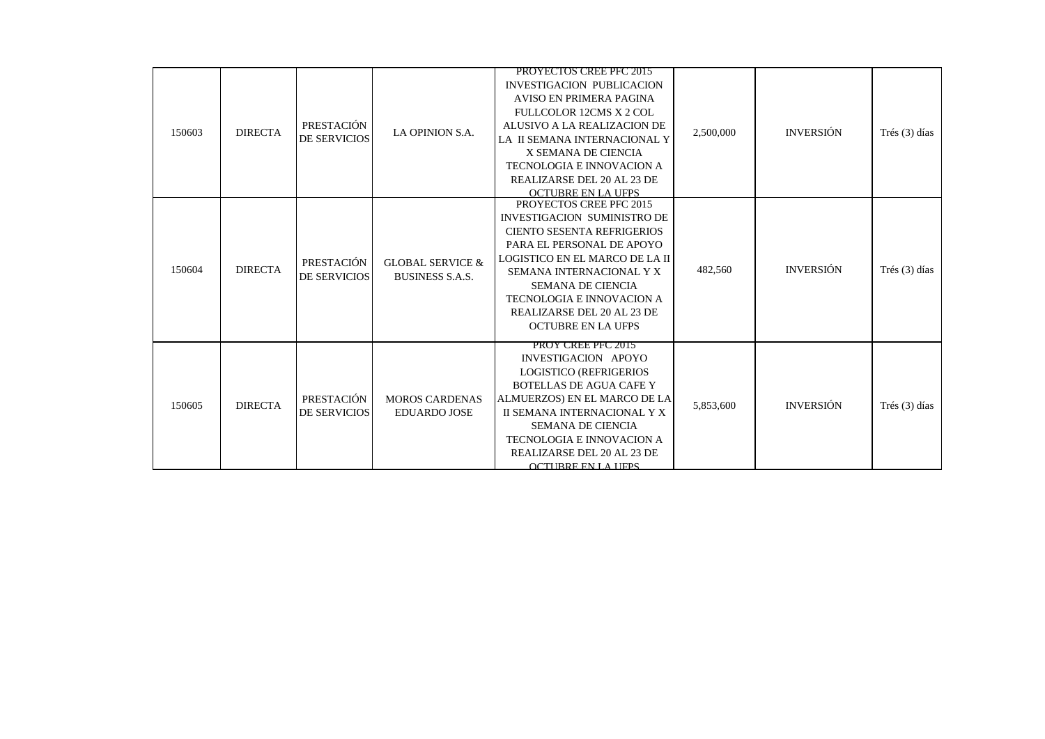| 150603 | <b>DIRECTA</b> | PRESTACIÓN<br><b>DE SERVICIOS</b> | LA OPINION S.A.                                       | <b>PROYECTOS CREE PFC 2015</b><br><b>INVESTIGACION PUBLICACION</b><br><b>AVISO EN PRIMERA PAGINA</b><br>FULLCOLOR 12CMS X 2 COL<br>ALUSIVO A LA REALIZACION DE<br>LA II SEMANA INTERNACIONAL Y<br>X SEMANA DE CIENCIA<br><b>TECNOLOGIA E INNOVACION A</b><br>REALIZARSE DEL 20 AL 23 DE<br><b>OCTUBRE EN LA UFPS</b> | 2,500,000 | <b>INVERSIÓN</b> | Trés (3) días |
|--------|----------------|-----------------------------------|-------------------------------------------------------|----------------------------------------------------------------------------------------------------------------------------------------------------------------------------------------------------------------------------------------------------------------------------------------------------------------------|-----------|------------------|---------------|
| 150604 | <b>DIRECTA</b> | PRESTACIÓN<br>DE SERVICIOS        | <b>GLOBAL SERVICE &amp;</b><br><b>BUSINESS S.A.S.</b> | PROYECTOS CREE PFC 2015<br>INVESTIGACION SUMINISTRO DE<br><b>CIENTO SESENTA REFRIGERIOS</b><br>PARA EL PERSONAL DE APOYO<br>LOGISTICO EN EL MARCO DE LA II<br>SEMANA INTERNACIONAL Y X<br><b>SEMANA DE CIENCIA</b><br>TECNOLOGIA E INNOVACION A<br>REALIZARSE DEL 20 AL 23 DE<br><b>OCTUBRE EN LA UFPS</b>           | 482,560   | <b>INVERSIÓN</b> | Trés (3) días |
| 150605 | <b>DIRECTA</b> | PRESTACIÓN<br><b>DE SERVICIOS</b> | <b>MOROS CARDENAS</b><br><b>EDUARDO JOSE</b>          | PROY CREE PFC 2015<br>INVESTIGACION APOYO<br><b>LOGISTICO (REFRIGERIOS</b><br><b>BOTELLAS DE AGUA CAFE Y</b><br>ALMUERZOS) EN EL MARCO DE LA<br>II SEMANA INTERNACIONAL Y X<br><b>SEMANA DE CIENCIA</b><br><b>TECNOLOGIA E INNOVACION A</b><br>REALIZARSE DEL 20 AL 23 DE<br><b>OCTURRE EN LA LIFPS</b>              | 5,853,600 | <b>INVERSIÓN</b> | Trés (3) días |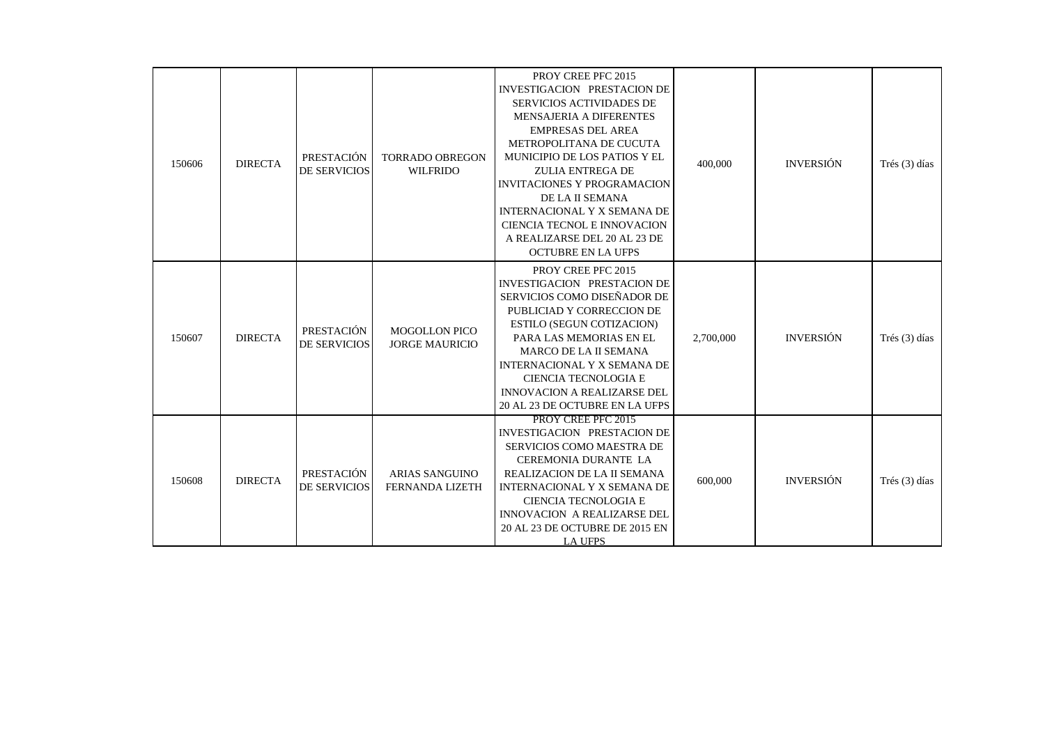| 150606 | <b>DIRECTA</b> | PRESTACIÓN<br><b>DE SERVICIOS</b>        | <b>TORRADO OBREGON</b><br><b>WILFRIDO</b>       | PROY CREE PFC 2015<br>INVESTIGACION PRESTACION DE<br><b>SERVICIOS ACTIVIDADES DE</b><br>MENSAJERIA A DIFERENTES<br><b>EMPRESAS DEL AREA</b><br>METROPOLITANA DE CUCUTA<br>MUNICIPIO DE LOS PATIOS Y EL<br><b>ZULIA ENTREGA DE</b><br><b>INVITACIONES Y PROGRAMACION</b><br>DE LA II SEMANA<br>INTERNACIONAL Y X SEMANA DE<br>CIENCIA TECNOL E INNOVACION<br>A REALIZARSE DEL 20 AL 23 DE<br><b>OCTUBRE EN LA UFPS</b> | 400,000   | <b>INVERSIÓN</b> | Trés (3) días   |
|--------|----------------|------------------------------------------|-------------------------------------------------|-----------------------------------------------------------------------------------------------------------------------------------------------------------------------------------------------------------------------------------------------------------------------------------------------------------------------------------------------------------------------------------------------------------------------|-----------|------------------|-----------------|
| 150607 | <b>DIRECTA</b> | <b>PRESTACIÓN</b><br><b>DE SERVICIOS</b> | <b>MOGOLLON PICO</b><br><b>JORGE MAURICIO</b>   | PROY CREE PFC 2015<br>INVESTIGACION PRESTACION DE<br>SERVICIOS COMO DISEÑADOR DE<br>PUBLICIAD Y CORRECCION DE<br>ESTILO (SEGUN COTIZACION)<br>PARA LAS MEMORIAS EN EL<br><b>MARCO DE LA II SEMANA</b><br>INTERNACIONAL Y X SEMANA DE<br><b>CIENCIA TECNOLOGIA E</b><br><b>INNOVACION A REALIZARSE DEL</b><br>20 AL 23 DE OCTUBRE EN LA UFPS                                                                           | 2,700,000 | <b>INVERSIÓN</b> | Trés $(3)$ días |
| 150608 | <b>DIRECTA</b> | PRESTACIÓN<br><b>DE SERVICIOS</b>        | <b>ARIAS SANGUINO</b><br><b>FERNANDA LIZETH</b> | PROY CREE PFC 2015<br><b>INVESTIGACION PRESTACION DE</b><br>SERVICIOS COMO MAESTRA DE<br><b>CEREMONIA DURANTE LA</b><br>REALIZACION DE LA II SEMANA<br><b>INTERNACIONAL Y X SEMANA DE</b><br>CIENCIA TECNOLOGIA E<br>INNOVACION A REALIZARSE DEL<br>20 AL 23 DE OCTUBRE DE 2015 EN<br><b>LA UFPS</b>                                                                                                                  | 600,000   | <b>INVERSIÓN</b> | Trés (3) días   |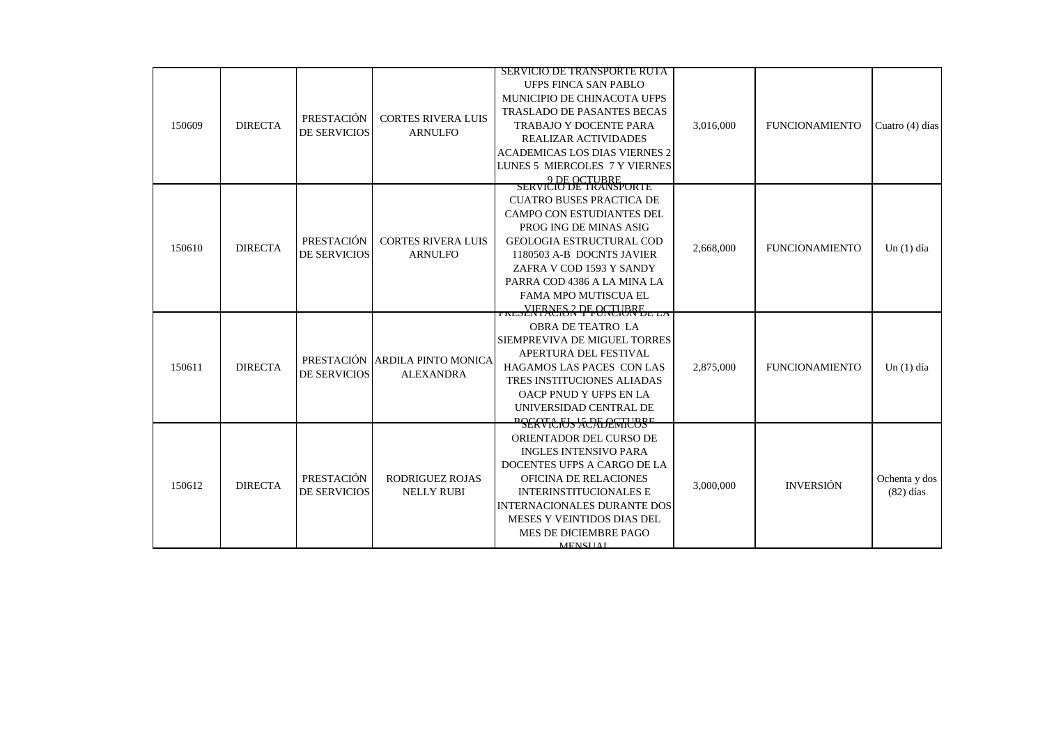|        |                |                     |                            | <b>SERVICIO DE TRANSPORTE RUTA</b>                         |           |                       |                 |
|--------|----------------|---------------------|----------------------------|------------------------------------------------------------|-----------|-----------------------|-----------------|
|        |                |                     |                            | UFPS FINCA SAN PABLO                                       |           |                       |                 |
|        |                |                     |                            | MUNICIPIO DE CHINACOTA UFPS                                |           |                       |                 |
| 150609 |                | PRESTACIÓN          | <b>CORTES RIVERA LUIS</b>  | TRASLADO DE PASANTES BECAS                                 |           |                       |                 |
|        | <b>DIRECTA</b> |                     |                            | <b>TRABAJO Y DOCENTE PARA</b>                              | 3.016.000 | <b>FUNCIONAMIENTO</b> | Cuatro (4) días |
|        |                | <b>DE SERVICIOS</b> | <b>ARNULFO</b>             | <b>REALIZAR ACTIVIDADES</b>                                |           |                       |                 |
|        |                |                     |                            | <b>ACADEMICAS LOS DIAS VIERNES 2</b>                       |           |                       |                 |
|        |                |                     |                            | LUNES 5 MIERCOLES 7 Y VIERNES                              |           |                       |                 |
|        |                |                     |                            | 9 DE OCTUBRE<br>SERVICIO DE TRANSPORTE                     |           |                       |                 |
|        |                |                     |                            | <b>CUATRO BUSES PRACTICA DE</b>                            |           |                       |                 |
|        |                |                     |                            |                                                            |           |                       |                 |
|        |                |                     |                            | <b>CAMPO CON ESTUDIANTES DEL</b><br>PROG ING DE MINAS ASIG |           |                       |                 |
|        |                | PRESTACIÓN          | <b>CORTES RIVERA LUIS</b>  | <b>GEOLOGIA ESTRUCTURAL COD</b>                            |           |                       |                 |
| 150610 | <b>DIRECTA</b> | <b>DE SERVICIOS</b> | <b>ARNULFO</b>             | 1180503 A-B DOCNTS JAVIER                                  | 2,668,000 | <b>FUNCIONAMIENTO</b> | $Un(1)$ día     |
|        |                |                     |                            | ZAFRA V COD 1593 Y SANDY                                   |           |                       |                 |
|        |                |                     |                            | PARRA COD 4386 A LA MINA LA                                |           |                       |                 |
|        |                |                     |                            | FAMA MPO MUTISCUA EL                                       |           |                       |                 |
|        |                |                     |                            |                                                            |           |                       |                 |
|        |                | PRESTACIÓN          | <b>ARDILA PINTO MONICA</b> | <b>FRESENTACIÓN PFONCIURE</b> LA                           |           |                       |                 |
|        |                |                     |                            | <b>OBRA DE TEATRO LA</b>                                   |           |                       |                 |
|        |                |                     |                            | SIEMPREVIVA DE MIGUEL TORRES                               |           |                       |                 |
|        |                |                     |                            | APERTURA DEL FESTIVAL                                      |           | <b>FUNCIONAMIENTO</b> |                 |
| 150611 | <b>DIRECTA</b> | <b>DE SERVICIOS</b> | <b>ALEXANDRA</b>           | HAGAMOS LAS PACES CON LAS                                  | 2,875,000 |                       | $Un(1)$ día     |
|        |                |                     |                            | TRES INSTITUCIONES ALIADAS                                 |           |                       |                 |
|        |                |                     |                            | OACP PNUD Y UFPS EN LA                                     |           |                       |                 |
|        |                |                     |                            | UNIVERSIDAD CENTRAL DE                                     |           |                       |                 |
|        |                |                     |                            | PSERVICIUS ACALEMICUSE                                     |           |                       |                 |
|        |                |                     |                            | ORIENTADOR DEL CURSO DE                                    |           |                       |                 |
|        |                |                     |                            | <b>INGLES INTENSIVO PARA</b>                               |           |                       |                 |
| 150612 |                |                     |                            | DOCENTES UFPS A CARGO DE LA                                |           |                       |                 |
|        | <b>DIRECTA</b> | PRESTACIÓN          | RODRIGUEZ ROJAS            | OFICINA DE RELACIONES                                      | 3,000,000 | <b>INVERSIÓN</b>      | Ochenta y dos   |
|        |                | DE SERVICIOS        | <b>NELLY RUBI</b>          | <b>INTERINSTITUCIONALES E</b>                              |           |                       | $(82)$ días     |
|        |                |                     |                            | <b>INTERNACIONALES DURANTE DOS</b>                         |           |                       |                 |
|        |                |                     |                            | MESES Y VEINTIDOS DIAS DEL                                 |           |                       |                 |
|        |                |                     |                            | MES DE DICIEMBRE PAGO                                      |           |                       |                 |
|        |                |                     |                            | <b>MENSIIAL</b>                                            |           |                       |                 |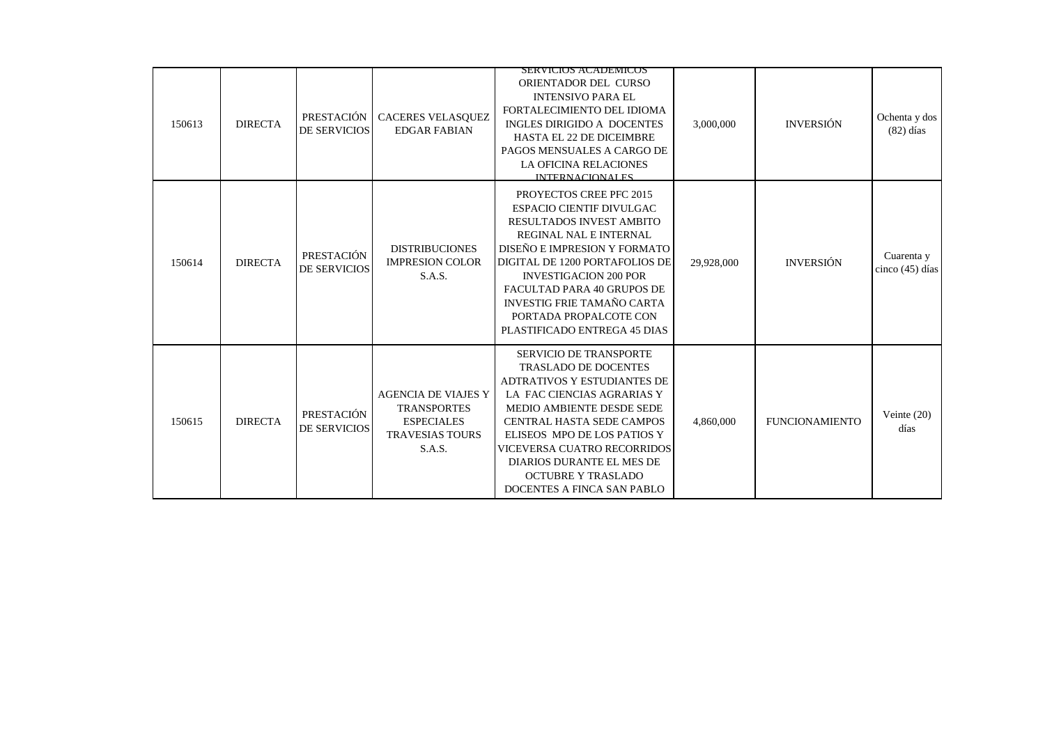| 150613 | <b>DIRECTA</b> | PRESTACIÓN<br><b>DE SERVICIOS</b> | CACERES VELASQUEZ<br><b>EDGAR FABIAN</b>                                                                  | <b>SERVICIOS ACADEMICOS</b><br>ORIENTADOR DEL CURSO<br><b>INTENSIVO PARA EL</b><br>FORTALECIMIENTO DEL IDIOMA<br>INGLES DIRIGIDO A DOCENTES<br><b>HASTA EL 22 DE DICEIMBRE</b><br>PAGOS MENSUALES A CARGO DE<br><b>LA OFICINA RELACIONES</b><br>INTERNACIONAL ES                                                                                        | 3,000,000  | <b>INVERSIÓN</b>      | Ochenta y dos<br>$(82)$ días    |
|--------|----------------|-----------------------------------|-----------------------------------------------------------------------------------------------------------|---------------------------------------------------------------------------------------------------------------------------------------------------------------------------------------------------------------------------------------------------------------------------------------------------------------------------------------------------------|------------|-----------------------|---------------------------------|
| 150614 | <b>DIRECTA</b> | PRESTACIÓN<br><b>DE SERVICIOS</b> | <b>DISTRIBUCIONES</b><br><b>IMPRESION COLOR</b><br>S.A.S.                                                 | PROYECTOS CREE PFC 2015<br><b>ESPACIO CIENTIF DIVULGAC</b><br>RESULTADOS INVEST AMBITO<br>REGINAL NAL E INTERNAL<br>DISEÑO E IMPRESION Y FORMATO<br>DIGITAL DE 1200 PORTAFOLIOS DE<br><b>INVESTIGACION 200 POR</b><br>FACULTAD PARA 40 GRUPOS DE<br><b>INVESTIG FRIE TAMAÑO CARTA</b><br>PORTADA PROPALCOTE CON<br>PLASTIFICADO ENTREGA 45 DIAS         | 29,928,000 | <b>INVERSIÓN</b>      | Cuarenta y<br>cinco $(45)$ días |
| 150615 | <b>DIRECTA</b> | PRESTACIÓN<br><b>DE SERVICIOS</b> | <b>AGENCIA DE VIAJES Y</b><br><b>TRANSPORTES</b><br><b>ESPECIALES</b><br><b>TRAVESIAS TOURS</b><br>S.A.S. | <b>SERVICIO DE TRANSPORTE</b><br><b>TRASLADO DE DOCENTES</b><br><b>ADTRATIVOS Y ESTUDIANTES DE</b><br>LA FAC CIENCIAS AGRARIAS Y<br>MEDIO AMBIENTE DESDE SEDE<br>CENTRAL HASTA SEDE CAMPOS<br>ELISEOS MPO DE LOS PATIOS Y<br>VICEVERSA CUATRO RECORRIDOS<br><b>DIARIOS DURANTE EL MES DE</b><br><b>OCTUBRE Y TRASLADO</b><br>DOCENTES A FINCA SAN PABLO | 4,860,000  | <b>FUNCIONAMIENTO</b> | Veinte $(20)$<br>días           |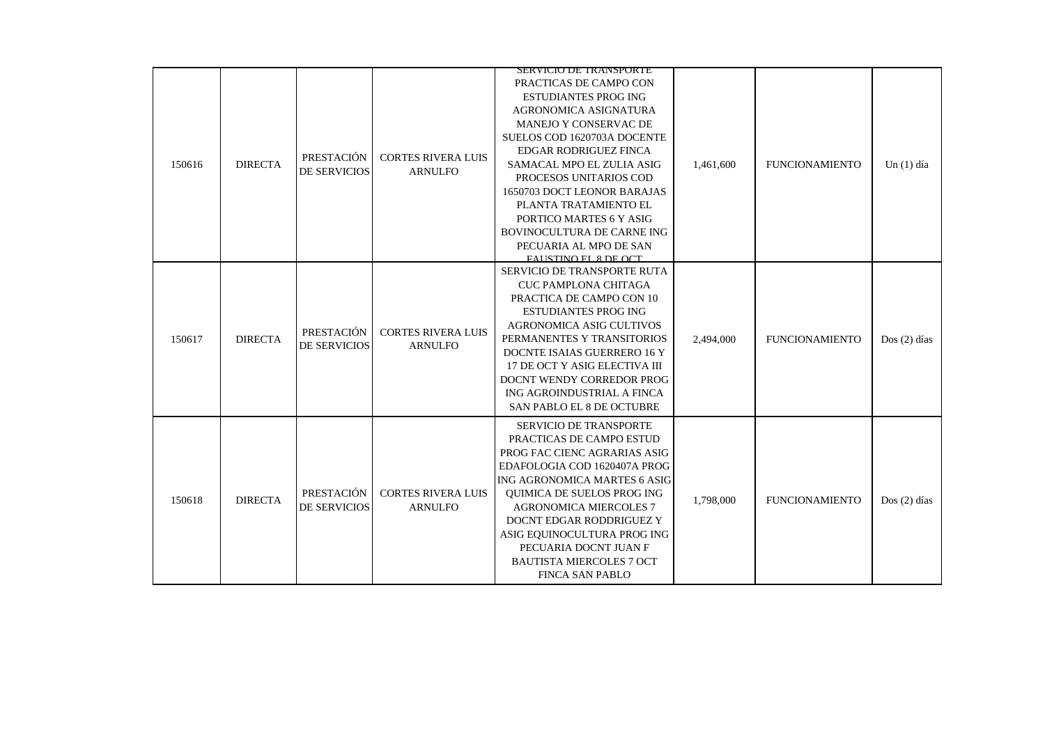|        |                |                            |                                             | SERVICIO DE TRANSPORTE                                                                                                                                                                                                                                                                                                                                                    |           |                       |               |
|--------|----------------|----------------------------|---------------------------------------------|---------------------------------------------------------------------------------------------------------------------------------------------------------------------------------------------------------------------------------------------------------------------------------------------------------------------------------------------------------------------------|-----------|-----------------------|---------------|
| 150616 | <b>DIRECTA</b> | PRESTACIÓN<br>DE SERVICIOS | <b>CORTES RIVERA LUIS</b><br><b>ARNULFO</b> | PRACTICAS DE CAMPO CON<br><b>ESTUDIANTES PROG ING</b><br>AGRONOMICA ASIGNATURA<br>MANEJO Y CONSERVAC DE<br>SUELOS COD 1620703A DOCENTE<br><b>EDGAR RODRIGUEZ FINCA</b><br>SAMACAL MPO EL ZULIA ASIG<br>PROCESOS UNITARIOS COD<br>1650703 DOCT LEONOR BARAJAS<br>PLANTA TRATAMIENTO EL<br>PORTICO MARTES 6 Y ASIG<br>BOVINOCULTURA DE CARNE ING<br>PECUARIA AL MPO DE SAN  | 1,461,600 | <b>FUNCIONAMIENTO</b> | Un $(1)$ día  |
| 150617 | <b>DIRECTA</b> | PRESTACIÓN<br>DE SERVICIOS | <b>CORTES RIVERA LUIS</b><br><b>ARNULFO</b> | FALISTINO FL 8 DE OCT<br>SERVICIO DE TRANSPORTE RUTA<br><b>CUC PAMPLONA CHITAGA</b><br>PRACTICA DE CAMPO CON 10<br><b>ESTUDIANTES PROG ING</b><br>AGRONOMICA ASIG CULTIVOS<br>PERMANENTES Y TRANSITORIOS<br>DOCNTE ISAIAS GUERRERO 16 Y<br>17 DE OCT Y ASIG ELECTIVA III<br>DOCNT WENDY CORREDOR PROG<br>ING AGROINDUSTRIAL A FINCA<br>SAN PABLO EL 8 DE OCTUBRE          | 2,494,000 | <b>FUNCIONAMIENTO</b> | $Dos(2)$ días |
| 150618 | <b>DIRECTA</b> | PRESTACIÓN<br>DE SERVICIOS | <b>CORTES RIVERA LUIS</b><br><b>ARNULFO</b> | <b>SERVICIO DE TRANSPORTE</b><br>PRACTICAS DE CAMPO ESTUD<br>PROG FAC CIENC AGRARIAS ASIG<br>EDAFOLOGIA COD 1620407A PROG<br>ING AGRONOMICA MARTES 6 ASIG<br><b>OUIMICA DE SUELOS PROG ING</b><br><b>AGRONOMICA MIERCOLES 7</b><br>DOCNT EDGAR RODDRIGUEZ Y<br>ASIG EQUINOCULTURA PROG ING<br>PECUARIA DOCNT JUAN F<br><b>BAUTISTA MIERCOLES 7 OCT</b><br>FINCA SAN PABLO | 1,798,000 | <b>FUNCIONAMIENTO</b> | $Dos(2)$ días |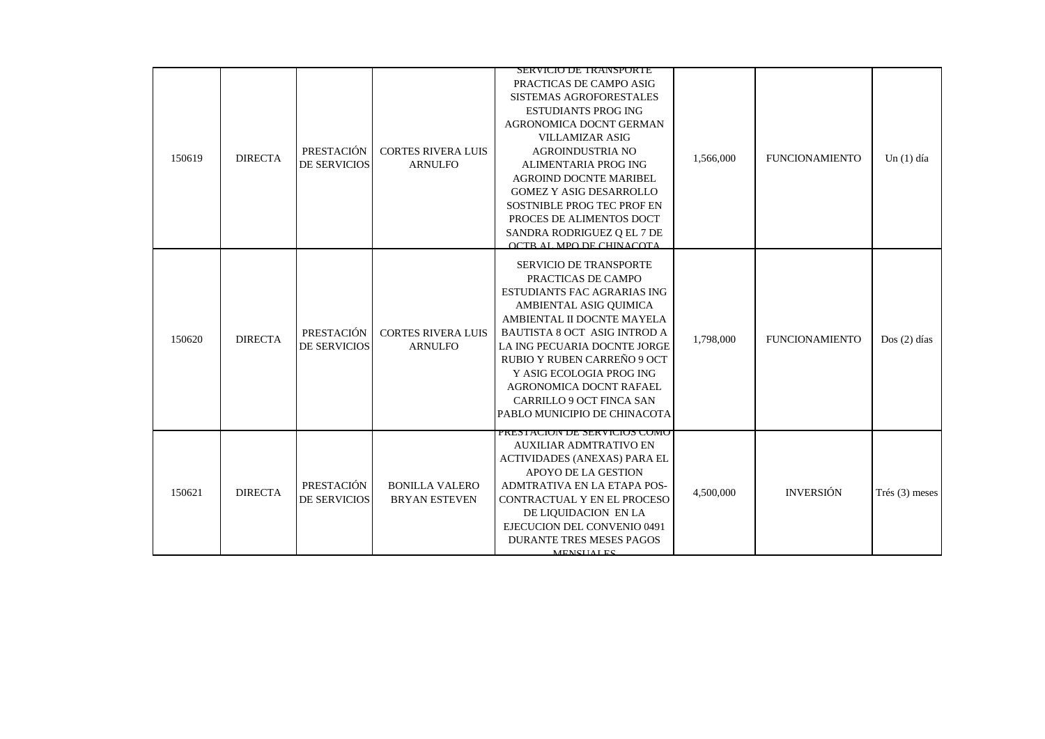|        |                |                                   |                                               | SERVICIO DE TRANSPORTE                                                                                                                                                                                                                                                                                                                                                          |           |                       |                  |
|--------|----------------|-----------------------------------|-----------------------------------------------|---------------------------------------------------------------------------------------------------------------------------------------------------------------------------------------------------------------------------------------------------------------------------------------------------------------------------------------------------------------------------------|-----------|-----------------------|------------------|
| 150619 | <b>DIRECTA</b> | PRESTACIÓN<br><b>DE SERVICIOS</b> | <b>CORTES RIVERA LUIS</b><br><b>ARNULFO</b>   | PRACTICAS DE CAMPO ASIG<br>SISTEMAS AGROFORESTALES<br><b>ESTUDIANTS PROG ING</b><br>AGRONOMICA DOCNT GERMAN<br><b>VILLAMIZAR ASIG</b><br><b>AGROINDUSTRIA NO</b><br>ALIMENTARIA PROG ING<br><b>AGROIND DOCNTE MARIBEL</b><br><b>GOMEZ Y ASIG DESARROLLO</b><br>SOSTNIBLE PROG TEC PROF EN<br>PROCES DE ALIMENTOS DOCT<br>SANDRA RODRIGUEZ Q EL 7 DE<br>OCTR AL MPO DE CHINACOTA | 1,566,000 | <b>FUNCIONAMIENTO</b> | $Un(1)$ día      |
| 150620 | <b>DIRECTA</b> | PRESTACIÓN<br><b>DE SERVICIOS</b> | <b>CORTES RIVERA LUIS</b><br><b>ARNULFO</b>   | <b>SERVICIO DE TRANSPORTE</b><br>PRACTICAS DE CAMPO<br>ESTUDIANTS FAC AGRARIAS ING<br>AMBIENTAL ASIG QUIMICA<br>AMBIENTAL II DOCNTE MAYELA<br><b>BAUTISTA 8 OCT ASIG INTROD A</b><br>LA ING PECUARIA DOCNTE JORGE<br>RUBIO Y RUBEN CARREÑO 9 OCT<br>Y ASIG ECOLOGIA PROG ING<br>AGRONOMICA DOCNT RAFAEL<br><b>CARRILLO 9 OCT FINCA SAN</b><br>PABLO MUNICIPIO DE CHINACOTA      | 1,798,000 | <b>FUNCIONAMIENTO</b> | $Dos(2)$ días    |
| 150621 | <b>DIRECTA</b> | <b>PRESTACIÓN</b><br>DE SERVICIOS | <b>BONILLA VALERO</b><br><b>BRYAN ESTEVEN</b> | PRESTACION DE SERVICIOS COMO<br><b>AUXILIAR ADMTRATIVO EN</b><br>ACTIVIDADES (ANEXAS) PARA EL<br><b>APOYO DE LA GESTION</b><br>ADMTRATIVA EN LA ETAPA POS-<br>CONTRACTUAL Y EN EL PROCESO<br>DE LIQUIDACION EN LA<br>EJECUCION DEL CONVENIO 0491<br><b>DURANTE TRES MESES PAGOS</b><br><b>MENCHALES</b>                                                                         | 4,500,000 | <b>INVERSIÓN</b>      | Trés $(3)$ meses |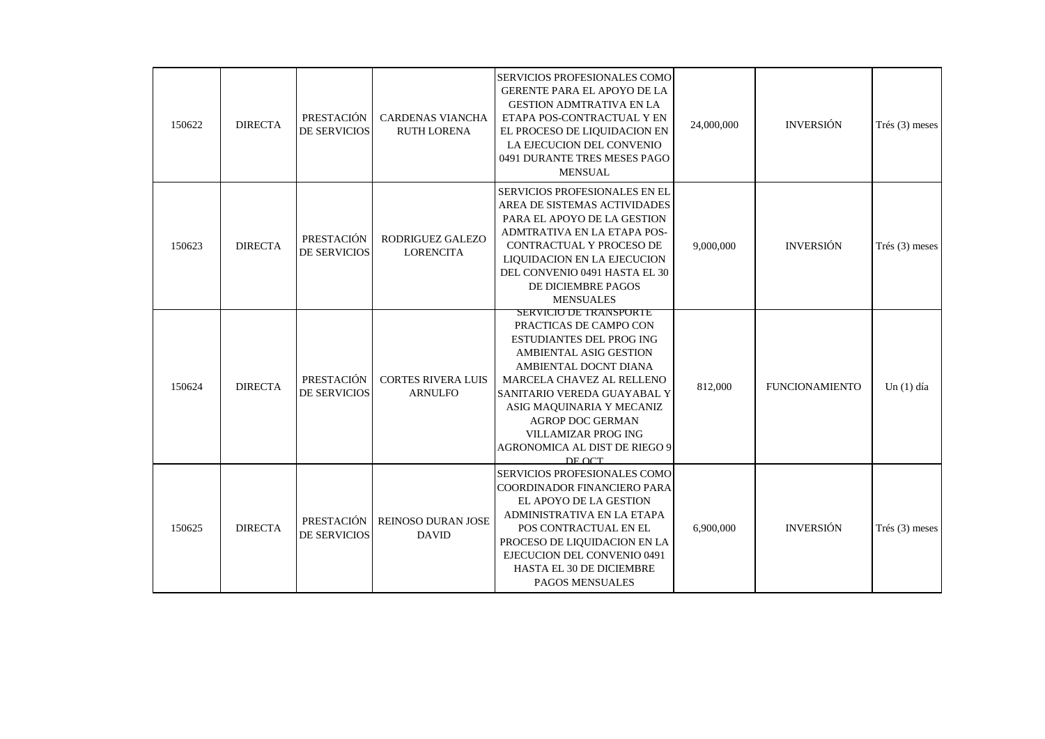| 150622 | <b>DIRECTA</b> | PRESTACIÓN<br><b>DE SERVICIOS</b> | <b>CARDENAS VIANCHA</b><br><b>RUTH LORENA</b> | SERVICIOS PROFESIONALES COMO<br><b>GERENTE PARA EL APOYO DE LA</b><br><b>GESTION ADMTRATIVA EN LA</b><br>ETAPA POS-CONTRACTUAL Y EN<br>EL PROCESO DE LIQUIDACION EN<br>LA EJECUCION DEL CONVENIO<br>0491 DURANTE TRES MESES PAGO<br><b>MENSUAL</b>                                                                           | 24,000,000 | <b>INVERSIÓN</b>      | Trés $(3)$ meses |
|--------|----------------|-----------------------------------|-----------------------------------------------|------------------------------------------------------------------------------------------------------------------------------------------------------------------------------------------------------------------------------------------------------------------------------------------------------------------------------|------------|-----------------------|------------------|
| 150623 | <b>DIRECTA</b> | PRESTACIÓN<br><b>DE SERVICIOS</b> | RODRIGUEZ GALEZO<br><b>LORENCITA</b>          | SERVICIOS PROFESIONALES EN EL<br>AREA DE SISTEMAS ACTIVIDADES<br>PARA EL APOYO DE LA GESTION<br>ADMTRATIVA EN LA ETAPA POS-<br>CONTRACTUAL Y PROCESO DE<br>LIQUIDACION EN LA EJECUCION<br>DEL CONVENIO 0491 HASTA EL 30<br>DE DICIEMBRE PAGOS<br><b>MENSUALES</b>                                                            | 9,000,000  | <b>INVERSIÓN</b>      | Trés $(3)$ meses |
| 150624 | <b>DIRECTA</b> | PRESTACIÓN<br><b>DE SERVICIOS</b> | <b>CORTES RIVERA LUIS</b><br><b>ARNULFO</b>   | SERVICIO DE TRANSPORTE<br>PRACTICAS DE CAMPO CON<br>ESTUDIANTES DEL PROG ING<br><b>AMBIENTAL ASIG GESTION</b><br>AMBIENTAL DOCNT DIANA<br>MARCELA CHAVEZ AL RELLENO<br>SANITARIO VEREDA GUAYABAL Y<br>ASIG MAQUINARIA Y MECANIZ<br><b>AGROP DOC GERMAN</b><br>VILLAMIZAR PROG ING<br>AGRONOMICA AL DIST DE RIEGO 9<br>DE OCT | 812,000    | <b>FUNCIONAMIENTO</b> | Un $(1)$ día     |
| 150625 | <b>DIRECTA</b> | PRESTACIÓN<br><b>DE SERVICIOS</b> | REINOSO DURAN JOSE<br><b>DAVID</b>            | SERVICIOS PROFESIONALES COMO<br>COORDINADOR FINANCIERO PARA<br>EL APOYO DE LA GESTION<br>ADMINISTRATIVA EN LA ETAPA<br>POS CONTRACTUAL EN EL<br>PROCESO DE LIQUIDACION EN LA<br>EJECUCION DEL CONVENIO 0491<br>HASTA EL 30 DE DICIEMBRE<br>PAGOS MENSUALES                                                                   | 6,900,000  | <b>INVERSIÓN</b>      | Trés $(3)$ meses |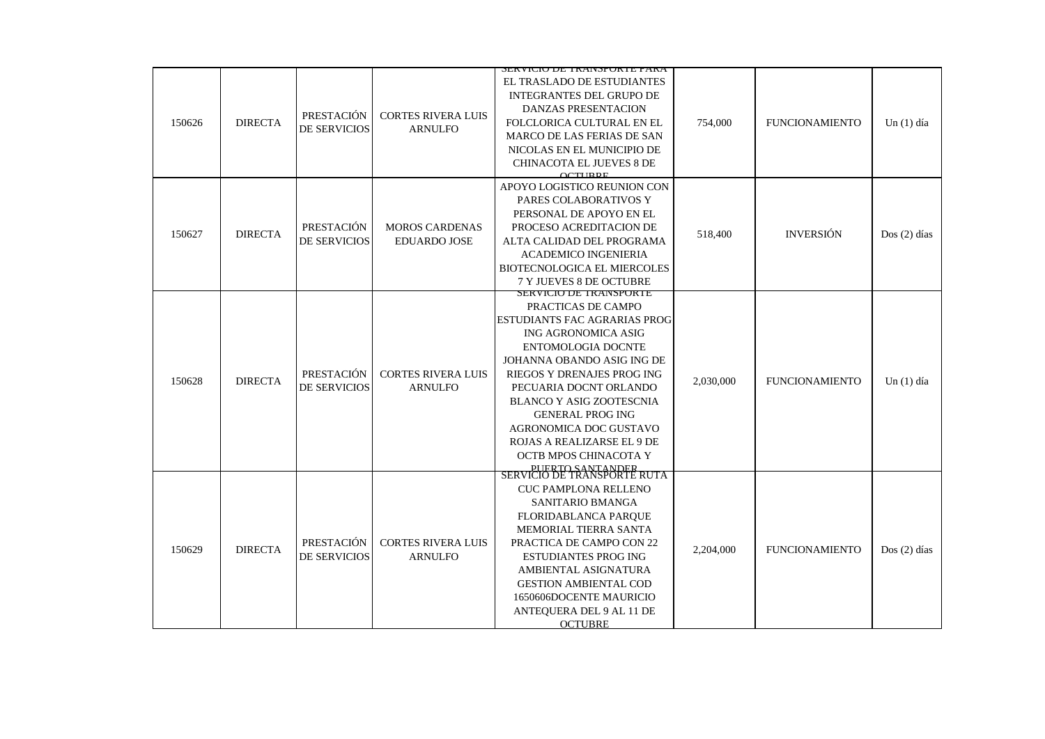|        |                |                                   |                                              | <u>JEN VIUIU DE TINAINJPUNTE FANA</u>                                                                                                                                                                                                                                                                                                                          |           |                       |               |
|--------|----------------|-----------------------------------|----------------------------------------------|----------------------------------------------------------------------------------------------------------------------------------------------------------------------------------------------------------------------------------------------------------------------------------------------------------------------------------------------------------------|-----------|-----------------------|---------------|
| 150626 | <b>DIRECTA</b> | PRESTACIÓN<br>DE SERVICIOS        | <b>CORTES RIVERA LUIS</b><br><b>ARNULFO</b>  | EL TRASLADO DE ESTUDIANTES<br>INTEGRANTES DEL GRUPO DE<br><b>DANZAS PRESENTACION</b><br>FOLCLORICA CULTURAL EN EL<br><b>MARCO DE LAS FERIAS DE SAN</b><br>NICOLAS EN EL MUNICIPIO DE<br><b>CHINACOTA EL JUEVES 8 DE</b><br>$\Omega$ TIDDE                                                                                                                      | 754,000   | <b>FUNCIONAMIENTO</b> | Un $(1)$ día  |
| 150627 | <b>DIRECTA</b> | PRESTACIÓN<br>DE SERVICIOS        | <b>MOROS CARDENAS</b><br><b>EDUARDO JOSE</b> | APOYO LOGISTICO REUNION CON<br>PARES COLABORATIVOS Y<br>PERSONAL DE APOYO EN EL<br>PROCESO ACREDITACION DE<br>ALTA CALIDAD DEL PROGRAMA<br><b>ACADEMICO INGENIERIA</b><br>BIOTECNOLOGICA EL MIERCOLES<br>7 Y JUEVES 8 DE OCTUBRE                                                                                                                               | 518,400   | <b>INVERSIÓN</b>      | $Dos(2)$ días |
| 150628 | <b>DIRECTA</b> | PRESTACIÓN<br>DE SERVICIOS        | <b>CORTES RIVERA LUIS</b><br><b>ARNULFO</b>  | SERVICIO DE TRANSPORTE<br>PRACTICAS DE CAMPO<br>ESTUDIANTS FAC AGRARIAS PROG<br>ING AGRONOMICA ASIG<br>ENTOMOLOGIA DOCNTE<br>JOHANNA OBANDO ASIG ING DE<br>RIEGOS Y DRENAJES PROG ING<br>PECUARIA DOCNT ORLANDO<br><b>BLANCO Y ASIG ZOOTESCNIA</b><br><b>GENERAL PROG ING</b><br>AGRONOMICA DOC GUSTAVO<br>ROJAS A REALIZARSE EL 9 DE<br>OCTB MPOS CHINACOTA Y | 2,030,000 | <b>FUNCIONAMIENTO</b> | Un $(1)$ día  |
| 150629 | <b>DIRECTA</b> | PRESTACIÓN<br><b>DE SERVICIOS</b> | <b>CORTES RIVERA LUIS</b><br><b>ARNULFO</b>  | <b>DERTO SANTANDER</b><br>SERVICIO DE TRANSPORTE RUTA<br><b>CUC PAMPLONA RELLENO</b><br>SANITARIO BMANGA<br>FLORIDABLANCA PARQUE<br><b>MEMORIAL TIERRA SANTA</b><br>PRACTICA DE CAMPO CON 22<br><b>ESTUDIANTES PROG ING</b><br>AMBIENTAL ASIGNATURA<br><b>GESTION AMBIENTAL COD</b><br>1650606DOCENTE MAURICIO<br>ANTEQUERA DEL 9 AL 11 DE<br><b>OCTUBRE</b>   | 2,204,000 | <b>FUNCIONAMIENTO</b> | $Dos(2)$ días |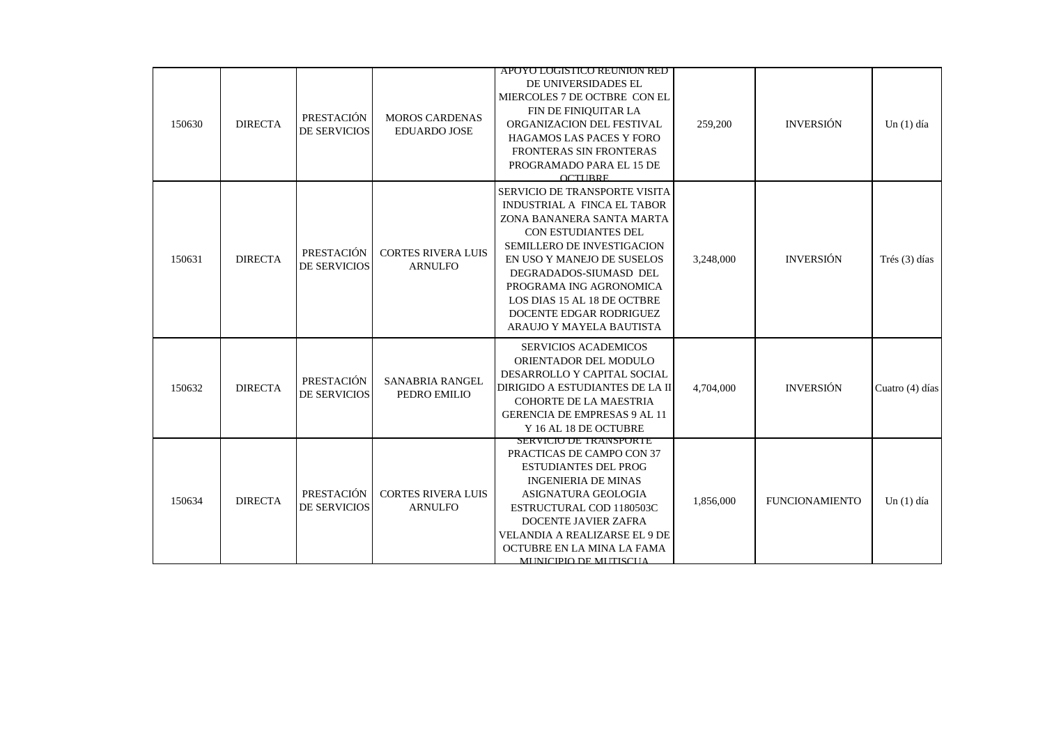|        |                |                            |                                              | APOYO LOGISTICO REUNION RED                                                                                                                                                                                                                                                                                             |           |                       |                 |
|--------|----------------|----------------------------|----------------------------------------------|-------------------------------------------------------------------------------------------------------------------------------------------------------------------------------------------------------------------------------------------------------------------------------------------------------------------------|-----------|-----------------------|-----------------|
| 150630 | <b>DIRECTA</b> | PRESTACIÓN<br>DE SERVICIOS | <b>MOROS CARDENAS</b><br><b>EDUARDO JOSE</b> | DE UNIVERSIDADES EL<br>MIERCOLES 7 DE OCTBRE CON EL<br>FIN DE FINIQUITAR LA<br>ORGANIZACION DEL FESTIVAL<br><b>HAGAMOS LAS PACES Y FORO</b><br>FRONTERAS SIN FRONTERAS<br>PROGRAMADO PARA EL 15 DE<br><b>OCTURRE</b>                                                                                                    | 259,200   | <b>INVERSIÓN</b>      | Un $(1)$ día    |
| 150631 | <b>DIRECTA</b> | PRESTACIÓN<br>DE SERVICIOS | <b>CORTES RIVERA LUIS</b><br><b>ARNULFO</b>  | SERVICIO DE TRANSPORTE VISITA<br>INDUSTRIAL A FINCA EL TABOR<br>ZONA BANANERA SANTA MARTA<br>CON ESTUDIANTES DEL<br>SEMILLERO DE INVESTIGACION<br>EN USO Y MANEJO DE SUSELOS<br>DEGRADADOS-SIUMASD DEL<br>PROGRAMA ING AGRONOMICA<br>LOS DIAS 15 AL 18 DE OCTBRE<br>DOCENTE EDGAR RODRIGUEZ<br>ARAUJO Y MAYELA BAUTISTA | 3,248,000 | <b>INVERSIÓN</b>      | Trés (3) días   |
| 150632 | <b>DIRECTA</b> | PRESTACIÓN<br>DE SERVICIOS | <b>SANABRIA RANGEL</b><br>PEDRO EMILIO       | <b>SERVICIOS ACADEMICOS</b><br>ORIENTADOR DEL MODULO<br>DESARROLLO Y CAPITAL SOCIAL<br>DIRIGIDO A ESTUDIANTES DE LA II<br><b>COHORTE DE LA MAESTRIA</b><br><b>GERENCIA DE EMPRESAS 9 AL 11</b><br>Y 16 AL 18 DE OCTUBRE                                                                                                 | 4,704,000 | <b>INVERSIÓN</b>      | Cuatro (4) días |
| 150634 | <b>DIRECTA</b> | PRESTACIÓN<br>DE SERVICIOS | <b>CORTES RIVERA LUIS</b><br><b>ARNULFO</b>  | SERVICIO DE TRANSPORTE<br>PRACTICAS DE CAMPO CON 37<br><b>ESTUDIANTES DEL PROG</b><br><b>INGENIERIA DE MINAS</b><br>ASIGNATURA GEOLOGIA<br>ESTRUCTURAL COD 1180503C<br><b>DOCENTE JAVIER ZAFRA</b><br><b>VELANDIA A REALIZARSE EL 9 DE</b><br>OCTUBRE EN LA MINA LA FAMA<br>MUNICIPIO DE MUTISCUA                       | 1,856,000 | <b>FUNCIONAMIENTO</b> | Un $(1)$ día    |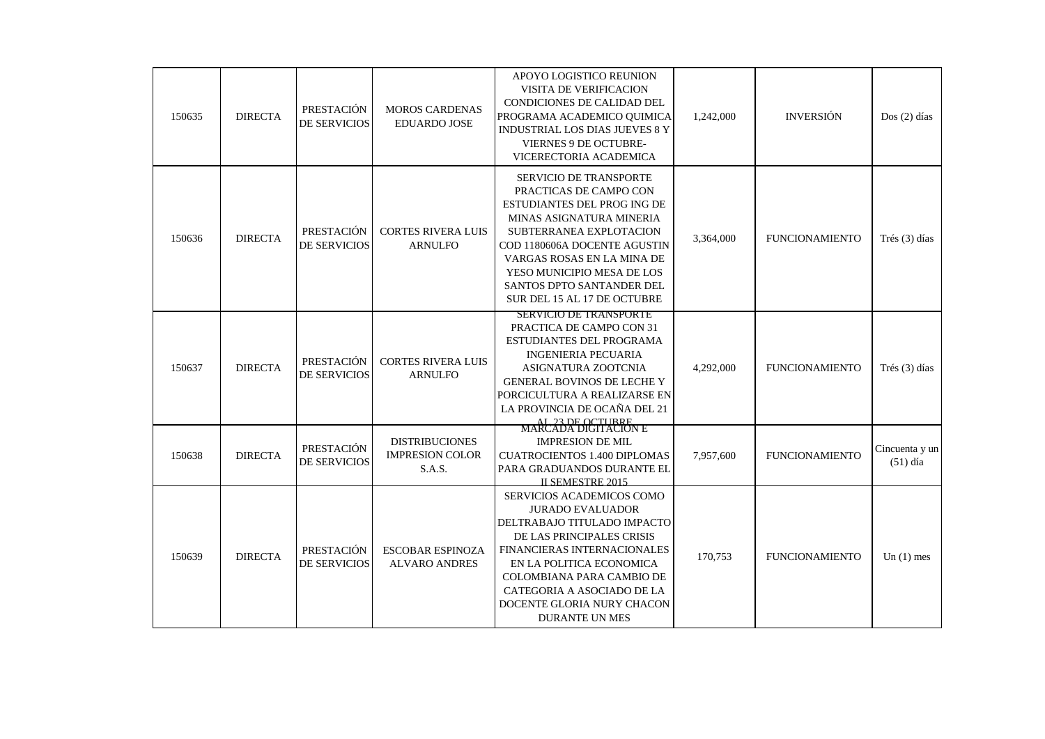| 150635 | <b>DIRECTA</b> | PRESTACIÓN<br>DE SERVICIOS        | <b>MOROS CARDENAS</b><br><b>EDUARDO JOSE</b>              | APOYO LOGISTICO REUNION<br>VISITA DE VERIFICACION<br>CONDICIONES DE CALIDAD DEL<br>PROGRAMA ACADEMICO QUIMICA<br><b>INDUSTRIAL LOS DIAS JUEVES 8 Y</b><br><b>VIERNES 9 DE OCTUBRE-</b><br>VICERECTORIA ACADEMICA                                                                                      | 1,242,000 | <b>INVERSIÓN</b>      | $Dos(2)$ días                |
|--------|----------------|-----------------------------------|-----------------------------------------------------------|-------------------------------------------------------------------------------------------------------------------------------------------------------------------------------------------------------------------------------------------------------------------------------------------------------|-----------|-----------------------|------------------------------|
| 150636 | <b>DIRECTA</b> | PRESTACIÓN<br><b>DE SERVICIOS</b> | <b>CORTES RIVERA LUIS</b><br><b>ARNULFO</b>               | <b>SERVICIO DE TRANSPORTE</b><br>PRACTICAS DE CAMPO CON<br>ESTUDIANTES DEL PROG ING DE<br>MINAS ASIGNATURA MINERIA<br>SUBTERRANEA EXPLOTACION<br>COD 1180606A DOCENTE AGUSTIN<br>VARGAS ROSAS EN LA MINA DE<br>YESO MUNICIPIO MESA DE LOS<br>SANTOS DPTO SANTANDER DEL<br>SUR DEL 15 AL 17 DE OCTUBRE | 3,364,000 | <b>FUNCIONAMIENTO</b> | Trés (3) días                |
| 150637 | <b>DIRECTA</b> | PRESTACIÓN<br><b>DE SERVICIOS</b> | <b>CORTES RIVERA LUIS</b><br><b>ARNULFO</b>               | SERVICIO DE TRANSPORTE<br>PRACTICA DE CAMPO CON 31<br>ESTUDIANTES DEL PROGRAMA<br><b>INGENIERIA PECUARIA</b><br>ASIGNATURA ZOOTCNIA<br><b>GENERAL BOVINOS DE LECHE Y</b><br>PORCICULTURA A REALIZARSE EN<br>LA PROVINCIA DE OCAÑA DEL 21                                                              | 4,292,000 | <b>FUNCIONAMIENTO</b> | Trés (3) días                |
| 150638 | <b>DIRECTA</b> | PRESTACIÓN<br><b>DE SERVICIOS</b> | <b>DISTRIBUCIONES</b><br><b>IMPRESION COLOR</b><br>S.A.S. | AL 23 DE OCTURRE<br>MARCADA DIGITACIÓN E<br><b>IMPRESION DE MIL</b><br><b>CUATROCIENTOS 1.400 DIPLOMAS</b><br>PARA GRADUANDOS DURANTE EL<br><b>IL SEMESTRE 2015</b>                                                                                                                                   | 7,957,600 | <b>FUNCIONAMIENTO</b> | Cincuenta y un<br>$(51)$ día |
| 150639 | <b>DIRECTA</b> | PRESTACIÓN<br><b>DE SERVICIOS</b> | <b>ESCOBAR ESPINOZA</b><br><b>ALVARO ANDRES</b>           | SERVICIOS ACADEMICOS COMO<br><b>JURADO EVALUADOR</b><br>DELTRABAJO TITULADO IMPACTO<br>DE LAS PRINCIPALES CRISIS<br>FINANCIERAS INTERNACIONALES<br>EN LA POLITICA ECONOMICA<br>COLOMBIANA PARA CAMBIO DE<br>CATEGORIA A ASOCIADO DE LA<br>DOCENTE GLORIA NURY CHACON<br><b>DURANTE UN MES</b>         | 170,753   | <b>FUNCIONAMIENTO</b> | Un $(1)$ mes                 |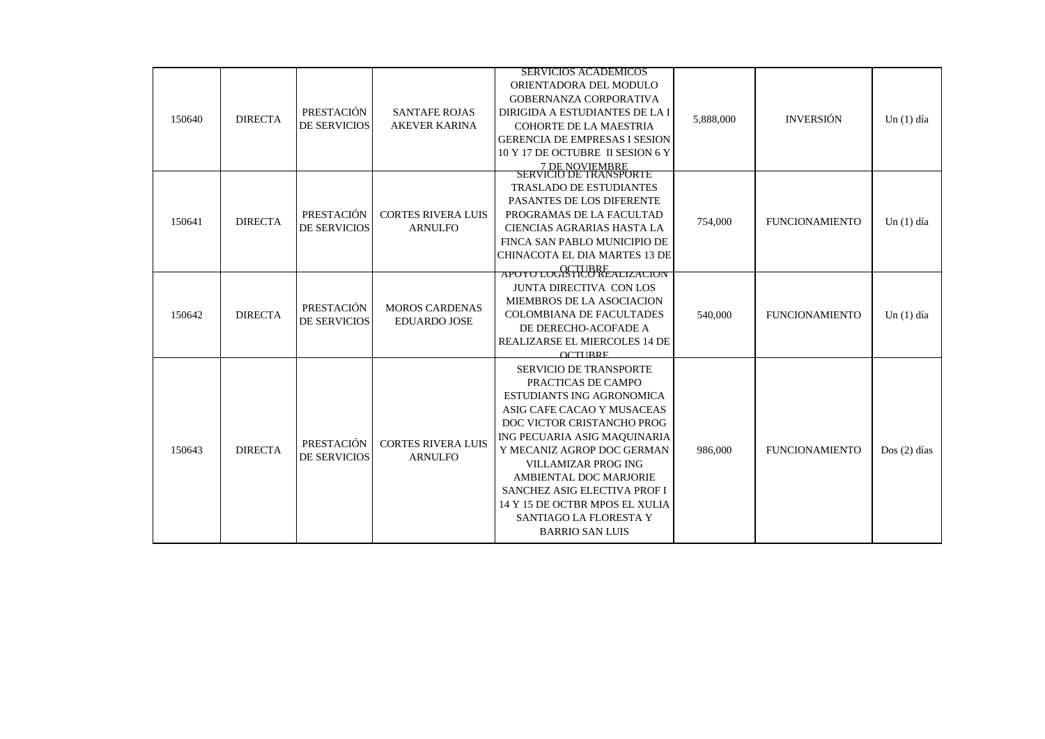|        |                |                                   |                                              | <b>SERVICIOS ACADEMICOS</b>                                                                                                                                                                                                                                                                                                                                                                     |           |                       |               |
|--------|----------------|-----------------------------------|----------------------------------------------|-------------------------------------------------------------------------------------------------------------------------------------------------------------------------------------------------------------------------------------------------------------------------------------------------------------------------------------------------------------------------------------------------|-----------|-----------------------|---------------|
| 150640 | <b>DIRECTA</b> | PRESTACIÓN<br><b>DE SERVICIOS</b> | <b>SANTAFE ROJAS</b><br><b>AKEVER KARINA</b> | ORIENTADORA DEL MODULO<br>GOBERNANZA CORPORATIVA<br>DIRIGIDA A ESTUDIANTES DE LA I<br><b>COHORTE DE LA MAESTRIA</b><br><b>GERENCIA DE EMPRESAS I SESION</b><br>10 Y 17 DE OCTUBRE II SESION 6 Y<br>7 DE NOVIEMBRE<br>SERVICIÓ DE TRANSPORTE                                                                                                                                                     | 5,888,000 | <b>INVERSIÓN</b>      | Un $(1)$ día  |
| 150641 | <b>DIRECTA</b> | PRESTACIÓN<br><b>DE SERVICIOS</b> | <b>CORTES RIVERA LUIS</b><br><b>ARNULFO</b>  | <b>TRASLADO DE ESTUDIANTES</b><br>PASANTES DE LOS DIFERENTE<br>PROGRAMAS DE LA FACULTAD<br>CIENCIAS AGRARIAS HASTA LA<br>FINCA SAN PABLO MUNICIPIO DE<br>CHINACOTA EL DIA MARTES 13 DE<br>APOYO LOGISTICO REALIZACION                                                                                                                                                                           | 754,000   | <b>FUNCIONAMIENTO</b> | Un $(1)$ día  |
| 150642 | <b>DIRECTA</b> | PRESTACIÓN<br>DE SERVICIOS        | <b>MOROS CARDENAS</b><br><b>EDUARDO JOSE</b> | <b>JUNTA DIRECTIVA CON LOS</b><br>MIEMBROS DE LA ASOCIACION<br><b>COLOMBIANA DE FACULTADES</b><br>DE DERECHO-ACOFADE A<br>REALIZARSE EL MIERCOLES 14 DE<br><b>OCTURRE</b>                                                                                                                                                                                                                       | 540,000   | <b>FUNCIONAMIENTO</b> | Un $(1)$ día  |
| 150643 | <b>DIRECTA</b> | PRESTACIÓN<br>DE SERVICIOS        | <b>CORTES RIVERA LUIS</b><br><b>ARNULFO</b>  | <b>SERVICIO DE TRANSPORTE</b><br>PRACTICAS DE CAMPO<br><b>ESTUDIANTS ING AGRONOMICA</b><br>ASIG CAFE CACAO Y MUSACEAS<br>DOC VICTOR CRISTANCHO PROG<br>ING PECUARIA ASIG MAQUINARIA<br>Y MECANIZ AGROP DOC GERMAN<br><b>VILLAMIZAR PROG ING</b><br>AMBIENTAL DOC MARJORIE<br>SANCHEZ ASIG ELECTIVA PROF I<br>14 Y 15 DE OCTBR MPOS EL XULIA<br>SANTIAGO LA FLORESTA Y<br><b>BARRIO SAN LUIS</b> | 986,000   | <b>FUNCIONAMIENTO</b> | $Dos(2)$ días |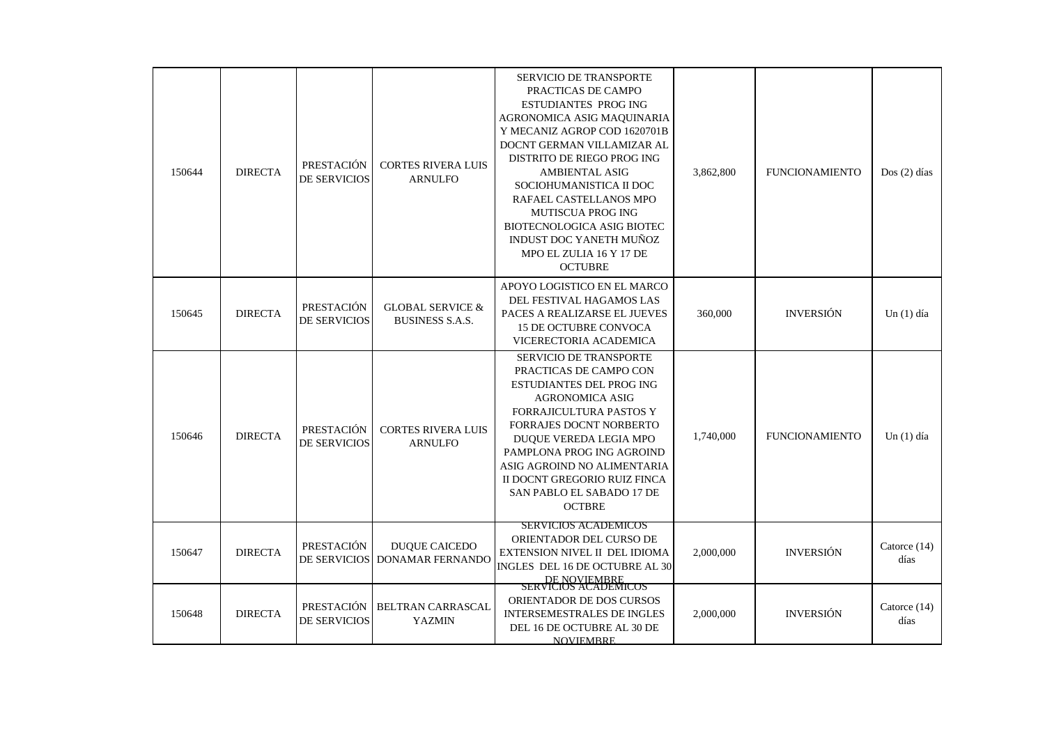| 150644 | <b>DIRECTA</b> | PRESTACIÓN<br><b>DE SERVICIOS</b> | <b>CORTES RIVERA LUIS</b><br><b>ARNULFO</b>           | <b>SERVICIO DE TRANSPORTE</b><br>PRACTICAS DE CAMPO<br><b>ESTUDIANTES PROG ING</b><br>AGRONOMICA ASIG MAQUINARIA<br>Y MECANIZ AGROP COD 1620701B<br>DOCNT GERMAN VILLAMIZAR AL<br>DISTRITO DE RIEGO PROG ING<br><b>AMBIENTAL ASIG</b><br>SOCIOHUMANISTICA II DOC<br>RAFAEL CASTELLANOS MPO<br><b>MUTISCUA PROG ING</b><br>BIOTECNOLOGICA ASIG BIOTEC<br>INDUST DOC YANETH MUÑOZ<br>MPO EL ZULIA 16 Y 17 DE<br><b>OCTUBRE</b> | 3,862,800 | <b>FUNCIONAMIENTO</b> | $Dos(2)$ días          |
|--------|----------------|-----------------------------------|-------------------------------------------------------|------------------------------------------------------------------------------------------------------------------------------------------------------------------------------------------------------------------------------------------------------------------------------------------------------------------------------------------------------------------------------------------------------------------------------|-----------|-----------------------|------------------------|
| 150645 | <b>DIRECTA</b> | PRESTACIÓN<br>DE SERVICIOS        | <b>GLOBAL SERVICE &amp;</b><br><b>BUSINESS S.A.S.</b> | APOYO LOGISTICO EN EL MARCO<br>DEL FESTIVAL HAGAMOS LAS<br>PACES A REALIZARSE EL JUEVES<br>15 DE OCTUBRE CONVOCA<br>VICERECTORIA ACADEMICA                                                                                                                                                                                                                                                                                   | 360,000   | <b>INVERSIÓN</b>      | Un $(1)$ día           |
| 150646 | <b>DIRECTA</b> | PRESTACIÓN<br><b>DE SERVICIOS</b> | <b>CORTES RIVERA LUIS</b><br><b>ARNULFO</b>           | <b>SERVICIO DE TRANSPORTE</b><br>PRACTICAS DE CAMPO CON<br><b>ESTUDIANTES DEL PROG ING</b><br><b>AGRONOMICA ASIG</b><br>FORRAJICULTURA PASTOS Y<br>FORRAJES DOCNT NORBERTO<br>DUOUE VEREDA LEGIA MPO<br>PAMPLONA PROG ING AGROIND<br>ASIG AGROIND NO ALIMENTARIA<br>II DOCNT GREGORIO RUIZ FINCA<br>SAN PABLO EL SABADO 17 DE<br><b>OCTBRE</b>                                                                               | 1,740,000 | <b>FUNCIONAMIENTO</b> | Un $(1)$ día           |
| 150647 | <b>DIRECTA</b> | PRESTACIÓN<br>DE SERVICIOS        | <b>DUQUE CAICEDO</b><br><b>DONAMAR FERNANDO</b>       | <b>SERVICIOS ACADEMICOS</b><br>ORIENTADOR DEL CURSO DE<br>EXTENSION NIVEL II DEL IDIOMA<br>INGLES DEL 16 DE OCTUBRE AL 30                                                                                                                                                                                                                                                                                                    | 2,000,000 | <b>INVERSIÓN</b>      | Catorce $(14)$<br>días |
| 150648 | <b>DIRECTA</b> | <b>PRESTACIÓN</b><br>DE SERVICIOS | <b>BELTRAN CARRASCAL</b><br><b>YAZMIN</b>             | DE NOVIEMBRE<br>SERVICIOS ACADEMICOS<br>ORIENTADOR DE DOS CURSOS<br><b>INTERSEMESTRALES DE INGLES</b><br>DEL 16 DE OCTUBRE AL 30 DE<br><b>NOVIEMBRE</b>                                                                                                                                                                                                                                                                      | 2,000,000 | <b>INVERSIÓN</b>      | Catorce (14)<br>días   |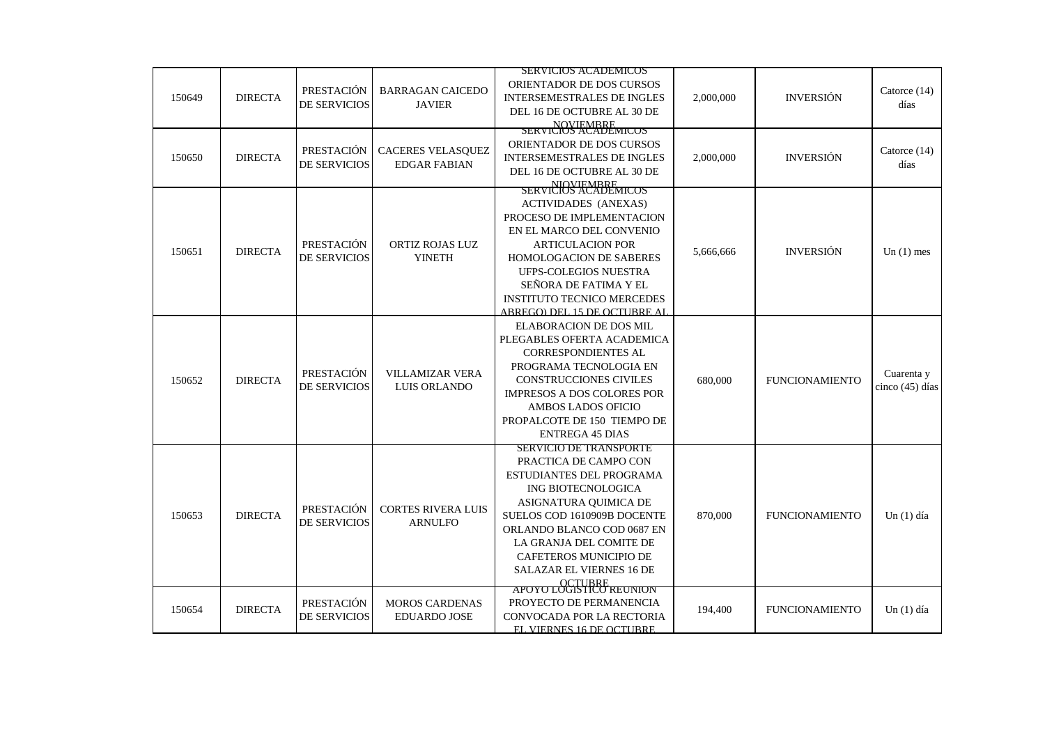|        |                |                                   |                                                 | <b>SERVICIOS ACADEMICOS</b>                                                                                                                                                                                                                                                            |           |                       |                               |
|--------|----------------|-----------------------------------|-------------------------------------------------|----------------------------------------------------------------------------------------------------------------------------------------------------------------------------------------------------------------------------------------------------------------------------------------|-----------|-----------------------|-------------------------------|
| 150649 | <b>DIRECTA</b> | PRESTACIÓN<br>DE SERVICIOS        | <b>BARRAGAN CAICEDO</b><br><b>JAVIER</b>        | ORIENTADOR DE DOS CURSOS<br><b>INTERSEMESTRALES DE INGLES</b><br>DEL 16 DE OCTUBRE AL 30 DE                                                                                                                                                                                            | 2,000,000 | <b>INVERSIÓN</b>      | Catorce $(14)$<br>días        |
|        |                |                                   |                                                 | NOVIEMBRE<br>SERVICIOS ACADEMICOS                                                                                                                                                                                                                                                      |           |                       |                               |
| 150650 | <b>DIRECTA</b> | <b>PRESTACIÓN</b><br>DE SERVICIOS | <b>CACERES VELASQUEZ</b><br><b>EDGAR FABIAN</b> | ORIENTADOR DE DOS CURSOS<br><b>INTERSEMESTRALES DE INGLES</b><br>DEL 16 DE OCTUBRE AL 30 DE<br>NIOVIEMBRE<br>SERVICIOS ACADEMICOS                                                                                                                                                      | 2,000,000 | <b>INVERSIÓN</b>      | Catorce $(14)$<br>días        |
| 150651 | <b>DIRECTA</b> | PRESTACIÓN<br><b>DE SERVICIOS</b> | ORTIZ ROJAS LUZ<br><b>YINETH</b>                | <b>ACTIVIDADES</b> (ANEXAS)<br>PROCESO DE IMPLEMENTACION<br>EN EL MARCO DEL CONVENIO<br><b>ARTICULACION POR</b><br>HOMOLOGACION DE SABERES<br>UFPS-COLEGIOS NUESTRA<br>SEÑORA DE FATIMA Y EL<br><b>INSTITUTO TECNICO MERCEDES</b><br>ABREGO) DEL 15 DE OCTUBRE AL                      | 5,666,666 | <b>INVERSIÓN</b>      | Un $(1)$ mes                  |
| 150652 | <b>DIRECTA</b> | PRESTACIÓN<br>DE SERVICIOS        | VILLAMIZAR VERA<br>LUIS ORLANDO                 | <b>ELABORACION DE DOS MIL</b><br>PLEGABLES OFERTA ACADEMICA<br><b>CORRESPONDIENTES AL</b><br>PROGRAMA TECNOLOGIA EN<br><b>CONSTRUCCIONES CIVILES</b><br>IMPRESOS A DOS COLORES POR<br><b>AMBOS LADOS OFICIO</b><br>PROPALCOTE DE 150 TIEMPO DE<br><b>ENTREGA 45 DIAS</b>               | 680,000   | <b>FUNCIONAMIENTO</b> | Cuarenta y<br>cinco (45) días |
| 150653 | <b>DIRECTA</b> | PRESTACIÓN<br>DE SERVICIOS        | <b>CORTES RIVERA LUIS</b><br><b>ARNULFO</b>     | <b>SERVICIO DE TRANSPORTE</b><br>PRACTICA DE CAMPO CON<br>ESTUDIANTES DEL PROGRAMA<br>ING BIOTECNOLOGICA<br>ASIGNATURA QUIMICA DE<br>SUELOS COD 1610909B DOCENTE<br>ORLANDO BLANCO COD 0687 EN<br>LA GRANJA DEL COMITE DE<br>CAFETEROS MUNICIPIO DE<br><b>SALAZAR EL VIERNES 16 DE</b> | 870,000   | <b>FUNCIONAMIENTO</b> | Un $(1)$ día                  |
| 150654 | <b>DIRECTA</b> | PRESTACIÓN<br>DE SERVICIOS        | <b>MOROS CARDENAS</b><br><b>EDUARDO JOSE</b>    | <b>APOYO LOGISTICO REUNION</b><br>PROYECTO DE PERMANENCIA<br>CONVOCADA POR LA RECTORIA<br><b>EL VIERNES 16 DE OCTURRE</b>                                                                                                                                                              | 194,400   | <b>FUNCIONAMIENTO</b> | Un $(1)$ día                  |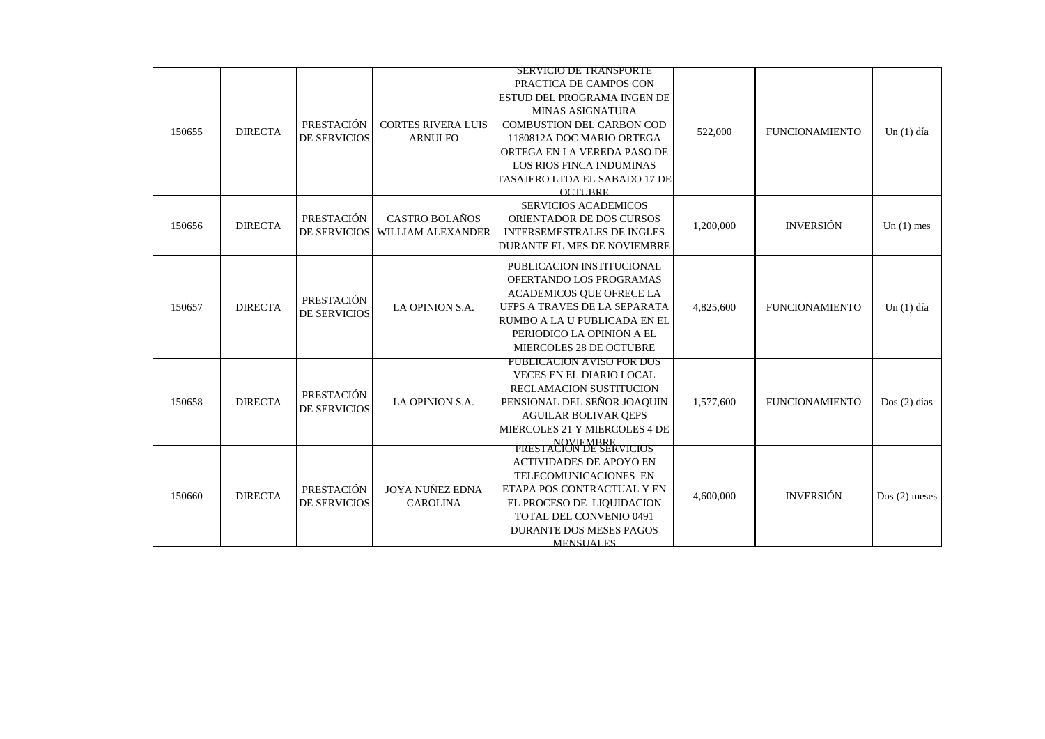|        |                |                                   |                                             | SERVICIO DE TRANSPORTE                                                                                                                                                                                                                                          |           |                       |                |
|--------|----------------|-----------------------------------|---------------------------------------------|-----------------------------------------------------------------------------------------------------------------------------------------------------------------------------------------------------------------------------------------------------------------|-----------|-----------------------|----------------|
| 150655 | <b>DIRECTA</b> | PRESTACIÓN<br><b>DE SERVICIOS</b> | <b>CORTES RIVERA LUIS</b><br><b>ARNULFO</b> | PRACTICA DE CAMPOS CON<br>ESTUD DEL PROGRAMA INGEN DE<br>MINAS ASIGNATURA<br><b>COMBUSTION DEL CARBON COD</b><br>1180812A DOC MARIO ORTEGA<br>ORTEGA EN LA VEREDA PASO DE<br><b>LOS RIOS FINCA INDUMINAS</b><br>TASAJERO LTDA EL SABADO 17 DE<br><b>OCTUBRE</b> | 522,000   | <b>FUNCIONAMIENTO</b> | $Un(1)$ día    |
| 150656 | <b>DIRECTA</b> | PRESTACIÓN<br>DE SERVICIOS        | CASTRO BOLAÑOS<br>WILLIAM ALEXANDER         | <b>SERVICIOS ACADEMICOS</b><br>ORIENTADOR DE DOS CURSOS<br><b>INTERSEMESTRALES DE INGLES</b><br>DURANTE EL MES DE NOVIEMBRE                                                                                                                                     | 1,200,000 | <b>INVERSIÓN</b>      | Un $(1)$ mes   |
| 150657 | <b>DIRECTA</b> | PRESTACIÓN<br><b>DE SERVICIOS</b> | LA OPINION S.A.                             | PUBLICACION INSTITUCIONAL<br>OFERTANDO LOS PROGRAMAS<br>ACADEMICOS QUE OFRECE LA<br>UFPS A TRAVES DE LA SEPARATA<br>RUMBO A LA U PUBLICADA EN EL<br>PERIODICO LA OPINION A EL<br>MIERCOLES 28 DE OCTUBRE                                                        | 4,825,600 | <b>FUNCIONAMIENTO</b> | $Un(1)$ día    |
| 150658 | <b>DIRECTA</b> | PRESTACIÓN<br><b>DE SERVICIOS</b> | LA OPINION S.A.                             | PUBLICACION AVISO POR DOS<br><b>VECES EN EL DIARIO LOCAL</b><br>RECLAMACION SUSTITUCION<br>PENSIONAL DEL SEÑOR JOAQUIN<br><b>AGUILAR BOLIVAR OEPS</b><br>MIERCOLES 21 Y MIERCOLES 4 DE<br>NOVIEMBRE<br>PRESTACION DE SERVICIOS                                  | 1,577,600 | <b>FUNCIONAMIENTO</b> | Dos $(2)$ días |
| 150660 | <b>DIRECTA</b> | PRESTACIÓN<br><b>DE SERVICIOS</b> | <b>JOYA NUÑEZ EDNA</b><br><b>CAROLINA</b>   | <b>ACTIVIDADES DE APOYO EN</b><br>TELECOMUNICACIONES EN<br>ETAPA POS CONTRACTUAL Y EN<br>EL PROCESO DE LIQUIDACION<br>TOTAL DEL CONVENIO 0491<br><b>DURANTE DOS MESES PAGOS</b><br><b>MENSUALES</b>                                                             | 4,600,000 | <b>INVERSIÓN</b>      | $Dos(2)$ meses |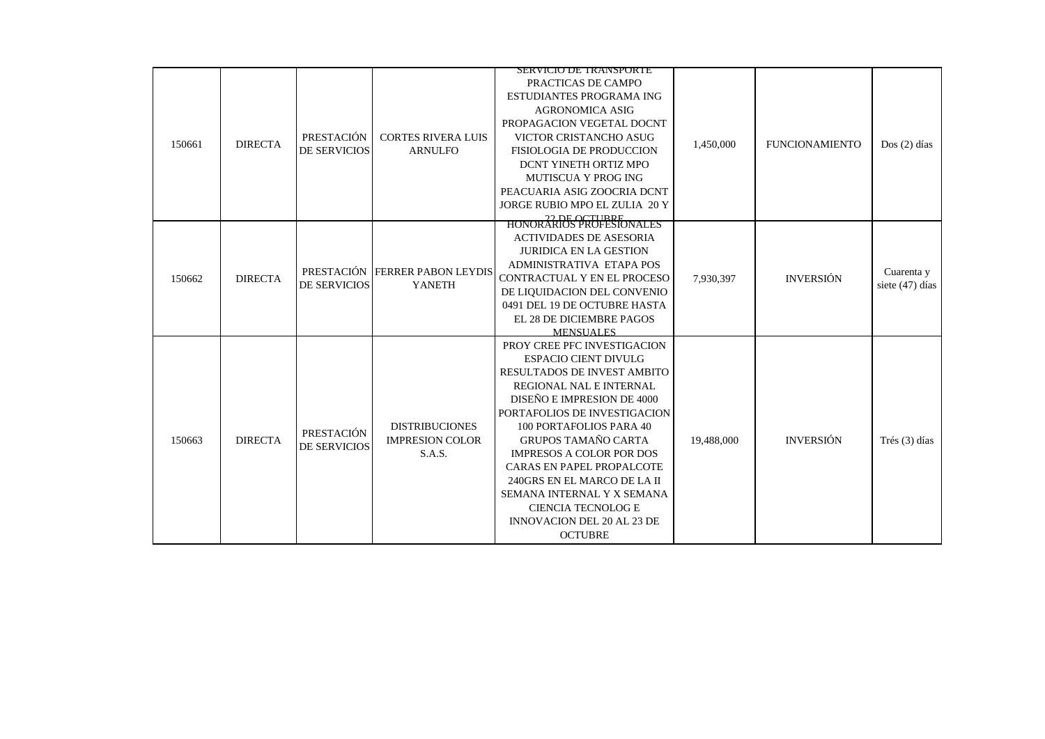|        |                |                                   |                                             | SEKVICIO DE TRANSPORTE                                                   |            |                       |                 |
|--------|----------------|-----------------------------------|---------------------------------------------|--------------------------------------------------------------------------|------------|-----------------------|-----------------|
|        |                |                                   |                                             | PRACTICAS DE CAMPO<br>ESTUDIANTES PROGRAMA ING<br><b>AGRONOMICA ASIG</b> |            |                       |                 |
| 150661 |                |                                   |                                             | PROPAGACION VEGETAL DOCNT                                                |            |                       |                 |
|        | <b>DIRECTA</b> | PRESTACIÓN                        | <b>CORTES RIVERA LUIS</b>                   | VICTOR CRISTANCHO ASUG                                                   | 1,450,000  | <b>FUNCIONAMIENTO</b> | $Dos(2)$ días   |
|        |                | <b>DE SERVICIOS</b>               | <b>ARNULFO</b>                              | <b>FISIOLOGIA DE PRODUCCION</b>                                          |            |                       |                 |
|        |                |                                   |                                             | DCNT YINETH ORTIZ MPO                                                    |            |                       |                 |
|        |                |                                   |                                             | MUTISCUA Y PROG ING                                                      |            |                       |                 |
|        |                |                                   |                                             | PEACUARIA ASIG ZOOCRIA DCNT                                              |            |                       |                 |
|        |                |                                   |                                             | JORGE RUBIO MPO EL ZULIA 20 Y                                            |            |                       |                 |
|        |                |                                   |                                             | HONORARIOS PROFESIONALES                                                 |            |                       |                 |
|        |                |                                   |                                             | <b>ACTIVIDADES DE ASESORIA</b>                                           |            |                       |                 |
|        |                |                                   |                                             | <b>JURIDICA EN LA GESTION</b>                                            |            |                       |                 |
|        |                |                                   |                                             | ADMINISTRATIVA ETAPA POS                                                 |            |                       |                 |
| 150662 | <b>DIRECTA</b> | PRESTACIÓN<br><b>DE SERVICIOS</b> | <b>FERRER PABON LEYDIS</b><br><b>YANETH</b> | CONTRACTUAL Y EN EL PROCESO                                              | 7.930.397  | <b>INVERSIÓN</b>      | Cuarenta y      |
|        |                |                                   |                                             | DE LIQUIDACION DEL CONVENIO                                              |            |                       | siete (47) días |
|        |                |                                   |                                             | 0491 DEL 19 DE OCTUBRE HASTA                                             |            |                       |                 |
|        |                |                                   |                                             | EL 28 DE DICIEMBRE PAGOS                                                 |            |                       |                 |
|        |                |                                   |                                             | <b>MENSUALES</b>                                                         |            |                       |                 |
|        |                |                                   |                                             | PROY CREE PFC INVESTIGACION                                              |            |                       |                 |
|        |                |                                   |                                             | <b>ESPACIO CIENT DIVULG</b>                                              |            |                       |                 |
|        |                |                                   |                                             | RESULTADOS DE INVEST AMBITO                                              |            |                       |                 |
|        |                |                                   |                                             | REGIONAL NAL E INTERNAL                                                  |            |                       |                 |
|        |                |                                   |                                             | DISEÑO E IMPRESION DE 4000                                               |            |                       |                 |
|        |                |                                   |                                             | PORTAFOLIOS DE INVESTIGACION                                             |            |                       |                 |
|        |                | <b>PRESTACIÓN</b>                 | <b>DISTRIBUCIONES</b>                       | 100 PORTAFOLIOS PARA 40                                                  |            |                       |                 |
| 150663 | <b>DIRECTA</b> | <b>DE SERVICIOS</b>               | <b>IMPRESION COLOR</b>                      | <b>GRUPOS TAMAÑO CARTA</b>                                               | 19,488,000 | <b>INVERSIÓN</b>      | Trés (3) días   |
|        |                |                                   | S.A.S.                                      | <b>IMPRESOS A COLOR POR DOS</b>                                          |            |                       |                 |
|        |                |                                   |                                             | CARAS EN PAPEL PROPALCOTE                                                |            |                       |                 |
|        |                |                                   |                                             | 240GRS EN EL MARCO DE LA II                                              |            |                       |                 |
|        |                |                                   |                                             | SEMANA INTERNAL Y X SEMANA                                               |            |                       |                 |
|        |                |                                   |                                             | <b>CIENCIA TECNOLOG E</b>                                                |            |                       |                 |
|        |                |                                   |                                             | <b>INNOVACION DEL 20 AL 23 DE</b>                                        |            |                       |                 |
|        |                |                                   |                                             | <b>OCTUBRE</b>                                                           |            |                       |                 |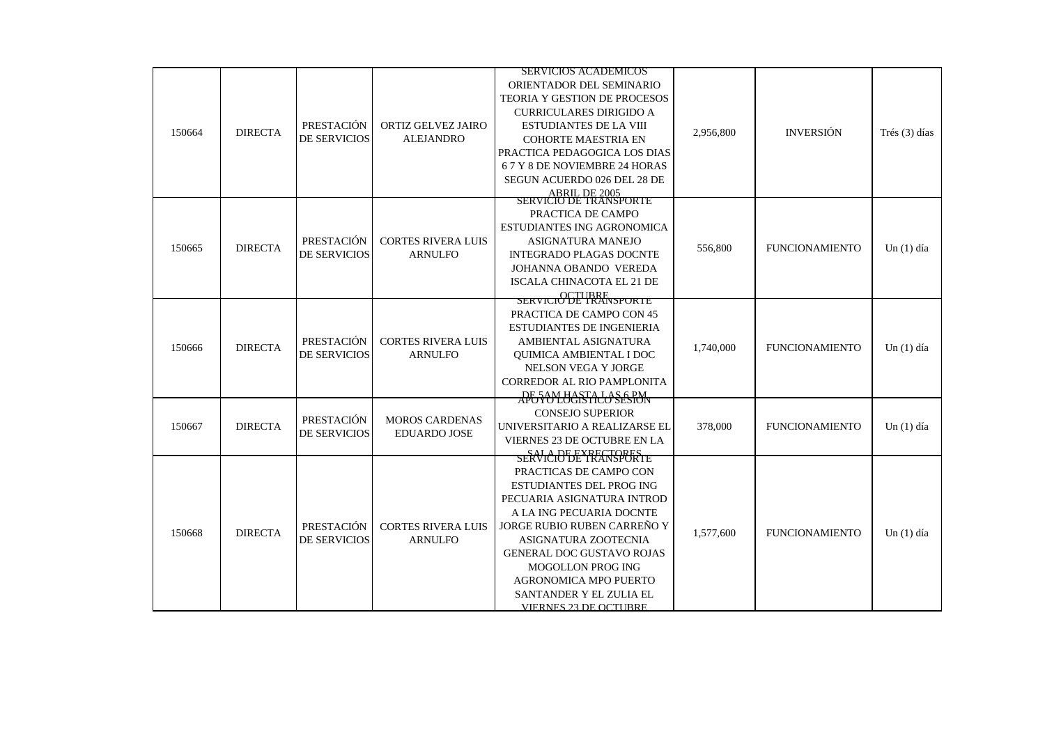|        |                |                     |                           | <b>SERVICIOS ACADEMICOS</b>                            |           |                       |               |
|--------|----------------|---------------------|---------------------------|--------------------------------------------------------|-----------|-----------------------|---------------|
|        |                |                     |                           | ORIENTADOR DEL SEMINARIO                               |           |                       |               |
|        |                |                     |                           | <b>TEORIA Y GESTION DE PROCESOS</b>                    |           |                       |               |
|        |                |                     |                           | <b>CURRICULARES DIRIGIDO A</b>                         |           |                       |               |
|        |                | PRESTACIÓN          | ORTIZ GELVEZ JAIRO        | <b>ESTUDIANTES DE LA VIII</b>                          |           |                       |               |
| 150664 | <b>DIRECTA</b> | <b>DE SERVICIOS</b> | <b>ALEJANDRO</b>          | <b>COHORTE MAESTRIA EN</b>                             | 2,956,800 | <b>INVERSIÓN</b>      | Trés (3) días |
|        |                |                     |                           | PRACTICA PEDAGOGICA LOS DIAS                           |           |                       |               |
|        |                |                     |                           | 67 Y 8 DE NOVIEMBRE 24 HORAS                           |           |                       |               |
|        |                |                     |                           | SEGUN ACUERDO 026 DEL 28 DE                            |           |                       |               |
|        |                |                     |                           | ABRIL DE 2005<br>SERVICIO DE TRANSPORTE                |           |                       |               |
|        |                |                     |                           | PRACTICA DE CAMPO                                      |           |                       |               |
|        |                |                     |                           | ESTUDIANTES ING AGRONOMICA                             |           |                       |               |
|        |                | PRESTACIÓN          | <b>CORTES RIVERA LUIS</b> | ASIGNATURA MANEJO                                      |           |                       |               |
| 150665 | <b>DIRECTA</b> | <b>DE SERVICIOS</b> | <b>ARNULFO</b>            | <b>INTEGRADO PLAGAS DOCNTE</b>                         | 556,800   | <b>FUNCIONAMIENTO</b> | Un $(1)$ día  |
|        |                |                     |                           | JOHANNA OBANDO VEREDA                                  |           |                       |               |
|        |                |                     |                           | <b>ISCALA CHINACOTA EL 21 DE</b>                       |           |                       |               |
|        |                |                     |                           | <b>SERVICIO DE TRANSPORTE</b>                          |           |                       |               |
|        |                |                     |                           |                                                        |           |                       |               |
|        |                |                     |                           | PRACTICA DE CAMPO CON 45                               |           |                       |               |
|        |                | PRESTACIÓN          | <b>CORTES RIVERA LUIS</b> | <b>ESTUDIANTES DE INGENIERIA</b>                       |           |                       |               |
| 150666 | <b>DIRECTA</b> | <b>DE SERVICIOS</b> | <b>ARNULFO</b>            | AMBIENTAL ASIGNATURA<br><b>OUIMICA AMBIENTAL I DOC</b> | 1,740,000 | <b>FUNCIONAMIENTO</b> | $Un(1)$ día   |
|        |                |                     |                           | NELSON VEGA Y JORGE                                    |           |                       |               |
|        |                |                     |                           | CORREDOR AL RIO PAMPLONITA                             |           |                       |               |
|        |                |                     |                           | APGSOLUGISTALO SESION                                  |           |                       |               |
|        |                |                     |                           |                                                        |           |                       |               |
|        |                | PRESTACIÓN          | <b>MOROS CARDENAS</b>     | <b>CONSEJO SUPERIOR</b>                                |           |                       |               |
| 150667 | <b>DIRECTA</b> | <b>DE SERVICIOS</b> | <b>EDUARDO JOSE</b>       | UNIVERSITARIO A REALIZARSE EL                          | 378,000   | <b>FUNCIONAMIENTO</b> | Un $(1)$ día  |
|        |                |                     |                           | VIERNES 23 DE OCTUBRE EN LA                            |           |                       |               |
|        |                |                     |                           | SERVICIO DE TRANSPORTE                                 |           |                       |               |
|        |                |                     |                           | PRACTICAS DE CAMPO CON                                 |           |                       |               |
|        |                |                     |                           | <b>ESTUDIANTES DEL PROG ING</b>                        |           |                       |               |
|        |                |                     |                           | PECUARIA ASIGNATURA INTROD                             |           |                       |               |
|        |                |                     |                           | A LA ING PECUARIA DOCNTE                               |           |                       |               |
| 150668 | <b>DIRECTA</b> | PRESTACIÓN          | <b>CORTES RIVERA LUIS</b> | JORGE RUBIO RUBEN CARREÑO Y                            | 1,577,600 | <b>FUNCIONAMIENTO</b> | Un $(1)$ día  |
|        |                | <b>DE SERVICIOS</b> | <b>ARNULFO</b>            | ASIGNATURA ZOOTECNIA                                   |           |                       |               |
|        |                |                     |                           | <b>GENERAL DOC GUSTAVO ROJAS</b>                       |           |                       |               |
|        |                |                     |                           | <b>MOGOLLON PROG ING</b>                               |           |                       |               |
|        |                |                     |                           | AGRONOMICA MPO PUERTO                                  |           |                       |               |
|        |                |                     |                           | SANTANDER Y EL ZULIA EL                                |           |                       |               |
|        |                |                     |                           | <b>VIERNES 23 DE OCTURRE</b>                           |           |                       |               |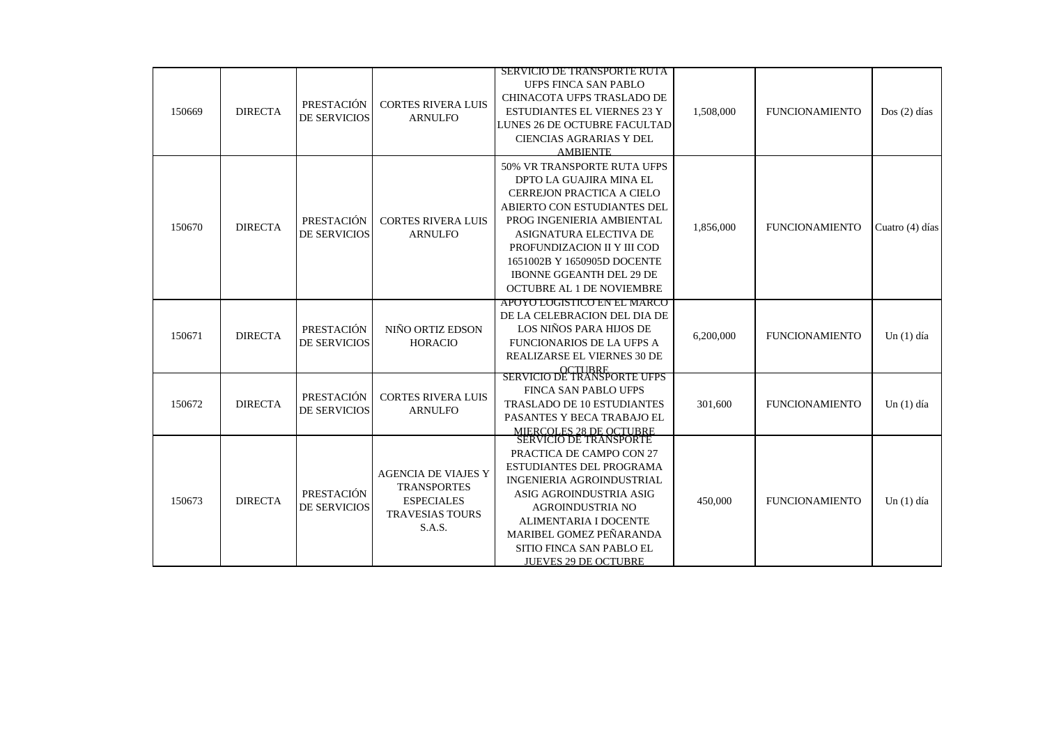|        |                |                                   |                                                                                                           | SERVICIO DE TRANSPORTE RUTA                                                                                                                                                                                                                                                                                    |           |                       |                 |
|--------|----------------|-----------------------------------|-----------------------------------------------------------------------------------------------------------|----------------------------------------------------------------------------------------------------------------------------------------------------------------------------------------------------------------------------------------------------------------------------------------------------------------|-----------|-----------------------|-----------------|
| 150669 | <b>DIRECTA</b> | PRESTACIÓN<br><b>DE SERVICIOS</b> | <b>CORTES RIVERA LUIS</b><br><b>ARNULFO</b>                                                               | <b>UFPS FINCA SAN PABLO</b><br>CHINACOTA UFPS TRASLADO DE<br>ESTUDIANTES EL VIERNES 23 Y<br>LUNES 26 DE OCTUBRE FACULTAD<br><b>CIENCIAS AGRARIAS Y DEL</b><br><b>AMBIENTE</b>                                                                                                                                  | 1,508,000 | <b>FUNCIONAMIENTO</b> | $Dos(2)$ días   |
| 150670 | <b>DIRECTA</b> | PRESTACIÓN<br>DE SERVICIOS        | <b>CORTES RIVERA LUIS</b><br><b>ARNULFO</b>                                                               | 50% VR TRANSPORTE RUTA UFPS<br>DPTO LA GUAJIRA MINA EL<br><b>CERREJON PRACTICA A CIELO</b><br>ABIERTO CON ESTUDIANTES DEL<br>PROG INGENIERIA AMBIENTAL<br>ASIGNATURA ELECTIVA DE<br>PROFUNDIZACION II Y III COD<br>1651002B Y 1650905D DOCENTE<br><b>IBONNE GGEANTH DEL 29 DE</b><br>OCTUBRE AL 1 DE NOVIEMBRE | 1,856,000 | <b>FUNCIONAMIENTO</b> | Cuatro (4) días |
| 150671 | <b>DIRECTA</b> | PRESTACIÓN<br><b>DE SERVICIOS</b> | NIÑO ORTIZ EDSON<br><b>HORACIO</b>                                                                        | APOYO LOGISTICO EN EL MARCO<br>DE LA CELEBRACION DEL DIA DE<br>LOS NIÑOS PARA HIJOS DE<br><b>FUNCIONARIOS DE LA UFPS A</b><br>REALIZARSE EL VIERNES 30 DE<br><b>OCTUBBE</b><br>SERVICIO DE TRANSPORTE UFPS                                                                                                     | 6,200,000 | <b>FUNCIONAMIENTO</b> | Un $(1)$ día    |
| 150672 | <b>DIRECTA</b> | PRESTACIÓN<br><b>DE SERVICIOS</b> | <b>CORTES RIVERA LUIS</b><br><b>ARNULFO</b>                                                               | <b>FINCA SAN PABLO UFPS</b><br><b>TRASLADO DE 10 ESTUDIANTES</b><br>PASANTES Y BECA TRABAJO EL<br>MIERCOLES 28 DE OCTUBRE<br>SERVICIO DE TRANSPORTE                                                                                                                                                            | 301,600   | <b>FUNCIONAMIENTO</b> | Un $(1)$ día    |
| 150673 | <b>DIRECTA</b> | PRESTACIÓN<br><b>DE SERVICIOS</b> | <b>AGENCIA DE VIAJES Y</b><br><b>TRANSPORTES</b><br><b>ESPECIALES</b><br><b>TRAVESIAS TOURS</b><br>S.A.S. | PRACTICA DE CAMPO CON 27<br>ESTUDIANTES DEL PROGRAMA<br>INGENIERIA AGROINDUSTRIAL<br>ASIG AGROINDUSTRIA ASIG<br><b>AGROINDUSTRIA NO</b><br><b>ALIMENTARIA I DOCENTE</b><br>MARIBEL GOMEZ PEÑARANDA<br>SITIO FINCA SAN PABLO EL<br><b>JUEVES 29 DE OCTUBRE</b>                                                  | 450,000   | <b>FUNCIONAMIENTO</b> | Un $(1)$ día    |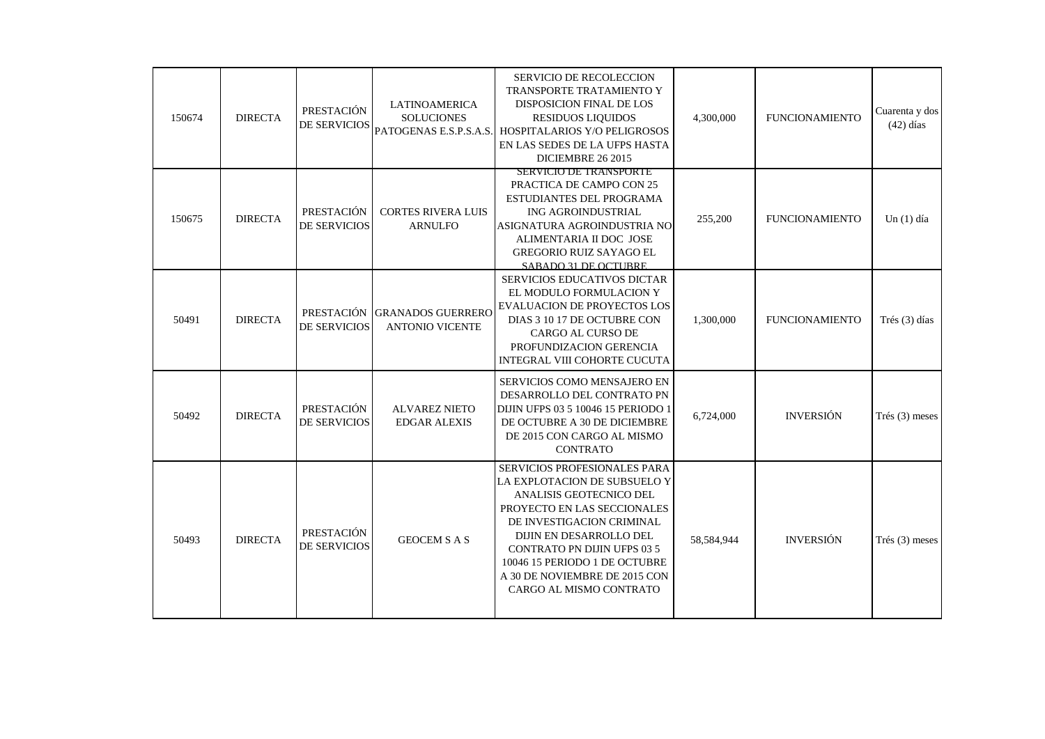| 150674 | <b>DIRECTA</b> | PRESTACIÓN<br>DE SERVICIOS        | <b>LATINOAMERICA</b><br><b>SOLUCIONES</b><br>PATOGENAS E.S.P.S.A.S. | SERVICIO DE RECOLECCION<br>TRANSPORTE TRATAMIENTO Y<br>DISPOSICION FINAL DE LOS<br><b>RESIDUOS LIQUIDOS</b><br>HOSPITALARIOS Y/O PELIGROSOS<br>EN LAS SEDES DE LA UFPS HASTA<br>DICIEMBRE 26 2015                                                                                                                        | 4,300,000  | <b>FUNCIONAMIENTO</b> | Cuarenta y dos<br>$(42)$ días |
|--------|----------------|-----------------------------------|---------------------------------------------------------------------|--------------------------------------------------------------------------------------------------------------------------------------------------------------------------------------------------------------------------------------------------------------------------------------------------------------------------|------------|-----------------------|-------------------------------|
| 150675 | <b>DIRECTA</b> | PRESTACIÓN<br><b>DE SERVICIOS</b> | <b>CORTES RIVERA LUIS</b><br><b>ARNULFO</b>                         | SERVICIO DE TRANSPORTE<br>PRACTICA DE CAMPO CON 25<br>ESTUDIANTES DEL PROGRAMA<br>ING AGROINDUSTRIAL<br>ASIGNATURA AGROINDUSTRIA NO<br>ALIMENTARIA II DOC JOSE<br><b>GREGORIO RUIZ SAYAGO EL</b><br><b>SABADO 31 DE OCTUBRE</b>                                                                                          | 255,200    | <b>FUNCIONAMIENTO</b> | Un $(1)$ día                  |
| 50491  | <b>DIRECTA</b> | DE SERVICIOS                      | PRESTACIÓN GRANADOS GUERRERO<br><b>ANTONIO VICENTE</b>              | SERVICIOS EDUCATIVOS DICTAR<br>EL MODULO FORMULACION Y<br><b>EVALUACION DE PROYECTOS LOS</b><br>DIAS 3 10 17 DE OCTUBRE CON<br>CARGO AL CURSO DE<br>PROFUNDIZACION GERENCIA<br>INTEGRAL VIII COHORTE CUCUTA                                                                                                              | 1,300,000  | <b>FUNCIONAMIENTO</b> | Trés (3) días                 |
| 50492  | <b>DIRECTA</b> | PRESTACIÓN<br>DE SERVICIOS        | <b>ALVAREZ NIETO</b><br><b>EDGAR ALEXIS</b>                         | SERVICIOS COMO MENSAJERO EN<br>DESARROLLO DEL CONTRATO PN<br>DIJIN UFPS 03 5 10046 15 PERIODO 1<br>DE OCTUBRE A 30 DE DICIEMBRE<br>DE 2015 CON CARGO AL MISMO<br><b>CONTRATO</b>                                                                                                                                         | 6,724,000  | <b>INVERSIÓN</b>      | $Trés (3)$ meses              |
| 50493  | <b>DIRECTA</b> | PRESTACIÓN<br>DE SERVICIOS        | <b>GEOCEM S A S</b>                                                 | <b>SERVICIOS PROFESIONALES PARA</b><br>LA EXPLOTACION DE SUBSUELO Y<br>ANALISIS GEOTECNICO DEL<br>PROYECTO EN LAS SECCIONALES<br>DE INVESTIGACION CRIMINAL<br>DIJIN EN DESARROLLO DEL<br><b>CONTRATO PN DIJIN UFPS 03 5</b><br>10046 15 PERIODO 1 DE OCTUBRE<br>A 30 DE NOVIEMBRE DE 2015 CON<br>CARGO AL MISMO CONTRATO | 58,584,944 | <b>INVERSIÓN</b>      | Trés $(3)$ meses              |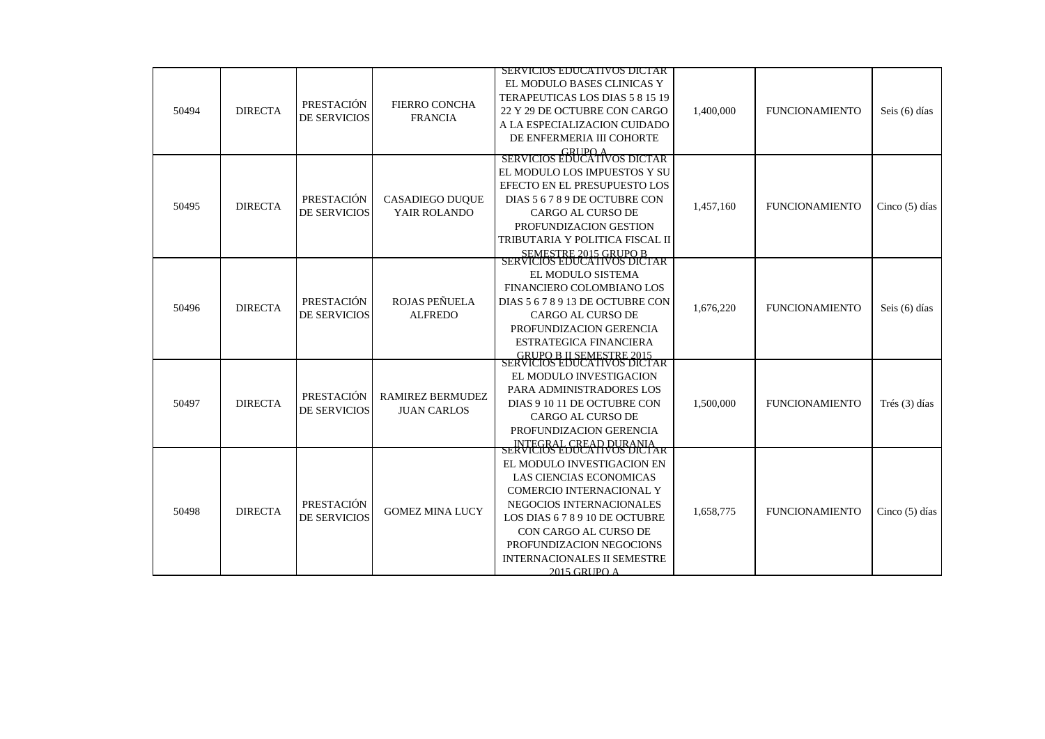|       |                |                            |                                 | SERVICIOS EDUCATIVOS DICTAR                                  |           |                       |                  |
|-------|----------------|----------------------------|---------------------------------|--------------------------------------------------------------|-----------|-----------------------|------------------|
|       |                |                            |                                 | EL MODULO BASES CLINICAS Y                                   |           |                       |                  |
|       |                |                            |                                 | TERAPEUTICAS LOS DIAS 5 8 15 19                              |           |                       |                  |
| 50494 | <b>DIRECTA</b> | PRESTACIÓN                 | <b>FIERRO CONCHA</b>            | 22 Y 29 DE OCTUBRE CON CARGO                                 | 1,400,000 | <b>FUNCIONAMIENTO</b> | Seis (6) días    |
|       |                | <b>DE SERVICIOS</b>        | <b>FRANCIA</b>                  | A LA ESPECIALIZACION CUIDADO                                 |           |                       |                  |
|       |                |                            |                                 | DE ENFERMERIA III COHORTE                                    |           |                       |                  |
|       |                |                            |                                 | GRUPO A<br>SERVICIOS EDUCATIVOS DICTAR                       |           |                       |                  |
|       |                |                            |                                 |                                                              |           |                       |                  |
|       |                |                            |                                 | EL MODULO LOS IMPUESTOS Y SU<br>EFECTO EN EL PRESUPUESTO LOS |           |                       |                  |
|       |                | PRESTACIÓN                 | <b>CASADIEGO DUOUE</b>          | DIAS 5 6 7 8 9 DE OCTUBRE CON                                |           |                       |                  |
| 50495 | <b>DIRECTA</b> | <b>DE SERVICIOS</b>        | YAIR ROLANDO                    | <b>CARGO AL CURSO DE</b>                                     | 1,457,160 | <b>FUNCIONAMIENTO</b> | Cinco $(5)$ días |
|       |                |                            |                                 | PROFUNDIZACION GESTION                                       |           |                       |                  |
|       |                |                            |                                 | TRIBUTARIA Y POLITICA FISCAL II                              |           |                       |                  |
|       |                |                            |                                 |                                                              |           |                       |                  |
|       |                |                            |                                 | SEMESTRE 2015 GRUPO B<br>SERVICIOS EDUCATIVOS DICTAR         |           |                       |                  |
|       |                |                            |                                 | EL MODULO SISTEMA                                            |           |                       |                  |
|       |                |                            |                                 | FINANCIERO COLOMBIANO LOS                                    |           |                       |                  |
|       | <b>DIRECTA</b> | PRESTACIÓN<br>DE SERVICIOS | ROJAS PEÑUELA<br><b>ALFREDO</b> | DIAS 5 6 7 8 9 13 DE OCTUBRE CON                             | 1,676,220 |                       |                  |
| 50496 |                |                            |                                 | CARGO AL CURSO DE                                            |           | <b>FUNCIONAMIENTO</b> | Seis (6) días    |
|       |                |                            |                                 | PROFUNDIZACION GERENCIA                                      |           |                       |                  |
|       |                |                            |                                 | <b>ESTRATEGICA FINANCIERA</b>                                |           |                       |                  |
|       |                |                            |                                 | GRUPO B IL SEMESTRE 2015<br>SERVICIOS EDUCATIVOS DICTAR      |           |                       |                  |
|       |                |                            |                                 | EL MODULO INVESTIGACION                                      |           |                       |                  |
|       |                |                            |                                 |                                                              |           |                       |                  |
| 50497 | <b>DIRECTA</b> | PRESTACIÓN                 | <b>RAMIREZ BERMUDEZ</b>         | PARA ADMINISTRADORES LOS<br>DIAS 9 10 11 DE OCTUBRE CON      |           | <b>FUNCIONAMIENTO</b> |                  |
|       |                | DE SERVICIOS               | <b>JUAN CARLOS</b>              |                                                              | 1,500,000 |                       | Trés (3) días    |
|       |                |                            |                                 | CARGO AL CURSO DE                                            |           |                       |                  |
|       |                |                            |                                 | PROFUNDIZACION GERENCIA                                      |           |                       |                  |
|       |                |                            |                                 | SERVICIOS EDUCATIVOS DICTAR                                  |           |                       |                  |
|       |                |                            |                                 | EL MODULO INVESTIGACION EN                                   |           |                       |                  |
|       |                |                            |                                 | LAS CIENCIAS ECONOMICAS                                      |           |                       |                  |
|       |                |                            |                                 | <b>COMERCIO INTERNACIONAL Y</b>                              |           |                       |                  |
| 50498 | <b>DIRECTA</b> | PRESTACIÓN                 | <b>GOMEZ MINA LUCY</b>          | NEGOCIOS INTERNACIONALES                                     | 1,658,775 | <b>FUNCIONAMIENTO</b> |                  |
|       |                | DE SERVICIOS               |                                 | LOS DIAS 678910 DE OCTUBRE                                   |           |                       | Cinco $(5)$ días |
|       |                |                            |                                 | CON CARGO AL CURSO DE                                        |           |                       |                  |
|       |                |                            |                                 | PROFUNDIZACION NEGOCIONS                                     |           |                       |                  |
|       |                |                            |                                 | <b>INTERNACIONALES II SEMESTRE</b>                           |           |                       |                  |
|       |                |                            |                                 | 2015 GRUPO A                                                 |           |                       |                  |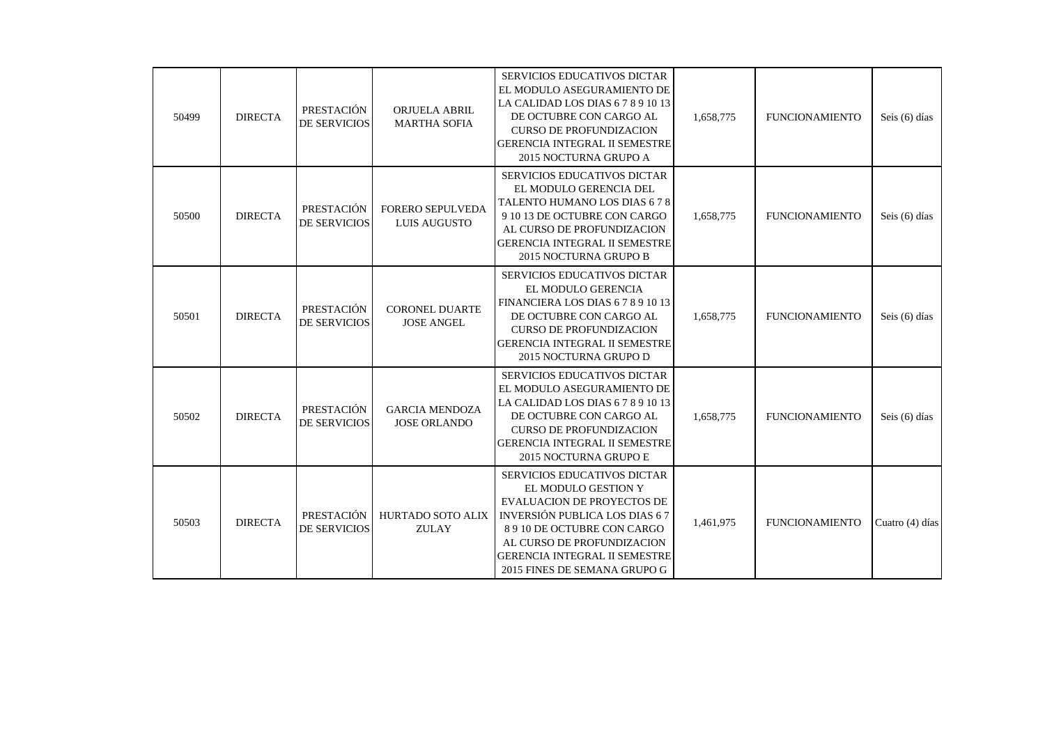| 50499 | <b>DIRECTA</b> | PRESTACIÓN<br><b>DE SERVICIOS</b> | <b>ORJUELA ABRIL</b><br><b>MARTHA SOFIA</b>  | SERVICIOS EDUCATIVOS DICTAR<br>EL MODULO ASEGURAMIENTO DE<br>LA CALIDAD LOS DIAS 6 7 8 9 10 13<br>DE OCTUBRE CON CARGO AL<br><b>CURSO DE PROFUNDIZACION</b><br><b>GERENCIA INTEGRAL II SEMESTRE</b><br>2015 NOCTURNA GRUPO A                                                | 1,658,775 | <b>FUNCIONAMIENTO</b> | Seis (6) días   |
|-------|----------------|-----------------------------------|----------------------------------------------|-----------------------------------------------------------------------------------------------------------------------------------------------------------------------------------------------------------------------------------------------------------------------------|-----------|-----------------------|-----------------|
| 50500 | <b>DIRECTA</b> | PRESTACIÓN<br>DE SERVICIOS        | FORERO SEPULVEDA<br><b>LUIS AUGUSTO</b>      | SERVICIOS EDUCATIVOS DICTAR<br>EL MODULO GERENCIA DEL<br>TALENTO HUMANO LOS DIAS 678<br>9 10 13 DE OCTUBRE CON CARGO<br>AL CURSO DE PROFUNDIZACION<br>GERENCIA INTEGRAL II SEMESTRE<br>2015 NOCTURNA GRUPO B                                                                | 1,658,775 | <b>FUNCIONAMIENTO</b> | Seis (6) días   |
| 50501 | <b>DIRECTA</b> | PRESTACIÓN<br><b>DE SERVICIOS</b> | <b>CORONEL DUARTE</b><br><b>JOSE ANGEL</b>   | SERVICIOS EDUCATIVOS DICTAR<br>EL MODULO GERENCIA<br>FINANCIERA LOS DIAS 6 7 8 9 10 13<br>DE OCTUBRE CON CARGO AL<br><b>CURSO DE PROFUNDIZACION</b><br><b>GERENCIA INTEGRAL II SEMESTRE</b><br>2015 NOCTURNA GRUPO D                                                        | 1,658,775 | <b>FUNCIONAMIENTO</b> | Seis (6) días   |
| 50502 | <b>DIRECTA</b> | PRESTACIÓN<br><b>DE SERVICIOS</b> | <b>GARCIA MENDOZA</b><br><b>JOSE ORLANDO</b> | <b>SERVICIOS EDUCATIVOS DICTAR</b><br>EL MODULO ASEGURAMIENTO DE<br>LA CALIDAD LOS DIAS 6 7 8 9 10 13<br>DE OCTUBRE CON CARGO AL<br><b>CURSO DE PROFUNDIZACION</b><br><b>GERENCIA INTEGRAL II SEMESTRE</b><br>2015 NOCTURNA GRUPO E                                         | 1,658,775 | <b>FUNCIONAMIENTO</b> | Seis (6) días   |
| 50503 | <b>DIRECTA</b> | PRESTACIÓN<br>DE SERVICIOS        | <b>HURTADO SOTO ALIX</b><br><b>ZULAY</b>     | <b>SERVICIOS EDUCATIVOS DICTAR</b><br>EL MODULO GESTION Y<br><b>EVALUACION DE PROYECTOS DE</b><br><b>INVERSIÓN PUBLICA LOS DIAS 67</b><br>8 9 10 DE OCTUBRE CON CARGO<br>AL CURSO DE PROFUNDIZACION<br><b>GERENCIA INTEGRAL II SEMESTRE</b><br>2015 FINES DE SEMANA GRUPO G | 1,461,975 | <b>FUNCIONAMIENTO</b> | Cuatro (4) días |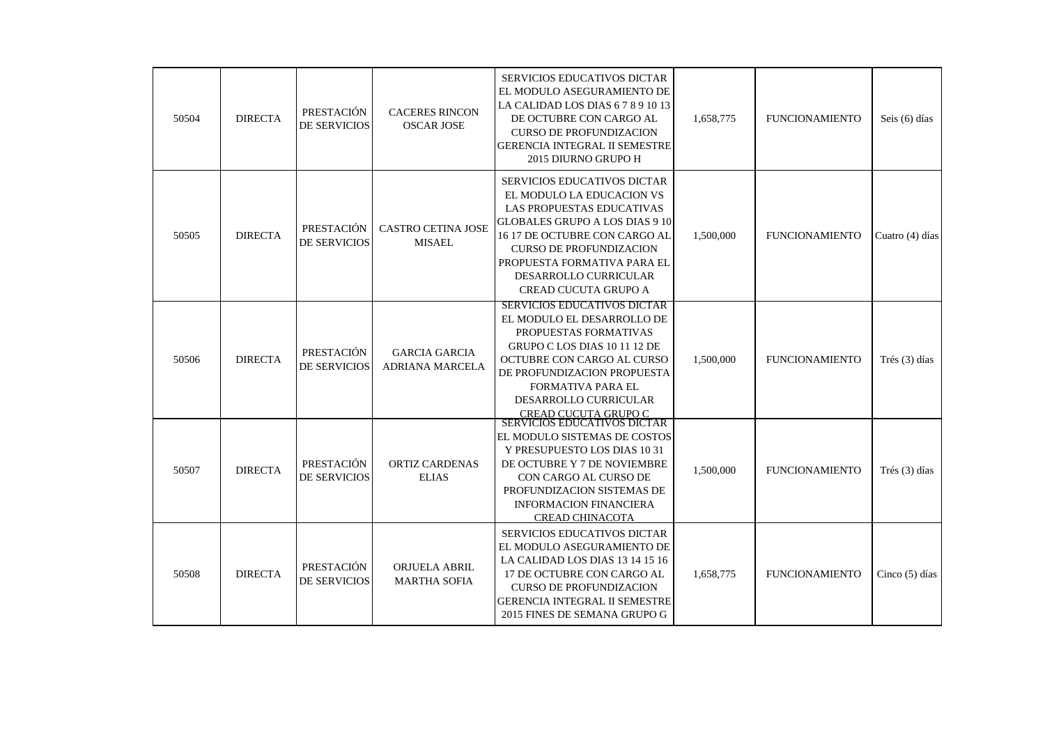| 50504 | <b>DIRECTA</b> | PRESTACIÓN<br><b>DE SERVICIOS</b> | <b>CACERES RINCON</b><br><b>OSCAR JOSE</b>     | <b>SERVICIOS EDUCATIVOS DICTAR</b><br>EL MODULO ASEGURAMIENTO DE<br>LA CALIDAD LOS DIAS 6 7 8 9 10 13<br>DE OCTUBRE CON CARGO AL<br><b>CURSO DE PROFUNDIZACION</b><br><b>GERENCIA INTEGRAL II SEMESTRE</b><br>2015 DIURNO GRUPO H                                                 | 1,658,775 | <b>FUNCIONAMIENTO</b> | Seis (6) días    |
|-------|----------------|-----------------------------------|------------------------------------------------|-----------------------------------------------------------------------------------------------------------------------------------------------------------------------------------------------------------------------------------------------------------------------------------|-----------|-----------------------|------------------|
| 50505 | <b>DIRECTA</b> | PRESTACIÓN<br><b>DE SERVICIOS</b> | <b>CASTRO CETINA JOSE</b><br><b>MISAEL</b>     | SERVICIOS EDUCATIVOS DICTAR<br>EL MODULO LA EDUCACION VS<br>LAS PROPUESTAS EDUCATIVAS<br>GLOBALES GRUPO A LOS DIAS 9 10<br>16 17 DE OCTUBRE CON CARGO AL<br><b>CURSO DE PROFUNDIZACION</b><br>PROPUESTA FORMATIVA PARA EL<br><b>DESARROLLO CURRICULAR</b><br>CREAD CUCUTA GRUPO A | 1,500,000 | <b>FUNCIONAMIENTO</b> | Cuatro (4) días  |
| 50506 | <b>DIRECTA</b> | PRESTACIÓN<br><b>DE SERVICIOS</b> | <b>GARCIA GARCIA</b><br><b>ADRIANA MARCELA</b> | <b>SERVICIOS EDUCATIVOS DICTAR</b><br>EL MODULO EL DESARROLLO DE<br>PROPUESTAS FORMATIVAS<br>GRUPO C LOS DIAS 10 11 12 DE<br>OCTUBRE CON CARGO AL CURSO<br>DE PROFUNDIZACION PROPUESTA<br>FORMATIVA PARA EL<br>DESARROLLO CURRICULAR<br><u>CREAD CUCUTA GRUPO C</u>               | 1,500,000 | <b>FUNCIONAMIENTO</b> | Trés (3) días    |
| 50507 | <b>DIRECTA</b> | PRESTACIÓN<br>DE SERVICIOS        | <b>ORTIZ CARDENAS</b><br><b>ELIAS</b>          | SERVICIOS EDUCATIVOS DICTAR<br>EL MODULO SISTEMAS DE COSTOS<br>Y PRESUPUESTO LOS DIAS 1031<br>DE OCTUBRE Y 7 DE NOVIEMBRE<br>CON CARGO AL CURSO DE<br>PROFUNDIZACION SISTEMAS DE<br><b>INFORMACION FINANCIERA</b><br><b>CREAD CHINACOTA</b>                                       | 1,500,000 | <b>FUNCIONAMIENTO</b> | Trés (3) días    |
| 50508 | <b>DIRECTA</b> | PRESTACIÓN<br>DE SERVICIOS        | ORJUELA ABRIL<br><b>MARTHA SOFIA</b>           | <b>SERVICIOS EDUCATIVOS DICTAR</b><br>EL MODULO ASEGURAMIENTO DE<br>LA CALIDAD LOS DIAS 13 14 15 16<br>17 DE OCTUBRE CON CARGO AL<br><b>CURSO DE PROFUNDIZACION</b><br><b>GERENCIA INTEGRAL II SEMESTRE</b><br>2015 FINES DE SEMANA GRUPO G                                       | 1,658,775 | <b>FUNCIONAMIENTO</b> | Cinco $(5)$ días |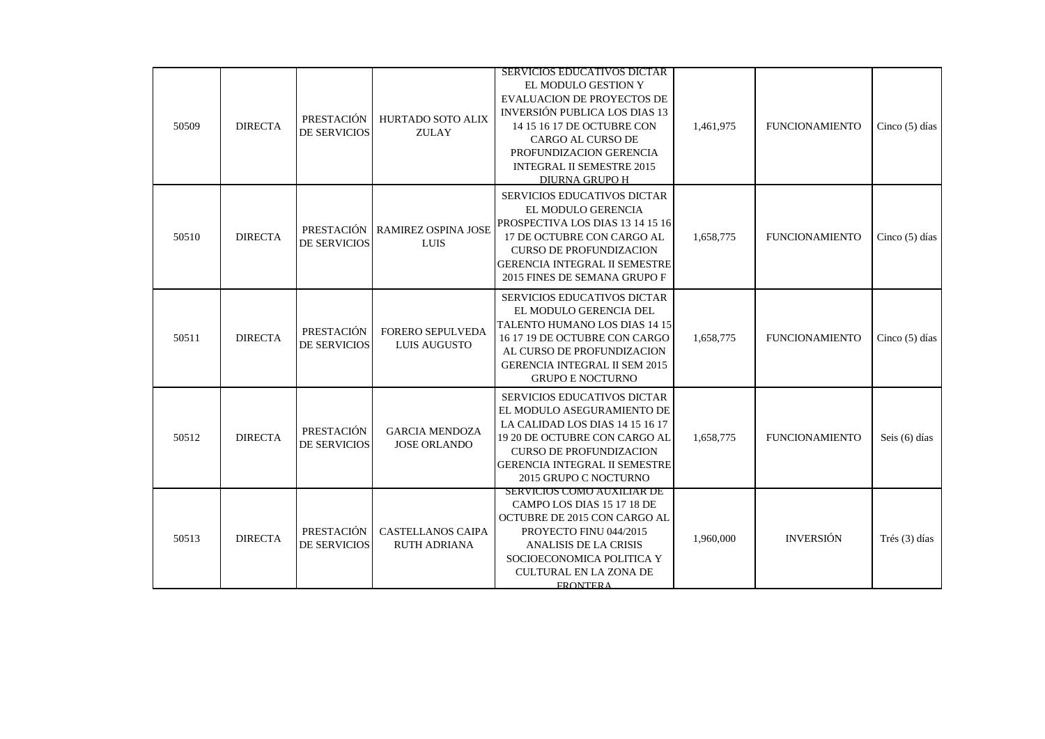|       |                |                                   |                                                 | <b>SERVICIOS EDUCATIVOS DICTAR</b>                                                                                                                                                                                               |           |                       |                  |
|-------|----------------|-----------------------------------|-------------------------------------------------|----------------------------------------------------------------------------------------------------------------------------------------------------------------------------------------------------------------------------------|-----------|-----------------------|------------------|
| 50509 | <b>DIRECTA</b> | PRESTACIÓN<br>DE SERVICIOS        | HURTADO SOTO ALIX<br><b>ZULAY</b>               | EL MODULO GESTION Y<br>EVALUACION DE PROYECTOS DE<br>INVERSIÓN PUBLICA LOS DIAS 13<br>14 15 16 17 DE OCTUBRE CON<br>CARGO AL CURSO DE<br>PROFUNDIZACION GERENCIA<br><b>INTEGRAL II SEMESTRE 2015</b><br><b>DIURNA GRUPO H</b>    | 1,461,975 | <b>FUNCIONAMIENTO</b> | Cinco $(5)$ días |
| 50510 | <b>DIRECTA</b> | DE SERVICIOS                      | PRESTACIÓN   RAMIREZ OSPINA JOSE<br><b>LUIS</b> | SERVICIOS EDUCATIVOS DICTAR<br>EL MODULO GERENCIA<br>PROSPECTIVA LOS DIAS 13 14 15 16<br>17 DE OCTUBRE CON CARGO AL<br><b>CURSO DE PROFUNDIZACION</b><br><b>GERENCIA INTEGRAL II SEMESTRE</b><br>2015 FINES DE SEMANA GRUPO F    | 1,658,775 | <b>FUNCIONAMIENTO</b> | Cinco $(5)$ días |
| 50511 | <b>DIRECTA</b> | PRESTACIÓN<br><b>DE SERVICIOS</b> | FORERO SEPULVEDA<br>LUIS AUGUSTO                | SERVICIOS EDUCATIVOS DICTAR<br>EL MODULO GERENCIA DEL<br>TALENTO HUMANO LOS DIAS 14 15<br>16 17 19 DE OCTUBRE CON CARGO<br>AL CURSO DE PROFUNDIZACION<br><b>GERENCIA INTEGRAL II SEM 2015</b><br><b>GRUPO E NOCTURNO</b>         | 1,658,775 | <b>FUNCIONAMIENTO</b> | Cinco $(5)$ días |
| 50512 | <b>DIRECTA</b> | PRESTACIÓN<br><b>DE SERVICIOS</b> | <b>GARCIA MENDOZA</b><br><b>JOSE ORLANDO</b>    | SERVICIOS EDUCATIVOS DICTAR<br>EL MODULO ASEGURAMIENTO DE<br>LA CALIDAD LOS DIAS 14 15 16 17<br>19 20 DE OCTUBRE CON CARGO AL<br><b>CURSO DE PROFUNDIZACION</b><br><b>GERENCIA INTEGRAL II SEMESTRE</b><br>2015 GRUPO C NOCTURNO | 1,658,775 | <b>FUNCIONAMIENTO</b> | Seis (6) días    |
| 50513 | <b>DIRECTA</b> | PRESTACIÓN<br><b>DE SERVICIOS</b> | <b>CASTELLANOS CAIPA</b><br><b>RUTH ADRIANA</b> | SERVICIOS COMO AUXILIAR DE<br>CAMPO LOS DIAS 15 17 18 DE<br>OCTUBRE DE 2015 CON CARGO AL<br>PROYECTO FINU 044/2015<br>ANALISIS DE LA CRISIS<br>SOCIOECONOMICA POLITICA Y<br><b>CULTURAL EN LA ZONA DE</b><br><b>FRONTERA</b>     | 1,960,000 | <b>INVERSIÓN</b>      | Trés (3) días    |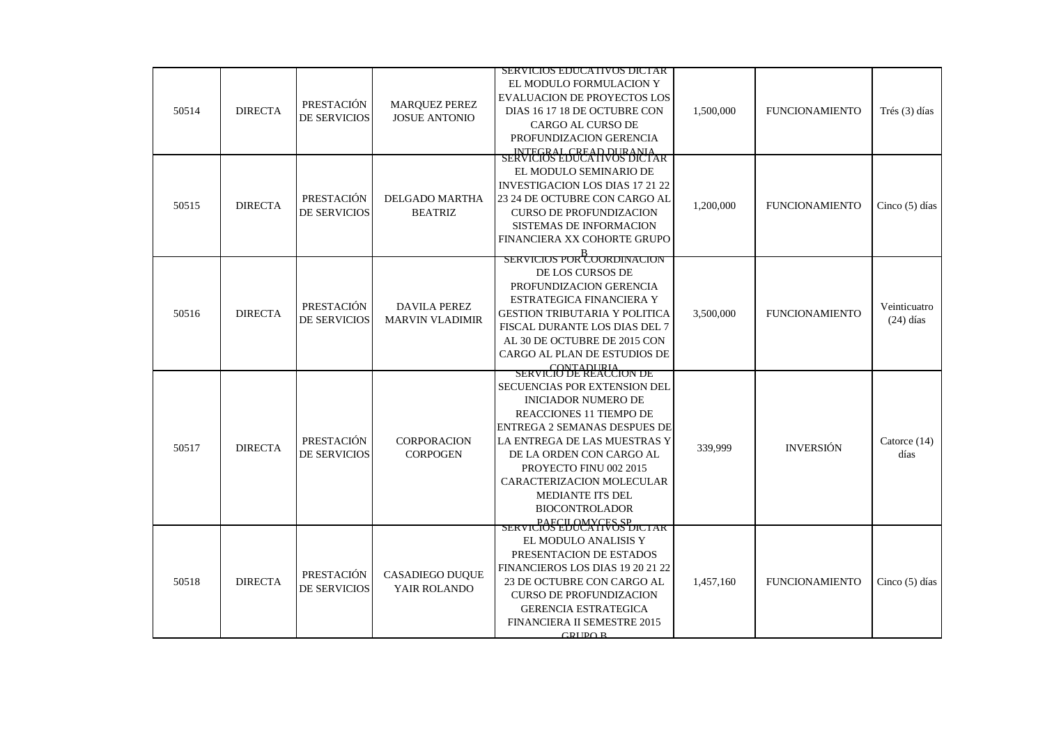|       |                |              |                        | SERVICIOS EDUCATIVOS DICTAR                           |           |                       |                |
|-------|----------------|--------------|------------------------|-------------------------------------------------------|-----------|-----------------------|----------------|
|       |                |              |                        | EL MODULO FORMULACION Y                               |           |                       |                |
|       |                |              |                        | <b>EVALUACION DE PROYECTOS LOS</b>                    |           |                       |                |
| 50514 | <b>DIRECTA</b> | PRESTACIÓN   | <b>MARQUEZ PEREZ</b>   | DIAS 16 17 18 DE OCTUBRE CON                          | 1,500,000 | <b>FUNCIONAMIENTO</b> | Trés (3) días  |
|       |                | DE SERVICIOS | <b>JOSUE ANTONIO</b>   | CARGO AL CURSO DE                                     |           |                       |                |
|       |                |              |                        | PROFUNDIZACION GERENCIA                               |           |                       |                |
|       |                |              |                        | INTEGRAL CREAD DURANIA<br>SERVICIOS EDUCATIVOS DICTAR |           |                       |                |
|       |                |              |                        | EL MODULO SEMINARIO DE                                |           |                       |                |
|       |                |              |                        | <b>INVESTIGACION LOS DIAS 17 21 22</b>                |           |                       |                |
|       |                | PRESTACIÓN   | DELGADO MARTHA         | 23 24 DE OCTUBRE CON CARGO AL                         |           |                       |                |
| 50515 | <b>DIRECTA</b> | DE SERVICIOS | <b>BEATRIZ</b>         | <b>CURSO DE PROFUNDIZACION</b>                        | 1,200,000 | <b>FUNCIONAMIENTO</b> | Cinco (5) días |
|       |                |              |                        | SISTEMAS DE INFORMACION                               |           |                       |                |
|       |                |              |                        | FINANCIERA XX COHORTE GRUPO                           |           |                       |                |
|       |                |              |                        |                                                       |           |                       |                |
|       |                |              |                        | SERVICIOS POR COORDINACION                            |           |                       |                |
|       |                |              |                        | DE LOS CURSOS DE                                      |           |                       |                |
|       |                |              |                        | PROFUNDIZACION GERENCIA                               |           |                       |                |
|       |                | PRESTACIÓN   | <b>DAVILA PEREZ</b>    | ESTRATEGICA FINANCIERA Y                              |           |                       | Veinticuatro   |
| 50516 | <b>DIRECTA</b> | DE SERVICIOS | <b>MARVIN VLADIMIR</b> | <b>GESTION TRIBUTARIA Y POLITICA</b>                  | 3.500,000 | <b>FUNCIONAMIENTO</b> | $(24)$ días    |
|       |                |              |                        | FISCAL DURANTE LOS DIAS DEL 7                         |           |                       |                |
|       |                |              |                        | AL 30 DE OCTUBRE DE 2015 CON                          |           |                       |                |
|       |                |              |                        | CARGO AL PLAN DE ESTUDIOS DE                          |           |                       |                |
|       |                |              |                        | SERVICIO DE REACCION DE                               |           |                       |                |
|       |                |              |                        | SECUENCIAS POR EXTENSION DEL                          |           |                       |                |
|       |                |              |                        | <b>INICIADOR NUMERO DE</b>                            |           |                       |                |
|       |                |              |                        | REACCIONES 11 TIEMPO DE                               |           |                       |                |
|       |                |              |                        | <b>ENTREGA 2 SEMANAS DESPUES DE</b>                   |           |                       |                |
| 50517 | <b>DIRECTA</b> | PRESTACIÓN   | CORPORACION            | LA ENTREGA DE LAS MUESTRAS Y                          | 339,999   | <b>INVERSIÓN</b>      | Catorce (14)   |
|       |                | DE SERVICIOS | <b>CORPOGEN</b>        | DE LA ORDEN CON CARGO AL                              |           |                       | días           |
|       |                |              |                        | PROYECTO FINU 002 2015                                |           |                       |                |
|       |                |              |                        | CARACTERIZACION MOLECULAR                             |           |                       |                |
|       |                |              |                        | MEDIANTE ITS DEL                                      |           |                       |                |
|       |                |              |                        | <b>BIOCONTROLADOR</b>                                 |           |                       |                |
|       |                |              |                        | SERVICIÓS EDUCATIVOS DICIAR                           |           |                       |                |
|       |                |              |                        | EL MODULO ANALISIS Y                                  |           |                       |                |
|       |                |              |                        | PRESENTACION DE ESTADOS                               |           |                       |                |
|       |                |              |                        | FINANCIEROS LOS DIAS 19 20 21 22                      |           |                       |                |
| 50518 | <b>DIRECTA</b> | PRESTACIÓN   | <b>CASADIEGO DUQUE</b> | 23 DE OCTUBRE CON CARGO AL                            | 1,457,160 | <b>FUNCIONAMIENTO</b> | Cinco (5) días |
|       |                | DE SERVICIOS | YAIR ROLANDO           | <b>CURSO DE PROFUNDIZACION</b>                        |           |                       |                |
|       |                |              |                        | <b>GERENCIA ESTRATEGICA</b>                           |           |                       |                |
|       |                |              |                        | <b>FINANCIERA II SEMESTRE 2015</b>                    |           |                       |                |
|       |                |              |                        | GRIIDOR                                               |           |                       |                |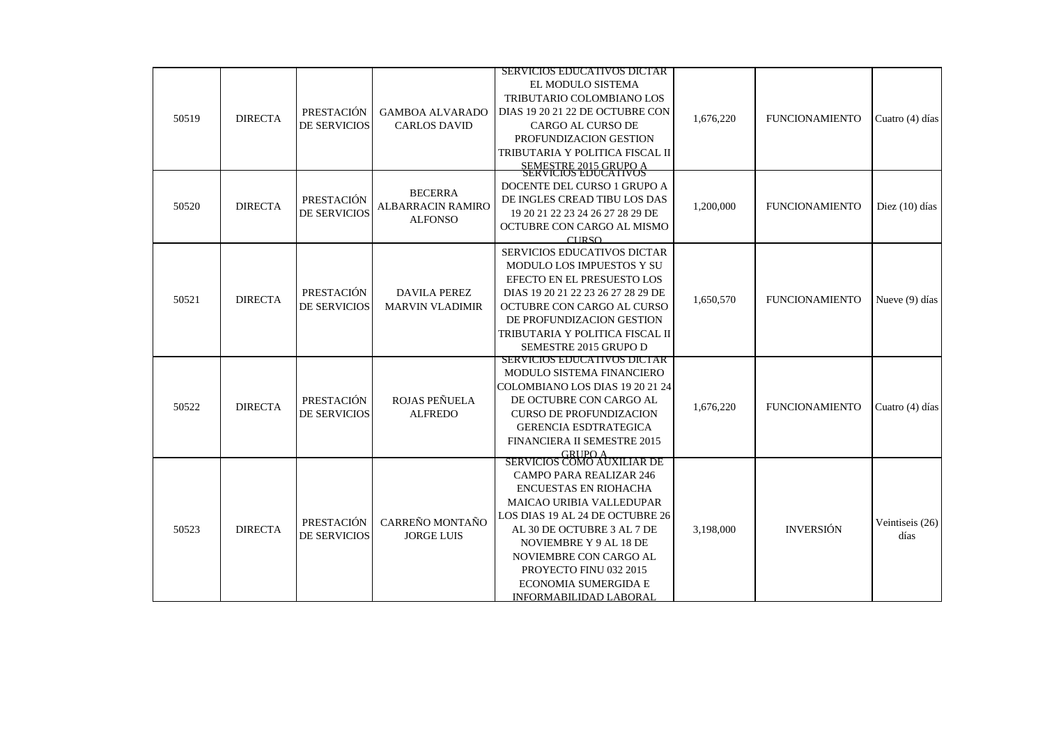|       |                |                     |                        | <b>SERVICIOS EDUCATIVOS DICTAR</b>            |           |                       |                         |
|-------|----------------|---------------------|------------------------|-----------------------------------------------|-----------|-----------------------|-------------------------|
|       |                |                     |                        | EL MODULO SISTEMA                             |           |                       |                         |
|       |                |                     |                        | TRIBUTARIO COLOMBIANO LOS                     |           |                       |                         |
|       |                | PRESTACIÓN          | <b>GAMBOA ALVARADO</b> | DIAS 19 20 21 22 DE OCTUBRE CON               |           |                       |                         |
| 50519 | <b>DIRECTA</b> | <b>DE SERVICIOS</b> | <b>CARLOS DAVID</b>    | <b>CARGO AL CURSO DE</b>                      | 1,676,220 | <b>FUNCIONAMIENTO</b> | Cuatro (4) días         |
|       |                |                     |                        | PROFUNDIZACION GESTION                        |           |                       |                         |
|       |                |                     |                        | TRIBUTARIA Y POLITICA FISCAL II               |           |                       |                         |
|       |                |                     |                        | SEMESTRE 2015 GRUPO A<br>SERVICIOS EDUCATIVOS |           |                       |                         |
|       |                |                     |                        | DOCENTE DEL CURSO 1 GRUPO A                   |           |                       |                         |
|       |                | PRESTACIÓN          | <b>BECERRA</b>         | DE INGLES CREAD TIBU LOS DAS                  |           |                       |                         |
| 50520 | <b>DIRECTA</b> | DE SERVICIOS        | ALBARRACIN RAMIRO      | 19 20 21 22 23 24 26 27 28 29 DE              | 1,200,000 | <b>FUNCIONAMIENTO</b> | Diez $(10)$ días        |
|       |                |                     | <b>ALFONSO</b>         | OCTUBRE CON CARGO AL MISMO                    |           |                       |                         |
|       |                |                     |                        | CIFRSO                                        |           |                       |                         |
|       |                |                     |                        | SERVICIOS EDUCATIVOS DICTAR                   |           |                       |                         |
|       |                |                     |                        | MODULO LOS IMPUESTOS Y SU                     |           |                       |                         |
|       |                |                     |                        | EFECTO EN EL PRESUESTO LOS                    |           |                       |                         |
| 50521 | <b>DIRECTA</b> | PRESTACIÓN          | <b>DAVILA PEREZ</b>    | DIAS 19 20 21 22 23 26 27 28 29 DE            | 1,650,570 | <b>FUNCIONAMIENTO</b> | Nueve (9) días          |
|       |                | <b>DE SERVICIOS</b> | <b>MARVIN VLADIMIR</b> | OCTUBRE CON CARGO AL CURSO                    |           |                       |                         |
|       |                |                     |                        | DE PROFUNDIZACION GESTION                     |           |                       |                         |
|       |                |                     |                        | TRIBUTARIA Y POLITICA FISCAL II               |           |                       |                         |
|       |                |                     |                        | SEMESTRE 2015 GRUPO D                         |           |                       |                         |
|       |                |                     |                        | SERVICIOS EDUCATIVOS DICTAR                   |           |                       |                         |
|       |                |                     |                        | MODULO SISTEMA FINANCIERO                     |           |                       |                         |
|       |                |                     |                        | COLOMBIANO LOS DIAS 19 20 21 24               |           |                       |                         |
| 50522 | <b>DIRECTA</b> | PRESTACIÓN          | ROJAS PEÑUELA          | DE OCTUBRE CON CARGO AL                       | 1,676,220 | <b>FUNCIONAMIENTO</b> | Cuatro (4) días         |
|       |                | <b>DE SERVICIOS</b> | <b>ALFREDO</b>         | <b>CURSO DE PROFUNDIZACION</b>                |           |                       |                         |
|       |                |                     |                        | <b>GERENCIA ESDTRATEGICA</b>                  |           |                       |                         |
|       |                |                     |                        | FINANCIERA II SEMESTRE 2015                   |           |                       |                         |
|       |                |                     |                        | SERVICIOS COMO AUXILIAR DE                    |           |                       |                         |
|       |                |                     |                        | <b>CAMPO PARA REALIZAR 246</b>                |           |                       |                         |
|       |                |                     |                        | <b>ENCUESTAS EN RIOHACHA</b>                  |           |                       |                         |
|       |                |                     |                        | <b>MAICAO URIBIA VALLEDUPAR</b>               |           |                       |                         |
|       |                | PRESTACIÓN          | CARREÑO MONTAÑO        | LOS DIAS 19 AL 24 DE OCTUBRE 26               |           |                       |                         |
| 50523 | <b>DIRECTA</b> | <b>DE SERVICIOS</b> | <b>JORGE LUIS</b>      | AL 30 DE OCTUBRE 3 AL 7 DE                    | 3,198,000 | <b>INVERSIÓN</b>      | Veintiseis (26)<br>días |
|       |                |                     |                        | NOVIEMBRE Y 9 AL 18 DE                        |           |                       |                         |
|       |                |                     |                        | NOVIEMBRE CON CARGO AL                        |           |                       |                         |
|       |                |                     |                        | PROYECTO FINU 032 2015                        |           |                       |                         |
|       |                |                     |                        | <b>ECONOMIA SUMERGIDA E</b>                   |           |                       |                         |
|       |                |                     |                        | INFORMABILIDAD LABORAL                        |           |                       |                         |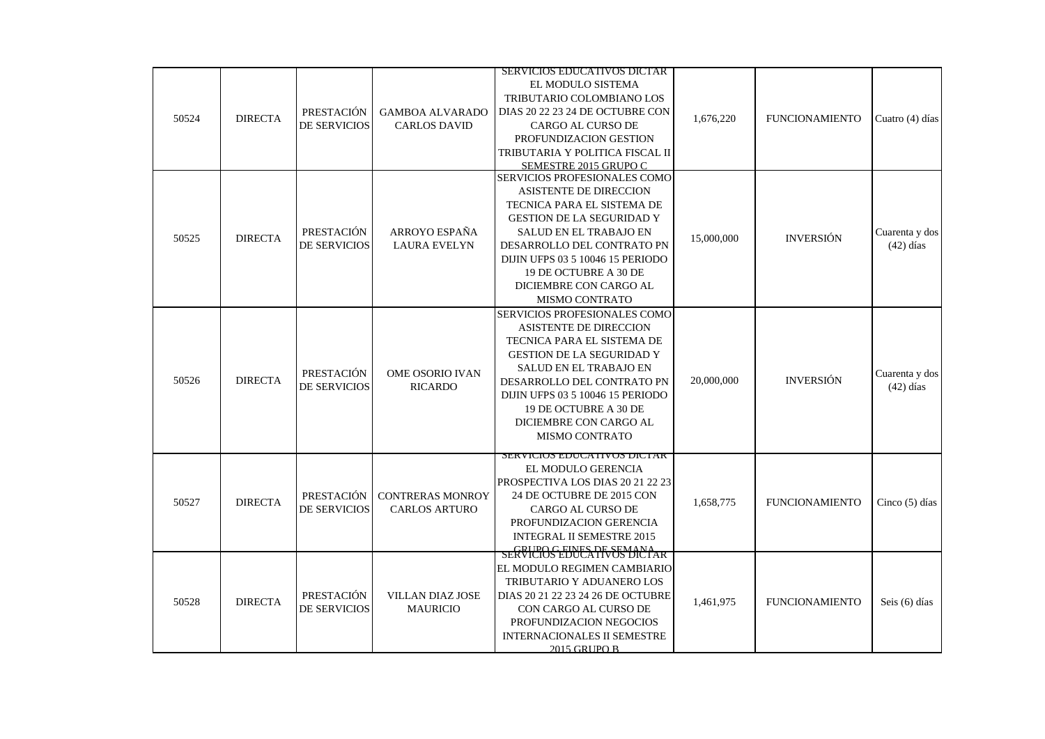|       |                |                                          |                                               | <b>SERVICIOS EDUCATIVOS DICTAR</b>                                                                     |            |                       |                  |
|-------|----------------|------------------------------------------|-----------------------------------------------|--------------------------------------------------------------------------------------------------------|------------|-----------------------|------------------|
| 50524 | <b>DIRECTA</b> | PRESTACIÓN<br><b>DE SERVICIOS</b>        | <b>GAMBOA ALVARADO</b><br><b>CARLOS DAVID</b> | EL MODULO SISTEMA<br>TRIBUTARIO COLOMBIANO LOS<br>DIAS 20 22 23 24 DE OCTUBRE CON<br>CARGO AL CURSO DE | 1,676,220  | <b>FUNCIONAMIENTO</b> | Cuatro (4) días  |
|       |                |                                          |                                               | PROFUNDIZACION GESTION<br>TRIBUTARIA Y POLITICA FISCAL II<br>SEMESTRE 2015 GRUPO C                     |            |                       |                  |
|       |                |                                          |                                               | SERVICIOS PROFESIONALES COMO                                                                           |            |                       |                  |
|       |                |                                          |                                               | <b>ASISTENTE DE DIRECCION</b><br>TECNICA PARA EL SISTEMA DE                                            |            |                       |                  |
|       |                | <b>PRESTACIÓN</b>                        | ARROYO ESPAÑA                                 | <b>GESTION DE LA SEGURIDAD Y</b><br>SALUD EN EL TRABAJO EN                                             |            |                       | Cuarenta y dos   |
| 50525 | <b>DIRECTA</b> | DE SERVICIOS                             | <b>LAURA EVELYN</b>                           | DESARROLLO DEL CONTRATO PN                                                                             | 15,000,000 | <b>INVERSIÓN</b>      | $(42)$ días      |
|       |                |                                          |                                               | DIJIN UFPS 03 5 10046 15 PERIODO                                                                       |            |                       |                  |
|       |                |                                          |                                               | 19 DE OCTUBRE A 30 DE                                                                                  |            |                       |                  |
|       |                |                                          |                                               | DICIEMBRE CON CARGO AL                                                                                 |            |                       |                  |
|       |                |                                          |                                               | <b>MISMO CONTRATO</b>                                                                                  |            |                       |                  |
|       |                |                                          |                                               | <b>SERVICIOS PROFESIONALES COMO</b>                                                                    |            |                       |                  |
|       |                |                                          |                                               | <b>ASISTENTE DE DIRECCION</b>                                                                          |            |                       |                  |
|       |                |                                          |                                               | TECNICA PARA EL SISTEMA DE                                                                             |            |                       |                  |
|       |                |                                          |                                               | <b>GESTION DE LA SEGURIDAD Y</b>                                                                       |            |                       |                  |
|       |                | <b>PRESTACIÓN</b>                        | OME OSORIO IVAN                               | SALUD EN EL TRABAJO EN                                                                                 |            |                       | Cuarenta y dos   |
| 50526 | <b>DIRECTA</b> | DE SERVICIOS                             | <b>RICARDO</b>                                | DESARROLLO DEL CONTRATO PN                                                                             | 20,000,000 | <b>INVERSIÓN</b>      | $(42)$ días      |
|       |                |                                          |                                               | DIJIN UFPS 03 5 10046 15 PERIODO<br>19 DE OCTUBRE A 30 DE                                              |            |                       |                  |
|       |                |                                          |                                               | DICIEMBRE CON CARGO AL                                                                                 |            |                       |                  |
|       |                |                                          |                                               | <b>MISMO CONTRATO</b>                                                                                  |            |                       |                  |
|       |                |                                          |                                               | SEKVICIOS EDUCATIVOS DICTAR                                                                            |            |                       |                  |
|       |                |                                          |                                               | EL MODULO GERENCIA                                                                                     |            |                       |                  |
|       |                |                                          |                                               | PROSPECTIVA LOS DIAS 20 21 22 23                                                                       |            |                       |                  |
| 50527 | <b>DIRECTA</b> | PRESTACIÓN                               | <b>CONTRERAS MONROY</b>                       | 24 DE OCTUBRE DE 2015 CON                                                                              | 1,658,775  | <b>FUNCIONAMIENTO</b> | Cinco $(5)$ días |
|       |                | <b>DE SERVICIOS</b>                      | <b>CARLOS ARTURO</b>                          | CARGO AL CURSO DE                                                                                      |            |                       |                  |
|       |                |                                          |                                               | PROFUNDIZACION GERENCIA                                                                                |            |                       |                  |
|       |                |                                          |                                               | <b>INTEGRAL II SEMESTRE 2015</b>                                                                       |            |                       |                  |
|       |                |                                          |                                               | SERVICIOS EDUCATIVOS DE TAR                                                                            |            |                       |                  |
|       |                |                                          |                                               | EL MODULO REGIMEN CAMBIARIO                                                                            |            |                       |                  |
|       |                |                                          |                                               | TRIBUTARIO Y ADUANERO LOS                                                                              |            |                       |                  |
| 50528 | <b>DIRECTA</b> | <b>PRESTACIÓN</b><br><b>DE SERVICIOS</b> | <b>VILLAN DIAZ JOSE</b>                       | DIAS 20 21 22 23 24 26 DE OCTUBRE                                                                      | 1,461,975  | <b>FUNCIONAMIENTO</b> | Seis (6) días    |
|       |                |                                          | <b>MAURICIO</b>                               | CON CARGO AL CURSO DE<br>PROFUNDIZACION NEGOCIOS                                                       |            |                       |                  |
|       |                |                                          |                                               | <b>INTERNACIONALES II SEMESTRE</b>                                                                     |            |                       |                  |
|       |                |                                          |                                               | 2015 GRUPO B                                                                                           |            |                       |                  |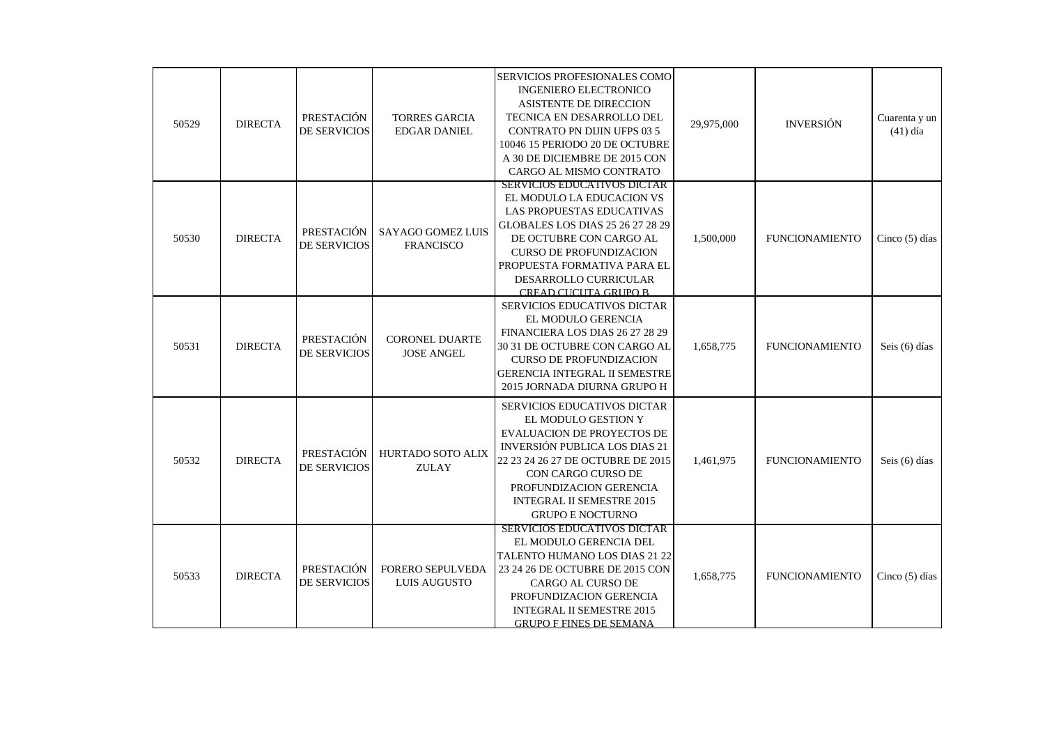| 50529 | <b>DIRECTA</b> | PRESTACIÓN<br><b>DE SERVICIOS</b> | <b>TORRES GARCIA</b><br><b>EDGAR DANIEL</b>  | SERVICIOS PROFESIONALES COMO<br><b>INGENIERO ELECTRONICO</b><br>ASISTENTE DE DIRECCION<br>TECNICA EN DESARROLLO DEL<br><b>CONTRATO PN DIJIN UFPS 03 5</b><br>10046 15 PERIODO 20 DE OCTUBRE<br>A 30 DE DICIEMBRE DE 2015 CON<br>CARGO AL MISMO CONTRATO                              | 29,975,000 | <b>INVERSIÓN</b>      | Cuarenta y un<br>$(41)$ día |
|-------|----------------|-----------------------------------|----------------------------------------------|--------------------------------------------------------------------------------------------------------------------------------------------------------------------------------------------------------------------------------------------------------------------------------------|------------|-----------------------|-----------------------------|
| 50530 | <b>DIRECTA</b> | PRESTACIÓN<br><b>DE SERVICIOS</b> | <b>SAYAGO GOMEZ LUIS</b><br><b>FRANCISCO</b> | SERVICIOS EDUCATIVOS DICTAR<br>EL MODULO LA EDUCACION VS<br>LAS PROPUESTAS EDUCATIVAS<br>GLOBALES LOS DIAS 25 26 27 28 29<br>DE OCTUBRE CON CARGO AL<br><b>CURSO DE PROFUNDIZACION</b><br>PROPUESTA FORMATIVA PARA EL<br>DESARROLLO CURRICULAR<br>CREAD CUCUTA GRUPO B               | 1,500,000  | <b>FUNCIONAMIENTO</b> | Cinco $(5)$ días            |
| 50531 | <b>DIRECTA</b> | PRESTACIÓN<br><b>DE SERVICIOS</b> | <b>CORONEL DUARTE</b><br><b>JOSE ANGEL</b>   | SERVICIOS EDUCATIVOS DICTAR<br>EL MODULO GERENCIA<br>FINANCIERA LOS DIAS 26 27 28 29<br>30 31 DE OCTUBRE CON CARGO AL<br><b>CURSO DE PROFUNDIZACION</b><br><b>GERENCIA INTEGRAL II SEMESTRE</b><br>2015 JORNADA DIURNA GRUPO H                                                       | 1,658,775  | <b>FUNCIONAMIENTO</b> | Seis (6) días               |
| 50532 | <b>DIRECTA</b> | PRESTACIÓN<br><b>DE SERVICIOS</b> | HURTADO SOTO ALIX<br><b>ZULAY</b>            | SERVICIOS EDUCATIVOS DICTAR<br>EL MODULO GESTION Y<br><b>EVALUACION DE PROYECTOS DE</b><br>INVERSIÓN PUBLICA LOS DIAS 21<br>22 23 24 26 27 DE OCTUBRE DE 2015<br><b>CON CARGO CURSO DE</b><br>PROFUNDIZACION GERENCIA<br><b>INTEGRAL II SEMESTRE 2015</b><br><b>GRUPO E NOCTURNO</b> | 1,461,975  | <b>FUNCIONAMIENTO</b> | Seis (6) días               |
| 50533 | <b>DIRECTA</b> | PRESTACIÓN<br><b>DE SERVICIOS</b> | FORERO SEPULVEDA<br><b>LUIS AUGUSTO</b>      | <b>SERVICIOS EDUCATIVOS DICTAR</b><br>EL MODULO GERENCIA DEL<br>TALENTO HUMANO LOS DIAS 21 22<br>23 24 26 DE OCTUBRE DE 2015 CON<br>CARGO AL CURSO DE<br>PROFUNDIZACION GERENCIA<br><b>INTEGRAL II SEMESTRE 2015</b><br><b>GRUPO F FINES DE SEMANA</b>                               | 1,658,775  | <b>FUNCIONAMIENTO</b> | Cinco $(5)$ días            |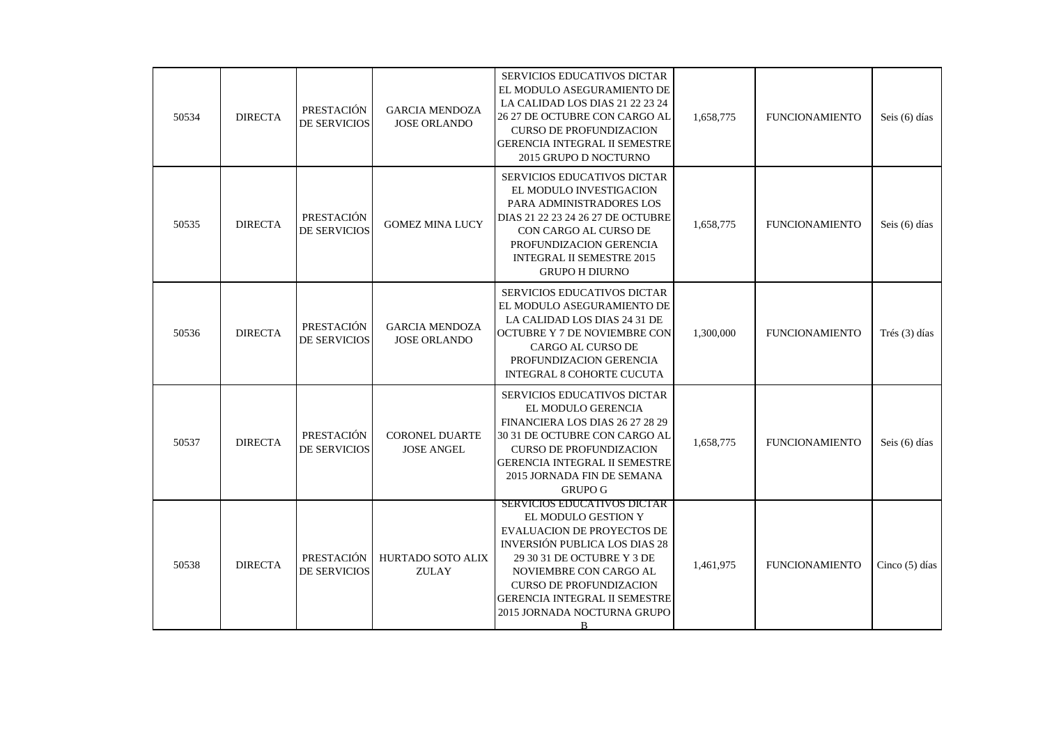| 50534 | <b>DIRECTA</b> | PRESTACIÓN<br>DE SERVICIOS        | <b>GARCIA MENDOZA</b><br><b>JOSE ORLANDO</b> | SERVICIOS EDUCATIVOS DICTAR<br>EL MODULO ASEGURAMIENTO DE<br>LA CALIDAD LOS DIAS 21 22 23 24<br>26 27 DE OCTUBRE CON CARGO AL<br><b>CURSO DE PROFUNDIZACION</b><br><b>GERENCIA INTEGRAL II SEMESTRE</b><br>2015 GRUPO D NOCTURNO                                                                                        | 1,658,775 | <b>FUNCIONAMIENTO</b> | Seis (6) días    |
|-------|----------------|-----------------------------------|----------------------------------------------|-------------------------------------------------------------------------------------------------------------------------------------------------------------------------------------------------------------------------------------------------------------------------------------------------------------------------|-----------|-----------------------|------------------|
| 50535 | <b>DIRECTA</b> | PRESTACIÓN<br>DE SERVICIOS        | <b>GOMEZ MINA LUCY</b>                       | <b>SERVICIOS EDUCATIVOS DICTAR</b><br>EL MODULO INVESTIGACION<br>PARA ADMINISTRADORES LOS<br>DIAS 21 22 23 24 26 27 DE OCTUBRE<br>CON CARGO AL CURSO DE<br>PROFUNDIZACION GERENCIA<br><b>INTEGRAL II SEMESTRE 2015</b><br><b>GRUPO H DIURNO</b>                                                                         | 1,658,775 | <b>FUNCIONAMIENTO</b> | Seis (6) días    |
| 50536 | <b>DIRECTA</b> | PRESTACIÓN<br>DE SERVICIOS        | <b>GARCIA MENDOZA</b><br><b>JOSE ORLANDO</b> | <b>SERVICIOS EDUCATIVOS DICTAR</b><br>EL MODULO ASEGURAMIENTO DE<br>LA CALIDAD LOS DIAS 24 31 DE<br>OCTUBRE Y 7 DE NOVIEMBRE CON<br>CARGO AL CURSO DE<br>PROFUNDIZACION GERENCIA<br>INTEGRAL 8 COHORTE CUCUTA                                                                                                           | 1,300,000 | <b>FUNCIONAMIENTO</b> | Trés (3) días    |
| 50537 | <b>DIRECTA</b> | PRESTACIÓN<br><b>DE SERVICIOS</b> | <b>CORONEL DUARTE</b><br><b>JOSE ANGEL</b>   | SERVICIOS EDUCATIVOS DICTAR<br>EL MODULO GERENCIA<br>FINANCIERA LOS DIAS 26 27 28 29<br>30 31 DE OCTUBRE CON CARGO AL<br><b>CURSO DE PROFUNDIZACION</b><br><b>GERENCIA INTEGRAL II SEMESTRE</b><br>2015 JORNADA FIN DE SEMANA<br><b>GRUPO G</b>                                                                         | 1,658,775 | <b>FUNCIONAMIENTO</b> | Seis (6) días    |
| 50538 | <b>DIRECTA</b> | PRESTACIÓN<br><b>DE SERVICIOS</b> | HURTADO SOTO ALIX<br><b>ZULAY</b>            | <b>SERVICIOS EDUCATIVOS DICTAR</b><br>EL MODULO GESTION Y<br><b>EVALUACION DE PROYECTOS DE</b><br><b>INVERSIÓN PUBLICA LOS DIAS 28</b><br>29 30 31 DE OCTUBRE Y 3 DE<br>NOVIEMBRE CON CARGO AL<br><b>CURSO DE PROFUNDIZACION</b><br><b>GERENCIA INTEGRAL II SEMESTRE</b><br>2015 JORNADA NOCTURNA GRUPO<br><sub>B</sub> | 1,461,975 | <b>FUNCIONAMIENTO</b> | Cinco $(5)$ días |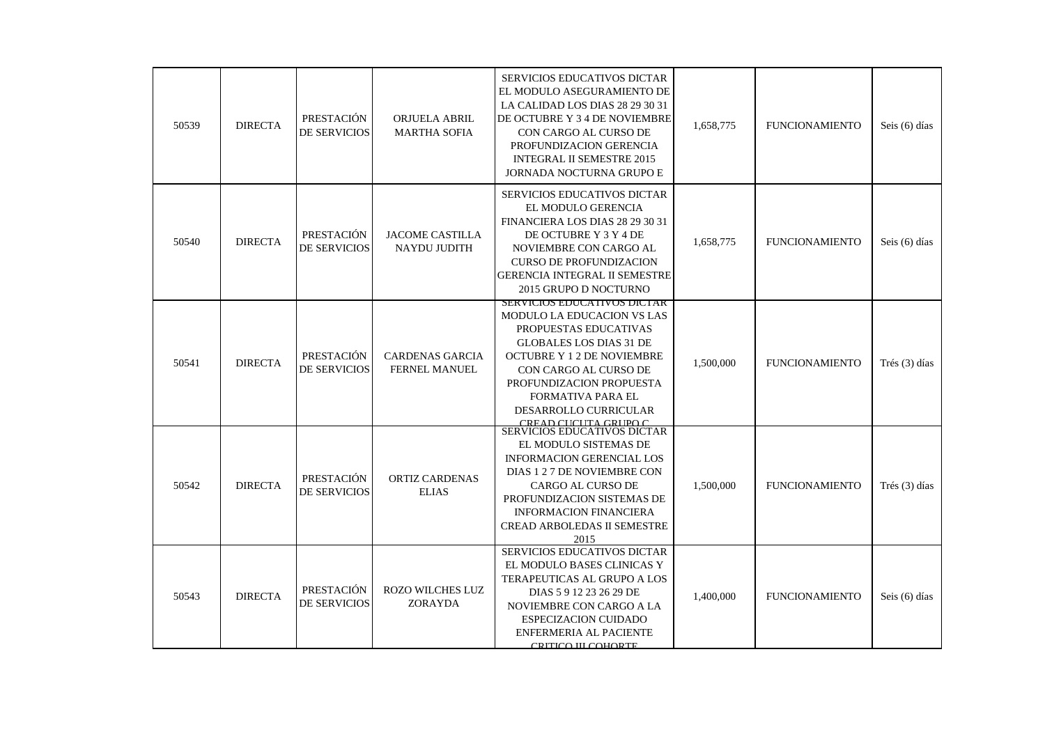| 50539 | <b>DIRECTA</b> | PRESTACIÓN<br>DE SERVICIOS        | ORJUELA ABRIL<br><b>MARTHA SOFIA</b>    | <b>SERVICIOS EDUCATIVOS DICTAR</b><br>EL MODULO ASEGURAMIENTO DE<br>LA CALIDAD LOS DIAS 28 29 30 31<br>DE OCTUBRE Y 3 4 DE NOVIEMBRE<br>CON CARGO AL CURSO DE<br>PROFUNDIZACION GERENCIA<br><b>INTEGRAL II SEMESTRE 2015</b><br><b>JORNADA NOCTURNA GRUPO E</b>                             | 1,658,775 | <b>FUNCIONAMIENTO</b> | Seis (6) días |
|-------|----------------|-----------------------------------|-----------------------------------------|---------------------------------------------------------------------------------------------------------------------------------------------------------------------------------------------------------------------------------------------------------------------------------------------|-----------|-----------------------|---------------|
| 50540 | <b>DIRECTA</b> | PRESTACIÓN<br><b>DE SERVICIOS</b> | <b>JACOME CASTILLA</b><br>NAYDU JUDITH  | <b>SERVICIOS EDUCATIVOS DICTAR</b><br>EL MODULO GERENCIA<br>FINANCIERA LOS DIAS 28 29 30 31<br>DE OCTUBRE Y 3 Y 4 DE<br>NOVIEMBRE CON CARGO AL<br><b>CURSO DE PROFUNDIZACION</b><br><b>GERENCIA INTEGRAL II SEMESTRE</b><br>2015 GRUPO D NOCTURNO                                           | 1,658,775 | <b>FUNCIONAMIENTO</b> | Seis (6) días |
| 50541 | <b>DIRECTA</b> | PRESTACIÓN<br><b>DE SERVICIOS</b> | CARDENAS GARCIA<br><b>FERNEL MANUEL</b> | SERVICIOS EDUCATIVOS DICTAR<br>MODULO LA EDUCACION VS LAS<br>PROPUESTAS EDUCATIVAS<br><b>GLOBALES LOS DIAS 31 DE</b><br><b>OCTUBRE Y 1 2 DE NOVIEMBRE</b><br>CON CARGO AL CURSO DE<br>PROFUNDIZACION PROPUESTA<br>FORMATIVA PARA EL<br><b>DESARROLLO CURRICULAR</b><br>CREAD CUCUTA GRUPO C | 1,500,000 | <b>FUNCIONAMIENTO</b> | Trés (3) días |
| 50542 | <b>DIRECTA</b> | PRESTACIÓN<br><b>DE SERVICIOS</b> | <b>ORTIZ CARDENAS</b><br><b>ELIAS</b>   | <b>SERVICIOS EDUCATIVOS DICTAR</b><br>EL MODULO SISTEMAS DE<br>INFORMACION GERENCIAL LOS<br>DIAS 1 2 7 DE NOVIEMBRE CON<br>CARGO AL CURSO DE<br>PROFUNDIZACION SISTEMAS DE<br><b>INFORMACION FINANCIERA</b><br><b>CREAD ARBOLEDAS II SEMESTRE</b><br>2015                                   | 1,500,000 | <b>FUNCIONAMIENTO</b> | Trés (3) días |
| 50543 | <b>DIRECTA</b> | PRESTACIÓN<br>DE SERVICIOS        | <b>ROZO WILCHES LUZ</b><br>ZORAYDA      | SERVICIOS EDUCATIVOS DICTAR<br>EL MODULO BASES CLINICAS Y<br>TERAPEUTICAS AL GRUPO A LOS<br>DIAS 5 9 12 23 26 29 DE<br>NOVIEMBRE CON CARGO A LA<br><b>ESPECIZACION CUIDADO</b><br>ENFERMERIA AL PACIENTE<br>CRITICO III COHORTE                                                             | 1,400,000 | <b>FUNCIONAMIENTO</b> | Seis (6) días |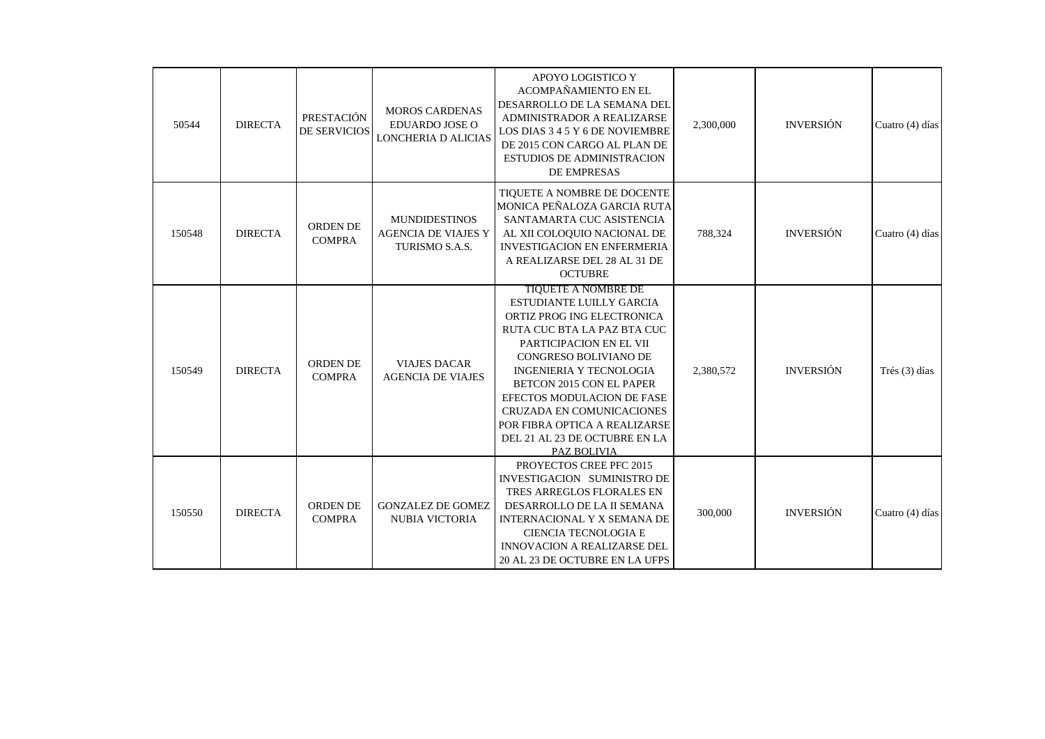| 50544  | <b>DIRECTA</b> | PRESTACIÓN<br><b>DE SERVICIOS</b> | <b>MOROS CARDENAS</b><br>EDUARDO JOSE O<br>LONCHERIA D ALICIAS       | APOYO LOGISTICO Y<br>ACOMPAÑAMIENTO EN EL<br>DESARROLLO DE LA SEMANA DEL<br>ADMINISTRADOR A REALIZARSE<br>LOS DIAS 3 4 5 Y 6 DE NOVIEMBRE<br>DE 2015 CON CARGO AL PLAN DE<br><b>ESTUDIOS DE ADMINISTRACION</b><br>DE EMPRESAS                                                                                                                                                     | 2,300,000 | <b>INVERSIÓN</b> | Cuatro (4) días   |
|--------|----------------|-----------------------------------|----------------------------------------------------------------------|-----------------------------------------------------------------------------------------------------------------------------------------------------------------------------------------------------------------------------------------------------------------------------------------------------------------------------------------------------------------------------------|-----------|------------------|-------------------|
| 150548 | <b>DIRECTA</b> | ORDEN DE<br><b>COMPRA</b>         | <b>MUNDIDESTINOS</b><br><b>AGENCIA DE VIAJES Y</b><br>TURISMO S.A.S. | TIQUETE A NOMBRE DE DOCENTE<br>MONICA PEÑALOZA GARCIA RUTA<br>SANTAMARTA CUC ASISTENCIA<br>AL XII COLOQUIO NACIONAL DE<br><b>INVESTIGACION EN ENFERMERIA</b><br>A REALIZARSE DEL 28 AL 31 DE<br><b>OCTUBRE</b>                                                                                                                                                                    | 788,324   | <b>INVERSIÓN</b> | Cuatro $(4)$ días |
| 150549 | <b>DIRECTA</b> | <b>ORDEN DE</b><br><b>COMPRA</b>  | <b>VIAJES DACAR</b><br><b>AGENCIA DE VIAJES</b>                      | <b>TIQUETE A NOMBRE DE</b><br>ESTUDIANTE LUILLY GARCIA<br>ORTIZ PROG ING ELECTRONICA<br>RUTA CUC BTA LA PAZ BTA CUC<br>PARTICIPACION EN EL VII<br>CONGRESO BOLIVIANO DE<br><b>INGENIERIA Y TECNOLOGIA</b><br>BETCON 2015 CON EL PAPER<br>EFECTOS MODULACION DE FASE<br>CRUZADA EN COMUNICACIONES<br>POR FIBRA OPTICA A REALIZARSE<br>DEL 21 AL 23 DE OCTUBRE EN LA<br>PAZ BOLIVIA | 2,380,572 | <b>INVERSIÓN</b> | Trés (3) días     |
| 150550 | <b>DIRECTA</b> | <b>ORDEN DE</b><br><b>COMPRA</b>  | <b>GONZALEZ DE GOMEZ</b><br><b>NUBIA VICTORIA</b>                    | PROYECTOS CREE PFC 2015<br>INVESTIGACION SUMINISTRO DE<br>TRES ARREGLOS FLORALES EN<br>DESARROLLO DE LA II SEMANA<br>INTERNACIONAL Y X SEMANA DE<br>CIENCIA TECNOLOGIA E<br><b>INNOVACION A REALIZARSE DEL</b><br>20 AL 23 DE OCTUBRE EN LA UFPS                                                                                                                                  | 300,000   | <b>INVERSIÓN</b> | Cuatro (4) días   |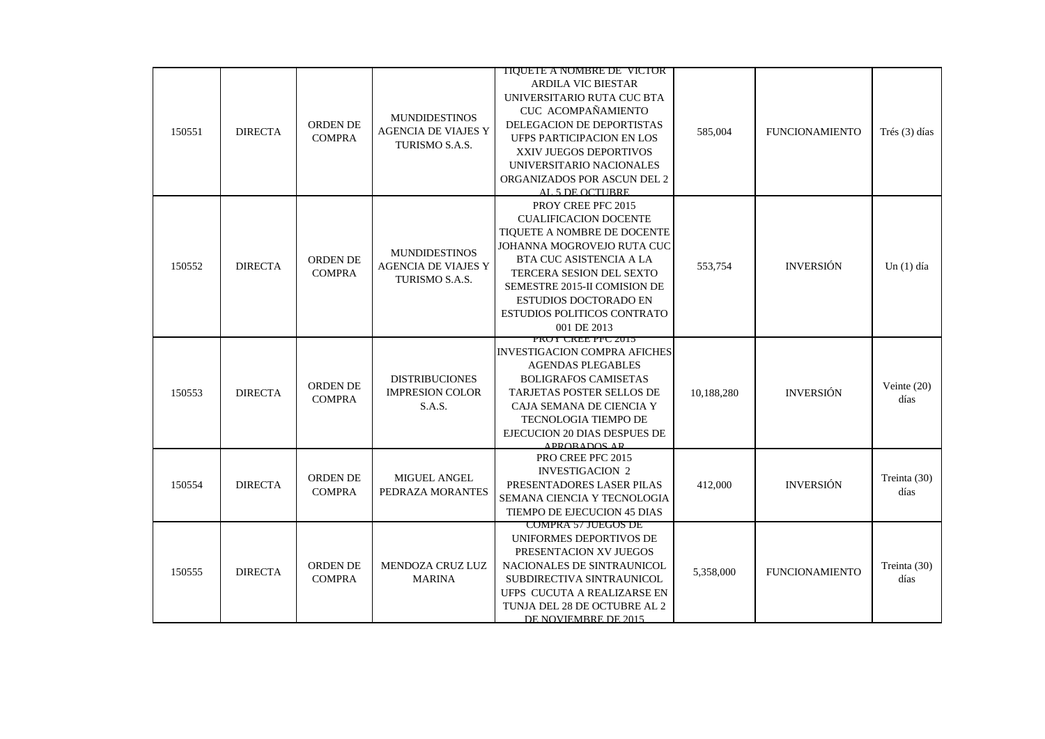|        |                |                 |                            | TIQUETE A NOMBRE DE VICTOR          |            |                       |               |
|--------|----------------|-----------------|----------------------------|-------------------------------------|------------|-----------------------|---------------|
|        |                |                 |                            | <b>ARDILA VIC BIESTAR</b>           |            |                       |               |
|        |                |                 |                            | UNIVERSITARIO RUTA CUC BTA          |            |                       |               |
|        |                |                 |                            | CUC ACOMPAÑAMIENTO                  |            |                       |               |
|        |                | <b>ORDEN DE</b> | <b>MUNDIDESTINOS</b>       | DELEGACION DE DEPORTISTAS           |            |                       |               |
| 150551 | <b>DIRECTA</b> | <b>COMPRA</b>   | <b>AGENCIA DE VIAJES Y</b> | <b>UFPS PARTICIPACION EN LOS</b>    | 585,004    | <b>FUNCIONAMIENTO</b> | Trés (3) días |
|        |                |                 | TURISMO S.A.S.             | XXIV JUEGOS DEPORTIVOS              |            |                       |               |
|        |                |                 |                            | UNIVERSITARIO NACIONALES            |            |                       |               |
|        |                |                 |                            | ORGANIZADOS POR ASCUN DEL 2         |            |                       |               |
|        |                |                 |                            | AL 5 DE OCTURRE                     |            |                       |               |
|        |                |                 |                            | PROY CREE PFC 2015                  |            |                       |               |
|        |                |                 |                            | <b>CUALIFICACION DOCENTE</b>        |            |                       |               |
|        |                |                 |                            | TIQUETE A NOMBRE DE DOCENTE         |            |                       |               |
|        |                |                 |                            | JOHANNA MOGROVEJO RUTA CUC          |            |                       |               |
|        |                | ORDEN DE        | <b>MUNDIDESTINOS</b>       | BTA CUC ASISTENCIA A LA             |            |                       |               |
| 150552 | <b>DIRECTA</b> | <b>COMPRA</b>   | <b>AGENCIA DE VIAJES Y</b> | TERCERA SESION DEL SEXTO            | 553,754    | <b>INVERSIÓN</b>      | Un $(1)$ día  |
|        |                |                 | TURISMO S.A.S.             | SEMESTRE 2015-II COMISION DE        |            |                       |               |
|        |                |                 |                            | <b>ESTUDIOS DOCTORADO EN</b>        |            |                       |               |
|        |                |                 |                            | ESTUDIOS POLITICOS CONTRATO         |            |                       |               |
|        |                |                 |                            | 001 DE 2013                         |            |                       |               |
|        |                |                 |                            | PRUT UREE PPU 2013                  |            |                       |               |
|        |                |                 |                            | <b>INVESTIGACION COMPRA AFICHES</b> |            |                       |               |
|        |                |                 |                            | <b>AGENDAS PLEGABLES</b>            |            |                       |               |
|        |                |                 | <b>DISTRIBUCIONES</b>      | <b>BOLIGRAFOS CAMISETAS</b>         |            |                       |               |
| 150553 | <b>DIRECTA</b> | ORDEN DE        | <b>IMPRESION COLOR</b>     | <b>TARJETAS POSTER SELLOS DE</b>    | 10,188,280 | <b>INVERSIÓN</b>      | Veinte $(20)$ |
|        |                | <b>COMPRA</b>   | S.A.S.                     | CAJA SEMANA DE CIENCIA Y            |            |                       | días          |
|        |                |                 |                            | TECNOLOGIA TIEMPO DE                |            |                       |               |
|        |                |                 |                            | EJECUCION 20 DIAS DESPUES DE        |            |                       |               |
|        |                |                 |                            | ADDORADOS AD                        |            |                       |               |
|        |                |                 |                            | PRO CREE PFC 2015                   |            |                       |               |
|        |                |                 |                            | <b>INVESTIGACION 2</b>              |            |                       |               |
| 150554 | <b>DIRECTA</b> | <b>ORDEN DE</b> | <b>MIGUEL ANGEL</b>        | PRESENTADORES LASER PILAS           | 412,000    | <b>INVERSIÓN</b>      | Treinta (30)  |
|        |                | <b>COMPRA</b>   | PEDRAZA MORANTES           | SEMANA CIENCIA Y TECNOLOGIA         |            |                       | días          |
|        |                |                 |                            | TIEMPO DE EJECUCION 45 DIAS         |            |                       |               |
|        |                |                 |                            | <b>COMPRA 57 JUEGOS DE</b>          |            |                       |               |
|        |                |                 |                            | UNIFORMES DEPORTIVOS DE             |            |                       |               |
|        |                |                 |                            | PRESENTACION XV JUEGOS              |            |                       |               |
|        | <b>DIRECTA</b> | ORDEN DE        | MENDOZA CRUZ LUZ           | NACIONALES DE SINTRAUNICOL          |            |                       | Treinta (30)  |
| 150555 |                | <b>COMPRA</b>   | <b>MARINA</b>              | SUBDIRECTIVA SINTRAUNICOL           | 5,358,000  | <b>FUNCIONAMIENTO</b> | días          |
|        |                |                 |                            | UFPS CUCUTA A REALIZARSE EN         |            |                       |               |
|        |                |                 |                            | TUNJA DEL 28 DE OCTUBRE AL 2        |            |                       |               |
|        |                |                 |                            | DE NOVIEMBRE DE 2015                |            |                       |               |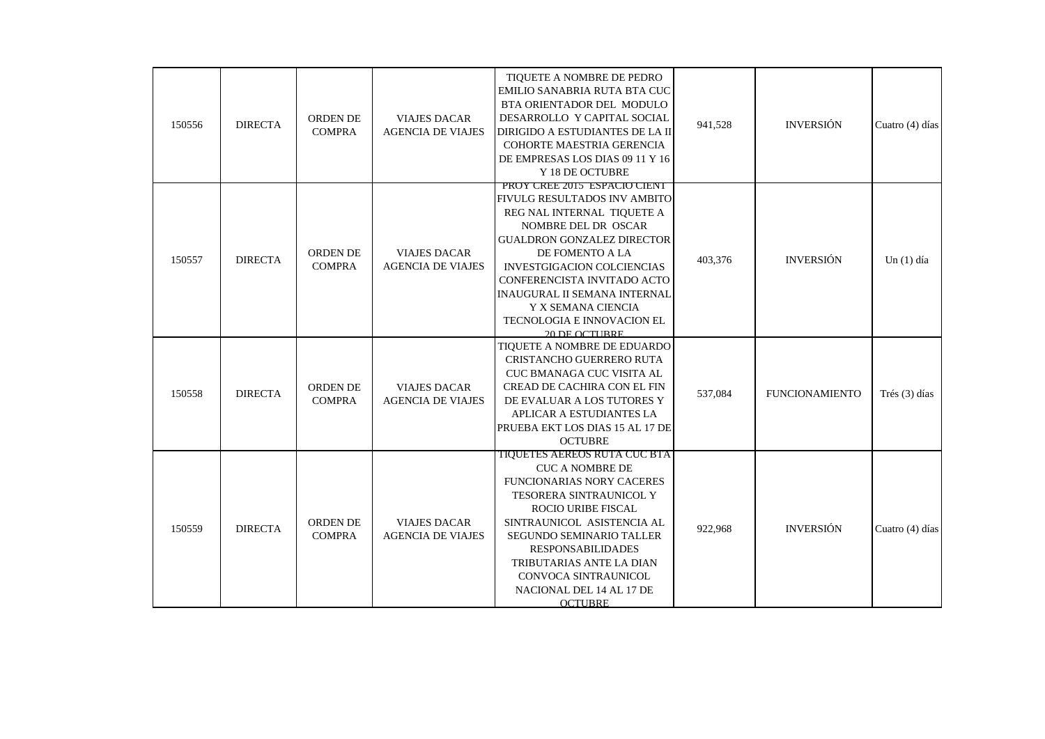| 150556 | <b>DIRECTA</b> | ORDEN DE<br><b>COMPRA</b> | <b>VIAJES DACAR</b><br><b>AGENCIA DE VIAJES</b> | TIQUETE A NOMBRE DE PEDRO<br>EMILIO SANABRIA RUTA BTA CUC<br>BTA ORIENTADOR DEL MODULO<br>DESARROLLO Y CAPITAL SOCIAL<br>DIRIGIDO A ESTUDIANTES DE LA II<br>COHORTE MAESTRIA GERENCIA<br>DE EMPRESAS LOS DIAS 09 11 Y 16<br>Y 18 DE OCTUBRE                                                                                                        | 941,528 | <b>INVERSIÓN</b>      | Cuatro (4) días |
|--------|----------------|---------------------------|-------------------------------------------------|----------------------------------------------------------------------------------------------------------------------------------------------------------------------------------------------------------------------------------------------------------------------------------------------------------------------------------------------------|---------|-----------------------|-----------------|
| 150557 | <b>DIRECTA</b> | ORDEN DE<br><b>COMPRA</b> | <b>VIAJES DACAR</b><br><b>AGENCIA DE VIAJES</b> | PROY CREE 2015 ESPACIO CIENT<br>FIVULG RESULTADOS INV AMBITO<br>REG NAL INTERNAL TIQUETE A<br>NOMBRE DEL DR OSCAR<br>GUALDRON GONZALEZ DIRECTOR<br>DE FOMENTO A LA<br><b>INVESTGIGACION COLCIENCIAS</b><br>CONFERENCISTA INVITADO ACTO<br><b>INAUGURAL II SEMANA INTERNAL</b><br>Y X SEMANA CIENCIA<br>TECNOLOGIA E INNOVACION EL<br>20 DE OCTURRE | 403,376 | <b>INVERSIÓN</b>      | Un $(1)$ día    |
| 150558 | <b>DIRECTA</b> | ORDEN DE<br><b>COMPRA</b> | <b>VIAJES DACAR</b><br><b>AGENCIA DE VIAJES</b> | TIQUETE A NOMBRE DE EDUARDO<br>CRISTANCHO GUERRERO RUTA<br>CUC BMANAGA CUC VISITA AL<br>CREAD DE CACHIRA CON EL FIN<br>DE EVALUAR A LOS TUTORES Y<br>APLICAR A ESTUDIANTES LA<br>PRUEBA EKT LOS DIAS 15 AL 17 DE<br><b>OCTUBRE</b>                                                                                                                 | 537,084 | <b>FUNCIONAMIENTO</b> | Trés (3) días   |
| 150559 | <b>DIRECTA</b> | ORDEN DE<br><b>COMPRA</b> | <b>VIAJES DACAR</b><br><b>AGENCIA DE VIAJES</b> | TIQUETES AEREOS RUTA CUC BTA<br><b>CUC A NOMBRE DE</b><br>FUNCIONARIAS NORY CACERES<br>TESORERA SINTRAUNICOL Y<br><b>ROCIO URIBE FISCAL</b><br>SINTRAUNICOL ASISTENCIA AL<br>SEGUNDO SEMINARIO TALLER<br><b>RESPONSABILIDADES</b><br>TRIBUTARIAS ANTE LA DIAN<br>CONVOCA SINTRAUNICOL<br>NACIONAL DEL 14 AL 17 DE<br><b>OCTUBRE</b>                | 922,968 | <b>INVERSIÓN</b>      | Cuatro (4) días |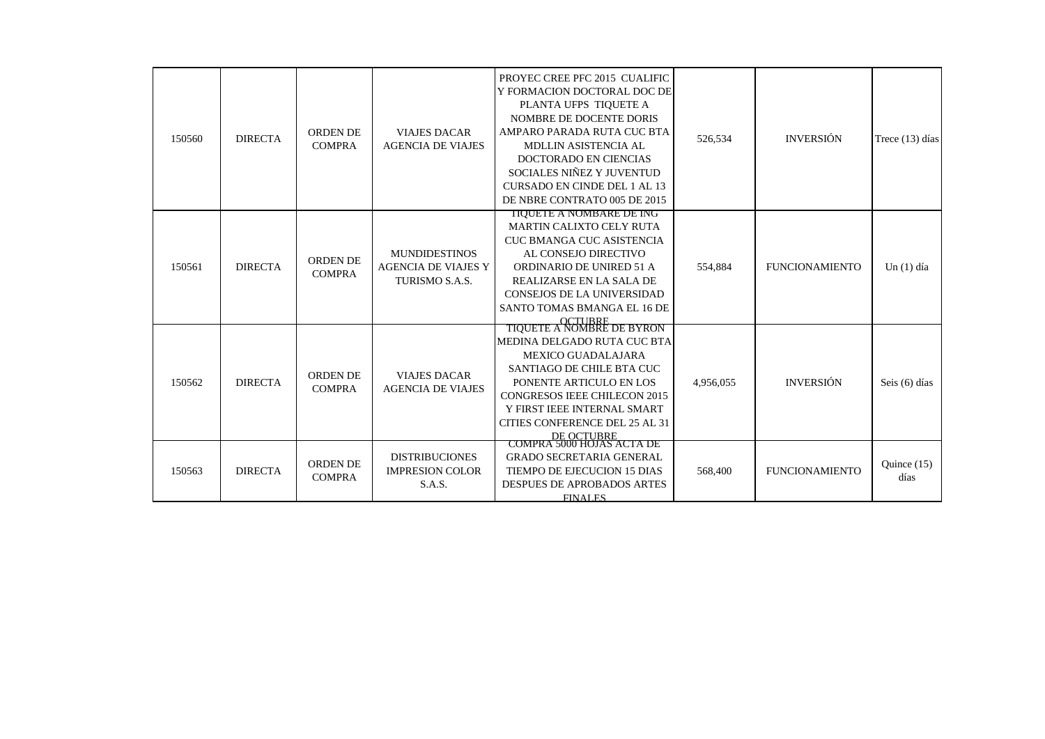| 150560 | <b>DIRECTA</b> | <b>ORDEN DE</b><br><b>COMPRA</b> | <b>VIAJES DACAR</b><br><b>AGENCIA DE VIAJES</b>                      | PROYEC CREE PFC 2015 CUALIFIC<br>Y FORMACION DOCTORAL DOC DE<br>PLANTA UFPS TIQUETE A<br>NOMBRE DE DOCENTE DORIS<br>AMPARO PARADA RUTA CUC BTA<br>MDLLIN ASISTENCIA AL<br>DOCTORADO EN CIENCIAS<br>SOCIALES NIÑEZ Y JUVENTUD<br><b>CURSADO EN CINDE DEL 1 AL 13</b><br>DE NBRE CONTRATO 005 DE 2015                | 526,534   | <b>INVERSIÓN</b>      | Trece $(13)$ días     |
|--------|----------------|----------------------------------|----------------------------------------------------------------------|--------------------------------------------------------------------------------------------------------------------------------------------------------------------------------------------------------------------------------------------------------------------------------------------------------------------|-----------|-----------------------|-----------------------|
| 150561 | <b>DIRECTA</b> | <b>ORDEN DE</b><br><b>COMPRA</b> | <b>MUNDIDESTINOS</b><br><b>AGENCIA DE VIAJES Y</b><br>TURISMO S.A.S. | <b>TIQUETE A NOMBARE DE ING</b><br>MARTIN CALIXTO CELY RUTA<br><b>CUC BMANGA CUC ASISTENCIA</b><br>AL CONSEJO DIRECTIVO<br>ORDINARIO DE UNIRED 51 A<br>REALIZARSE EN LA SALA DE<br>CONSEJOS DE LA UNIVERSIDAD<br>SANTO TOMAS BMANGA EL 16 DE                                                                       | 554.884   | <b>FUNCIONAMIENTO</b> | Un $(1)$ día          |
| 150562 | <b>DIRECTA</b> | <b>ORDEN DE</b><br><b>COMPRA</b> | <b>VIAJES DACAR</b><br><b>AGENCIA DE VIAJES</b>                      | <b>OCTUBBE</b><br>TIQUETE A NOMBRE DE BYRON<br>MEDINA DELGADO RUTA CUC BTA<br><b>MEXICO GUADALAJARA</b><br>SANTIAGO DE CHILE BTA CUC<br>PONENTE ARTICULO EN LOS<br><b>CONGRESOS IEEE CHILECON 2015</b><br>Y FIRST IEEE INTERNAL SMART<br>CITIES CONFERENCE DEL 25 AL 31<br>DE OCTUBRE<br>COMPRA 5000 HOJAS ACTA DE | 4,956,055 | <b>INVERSIÓN</b>      | Seis (6) días         |
| 150563 | <b>DIRECTA</b> | <b>ORDEN DE</b><br><b>COMPRA</b> | <b>DISTRIBUCIONES</b><br><b>IMPRESION COLOR</b><br>S.A.S.            | <b>GRADO SECRETARIA GENERAL</b><br>TIEMPO DE EJECUCION 15 DIAS<br>DESPUES DE APROBADOS ARTES<br><b>FINALES</b>                                                                                                                                                                                                     | 568,400   | <b>FUNCIONAMIENTO</b> | Quince $(15)$<br>días |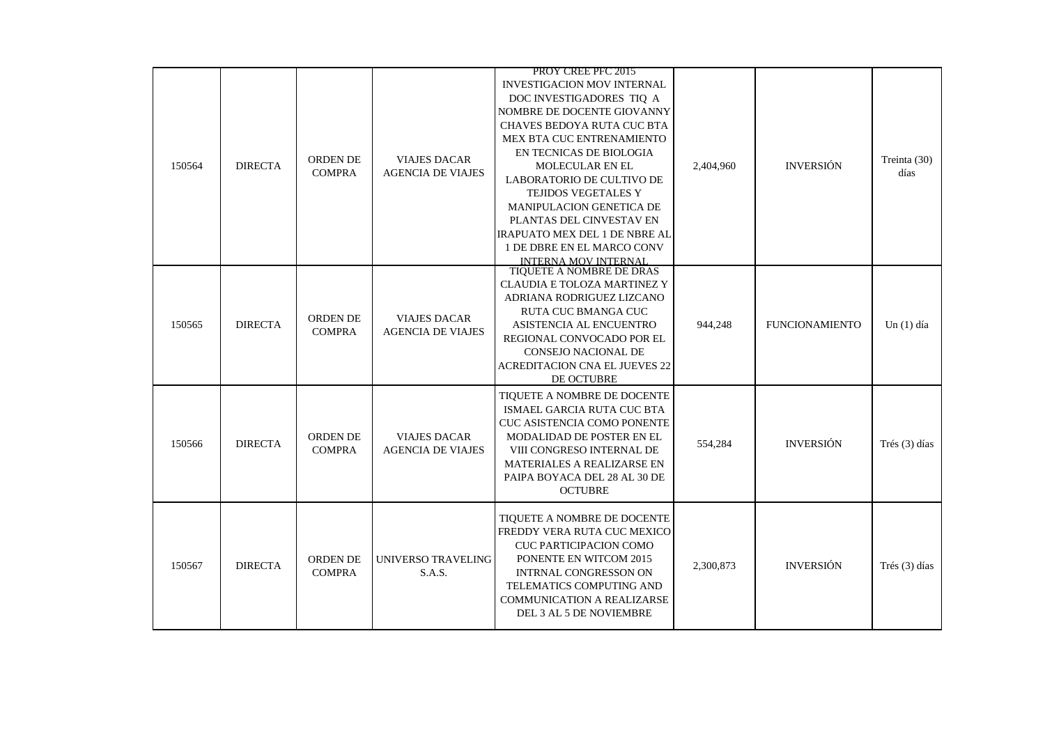|        |                |                                  |                                                 | PROY CREE PFC 2015                                                                                                                                                                                                                                                                                                                                                                                                                         |           |                       |                      |
|--------|----------------|----------------------------------|-------------------------------------------------|--------------------------------------------------------------------------------------------------------------------------------------------------------------------------------------------------------------------------------------------------------------------------------------------------------------------------------------------------------------------------------------------------------------------------------------------|-----------|-----------------------|----------------------|
| 150564 | <b>DIRECTA</b> | <b>ORDEN DE</b><br><b>COMPRA</b> | <b>VIAJES DACAR</b><br><b>AGENCIA DE VIAJES</b> | <b>INVESTIGACION MOV INTERNAL</b><br>DOC INVESTIGADORES TIQ A<br>NOMBRE DE DOCENTE GIOVANNY<br>CHAVES BEDOYA RUTA CUC BTA<br>MEX BTA CUC ENTRENAMIENTO<br>EN TECNICAS DE BIOLOGIA<br><b>MOLECULAR EN EL</b><br>LABORATORIO DE CULTIVO DE<br><b>TEJIDOS VEGETALES Y</b><br><b>MANIPULACION GENETICA DE</b><br>PLANTAS DEL CINVESTAV EN<br><b>IRAPUATO MEX DEL 1 DE NBRE AL</b><br>1 DE DBRE EN EL MARCO CONV<br><b>INTERNA MOV INTERNAL</b> | 2,404,960 | <b>INVERSIÓN</b>      | Treinta (30)<br>días |
| 150565 | <b>DIRECTA</b> | <b>ORDEN DE</b><br><b>COMPRA</b> | <b>VIAJES DACAR</b><br><b>AGENCIA DE VIAJES</b> | TIQUETE A NOMBRE DE DRAS<br>CLAUDIA E TOLOZA MARTINEZ Y<br>ADRIANA RODRIGUEZ LIZCANO<br>RUTA CUC BMANGA CUC<br>ASISTENCIA AL ENCUENTRO<br>REGIONAL CONVOCADO POR EL<br><b>CONSEJO NACIONAL DE</b><br><b>ACREDITACION CNA EL JUEVES 22</b><br>DE OCTUBRE                                                                                                                                                                                    | 944,248   | <b>FUNCIONAMIENTO</b> | Un $(1)$ día         |
| 150566 | <b>DIRECTA</b> | ORDEN DE<br><b>COMPRA</b>        | <b>VIAJES DACAR</b><br><b>AGENCIA DE VIAJES</b> | TIQUETE A NOMBRE DE DOCENTE<br>ISMAEL GARCIA RUTA CUC BTA<br><b>CUC ASISTENCIA COMO PONENTE</b><br>MODALIDAD DE POSTER EN EL<br>VIII CONGRESO INTERNAL DE<br>MATERIALES A REALIZARSE EN<br>PAIPA BOYACA DEL 28 AL 30 DE<br><b>OCTUBRE</b>                                                                                                                                                                                                  | 554,284   | <b>INVERSIÓN</b>      | Trés (3) días        |
| 150567 | <b>DIRECTA</b> | <b>ORDEN DE</b><br><b>COMPRA</b> | UNIVERSO TRAVELING<br>S.A.S.                    | TIQUETE A NOMBRE DE DOCENTE<br>FREDDY VERA RUTA CUC MEXICO<br><b>CUC PARTICIPACION COMO</b><br>PONENTE EN WITCOM 2015<br><b>INTRNAL CONGRESSON ON</b><br>TELEMATICS COMPUTING AND<br><b>COMMUNICATION A REALIZARSE</b><br>DEL 3 AL 5 DE NOVIEMBRE                                                                                                                                                                                          | 2,300,873 | <b>INVERSIÓN</b>      | Trés (3) días        |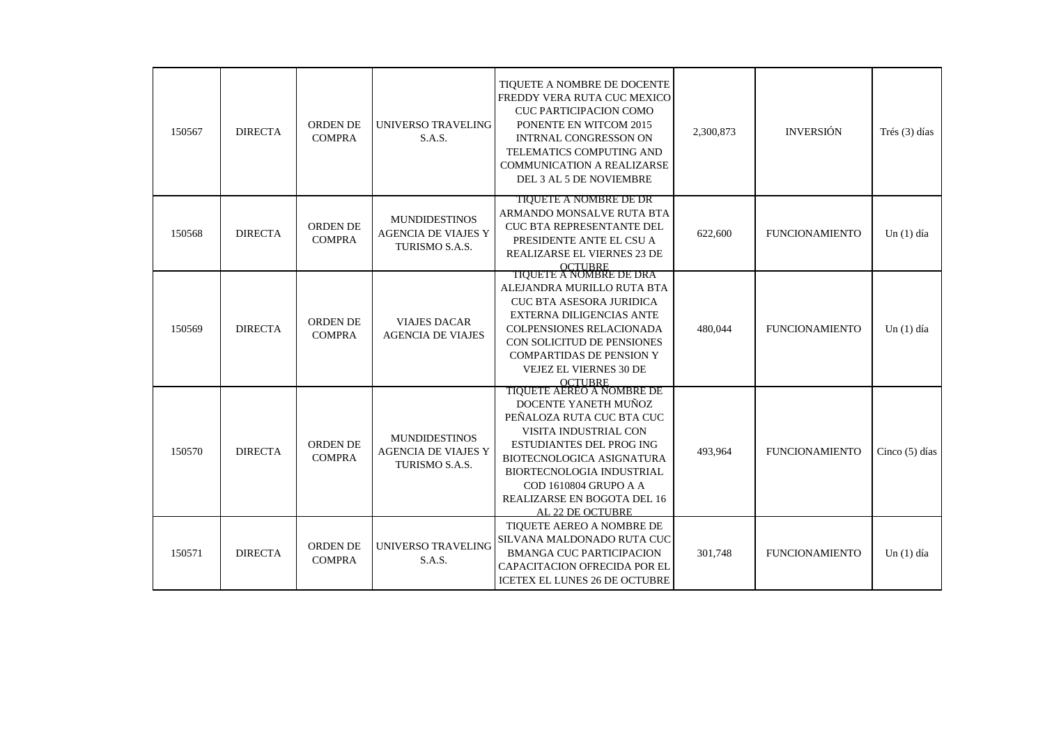| 150567 | <b>DIRECTA</b> | <b>ORDEN DE</b><br><b>COMPRA</b> | UNIVERSO TRAVELING<br>S.A.S.                                         | TIQUETE A NOMBRE DE DOCENTE<br>FREDDY VERA RUTA CUC MEXICO<br><b>CUC PARTICIPACION COMO</b><br>PONENTE EN WITCOM 2015<br><b>INTRNAL CONGRESSON ON</b><br>TELEMATICS COMPUTING AND<br><b>COMMUNICATION A REALIZARSE</b><br>DEL 3 AL 5 DE NOVIEMBRE                      | 2,300,873 | <b>INVERSIÓN</b>      | Trés (3) días    |
|--------|----------------|----------------------------------|----------------------------------------------------------------------|------------------------------------------------------------------------------------------------------------------------------------------------------------------------------------------------------------------------------------------------------------------------|-----------|-----------------------|------------------|
| 150568 | <b>DIRECTA</b> | ORDEN DE<br><b>COMPRA</b>        | <b>MUNDIDESTINOS</b><br><b>AGENCIA DE VIAJES Y</b><br>TURISMO S.A.S. | <b>TIQUETE A NOMBRE DE DR</b><br>ARMANDO MONSALVE RUTA BTA<br><b>CUC BTA REPRESENTANTE DEL</b><br>PRESIDENTE ANTE EL CSU A<br>REALIZARSE EL VIERNES 23 DE<br>OCTUBRE<br>TIQUETE A NOMBRE DE DRA                                                                        | 622,600   | <b>FUNCIONAMIENTO</b> | Un $(1)$ día     |
| 150569 | <b>DIRECTA</b> | <b>ORDEN DE</b><br><b>COMPRA</b> | <b>VIAJES DACAR</b><br><b>AGENCIA DE VIAJES</b>                      | ALEJANDRA MURILLO RUTA BTA<br><b>CUC BTA ASESORA JURIDICA</b><br><b>EXTERNA DILIGENCIAS ANTE</b><br><b>COLPENSIONES RELACIONADA</b><br>CON SOLICITUD DE PENSIONES<br><b>COMPARTIDAS DE PENSION Y</b><br>VEJEZ EL VIERNES 30 DE<br>OCTUBRE<br>TIQUETE AEREO A NOMBRE DE | 480.044   | <b>FUNCIONAMIENTO</b> | Un $(1)$ día     |
| 150570 | <b>DIRECTA</b> | <b>ORDEN DE</b><br><b>COMPRA</b> | <b>MUNDIDESTINOS</b><br><b>AGENCIA DE VIAJES Y</b><br>TURISMO S.A.S. | DOCENTE YANETH MUÑOZ<br>PEÑALOZA RUTA CUC BTA CUC<br>VISITA INDUSTRIAL CON<br><b>ESTUDIANTES DEL PROG ING</b><br><b>BIOTECNOLOGICA ASIGNATURA</b><br>BIORTECNOLOGIA INDUSTRIAL<br>COD 1610804 GRUPO A A<br>REALIZARSE EN BOGOTA DEL 16<br>AL 22 DE OCTUBRE             | 493,964   | <b>FUNCIONAMIENTO</b> | Cinco $(5)$ días |
| 150571 | <b>DIRECTA</b> | ORDEN DE<br><b>COMPRA</b>        | UNIVERSO TRAVELING<br>S.A.S.                                         | TIOUETE AEREO A NOMBRE DE<br>SILVANA MALDONADO RUTA CUC<br><b>BMANGA CUC PARTICIPACION</b><br><b>CAPACITACION OFRECIDA POR EL</b><br>ICETEX EL LUNES 26 DE OCTUBRE                                                                                                     | 301,748   | <b>FUNCIONAMIENTO</b> | $Un(1)$ día      |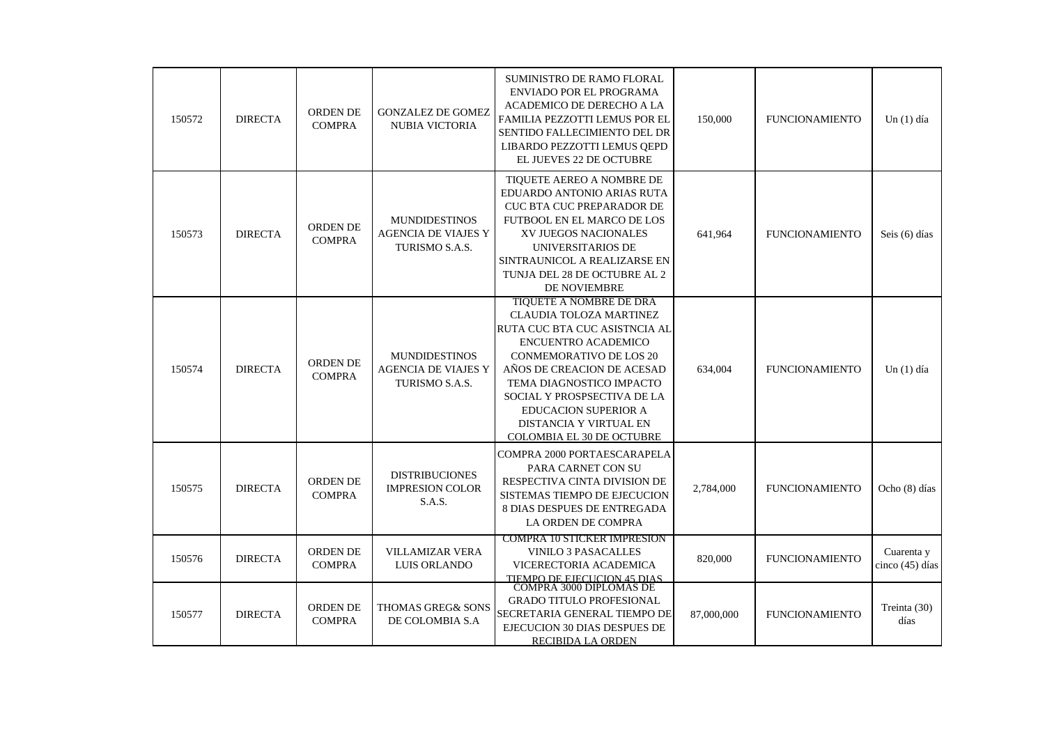| 150572 | <b>DIRECTA</b> | <b>ORDEN DE</b><br><b>COMPRA</b> | <b>GONZALEZ DE GOMEZ</b><br>NUBIA VICTORIA                                  | SUMINISTRO DE RAMO FLORAL<br>ENVIADO POR EL PROGRAMA<br>ACADEMICO DE DERECHO A LA<br>FAMILIA PEZZOTTI LEMUS POR EL<br>SENTIDO FALLECIMIENTO DEL DR<br>LIBARDO PEZZOTTI LEMUS QEPD<br>EL JUEVES 22 DE OCTUBRE                                                                                                                       | 150,000    | <b>FUNCIONAMIENTO</b> | Un $(1)$ día                  |
|--------|----------------|----------------------------------|-----------------------------------------------------------------------------|------------------------------------------------------------------------------------------------------------------------------------------------------------------------------------------------------------------------------------------------------------------------------------------------------------------------------------|------------|-----------------------|-------------------------------|
| 150573 | <b>DIRECTA</b> | <b>ORDEN DE</b><br><b>COMPRA</b> | <b>MUNDIDESTINOS</b><br><b>AGENCIA DE VIAJES Y</b><br>TURISMO S.A.S.        | TIOUETE AEREO A NOMBRE DE<br>EDUARDO ANTONIO ARIAS RUTA<br>CUC BTA CUC PREPARADOR DE<br>FUTBOOL EN EL MARCO DE LOS<br>XV JUEGOS NACIONALES<br>UNIVERSITARIOS DE<br>SINTRAUNICOL A REALIZARSE EN<br>TUNJA DEL 28 DE OCTUBRE AL 2<br>DE NOVIEMBRE                                                                                    | 641,964    | <b>FUNCIONAMIENTO</b> | Seis (6) días                 |
| 150574 | <b>DIRECTA</b> | <b>ORDEN DE</b><br><b>COMPRA</b> | <b>MUNDIDESTINOS</b><br><b>AGENCIA DE VIAJES Y</b><br><b>TURISMO S.A.S.</b> | TIQUETE A NOMBRE DE DRA<br>CLAUDIA TOLOZA MARTINEZ<br>RUTA CUC BTA CUC ASISTNCIA AL<br>ENCUENTRO ACADEMICO<br><b>CONMEMORATIVO DE LOS 20</b><br>AÑOS DE CREACION DE ACESAD<br>TEMA DIAGNOSTICO IMPACTO<br>SOCIAL Y PROSPSECTIVA DE LA<br><b>EDUCACION SUPERIOR A</b><br>DISTANCIA Y VIRTUAL EN<br><b>COLOMBIA EL 30 DE OCTUBRE</b> | 634,004    | <b>FUNCIONAMIENTO</b> | Un $(1)$ día                  |
| 150575 | <b>DIRECTA</b> | <b>ORDEN DE</b><br><b>COMPRA</b> | <b>DISTRIBUCIONES</b><br><b>IMPRESION COLOR</b><br>S.A.S.                   | COMPRA 2000 PORTAESCARAPELA<br>PARA CARNET CON SU<br>RESPECTIVA CINTA DIVISION DE<br>SISTEMAS TIEMPO DE EJECUCION<br><b>8 DIAS DESPUES DE ENTREGADA</b><br>LA ORDEN DE COMPRA                                                                                                                                                      | 2,784,000  | <b>FUNCIONAMIENTO</b> | Ocho (8) días                 |
| 150576 | <b>DIRECTA</b> | <b>ORDEN DE</b><br><b>COMPRA</b> | <b>VILLAMIZAR VERA</b><br>LUIS ORLANDO                                      | <b>COMPRA 10 STICKER IMPRESION</b><br><b>VINILO 3 PASACALLES</b><br>VICERECTORIA ACADEMICA<br>TIEMPO DE EJECUCIÓN 45 DIAS.<br>COMPRA 3000 DIPLOMAS DE                                                                                                                                                                              | 820,000    | <b>FUNCIONAMIENTO</b> | Cuarenta y<br>cinco (45) días |
| 150577 | <b>DIRECTA</b> | <b>ORDEN DE</b><br><b>COMPRA</b> | <b>THOMAS GREG&amp; SONS</b><br>DE COLOMBIA S.A                             | <b>GRADO TITULO PROFESIONAL</b><br>SECRETARIA GENERAL TIEMPO DE<br>EJECUCION 30 DIAS DESPUES DE<br>RECIBIDA LA ORDEN                                                                                                                                                                                                               | 87,000,000 | <b>FUNCIONAMIENTO</b> | Treinta (30)<br>días          |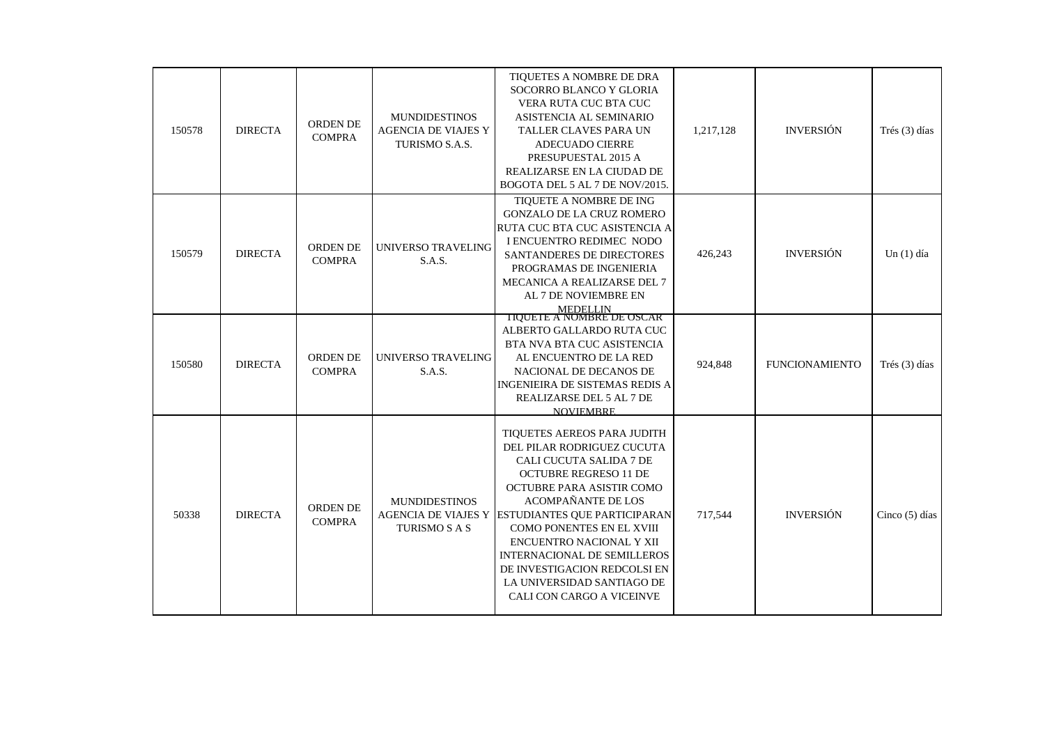| 150578 | <b>DIRECTA</b> | ORDEN DE<br><b>COMPRA</b>        | <b>MUNDIDESTINOS</b><br><b>AGENCIA DE VIAJES Y</b><br>TURISMO S.A.S. | TIQUETES A NOMBRE DE DRA<br>SOCORRO BLANCO Y GLORIA<br>VERA RUTA CUC BTA CUC<br>ASISTENCIA AL SEMINARIO<br>TALLER CLAVES PARA UN<br><b>ADECUADO CIERRE</b><br>PRESUPUESTAL 2015 A<br>REALIZARSE EN LA CIUDAD DE<br>BOGOTA DEL 5 AL 7 DE NOV/2015.                                                                                                                                                                            | 1,217,128 | <b>INVERSIÓN</b>      | Trés (3) días    |
|--------|----------------|----------------------------------|----------------------------------------------------------------------|------------------------------------------------------------------------------------------------------------------------------------------------------------------------------------------------------------------------------------------------------------------------------------------------------------------------------------------------------------------------------------------------------------------------------|-----------|-----------------------|------------------|
| 150579 | <b>DIRECTA</b> | <b>ORDEN DE</b><br><b>COMPRA</b> | UNIVERSO TRAVELING<br>S.A.S.                                         | TIQUETE A NOMBRE DE ING<br><b>GONZALO DE LA CRUZ ROMERO</b><br>RUTA CUC BTA CUC ASISTENCIA A<br>I ENCUENTRO REDIMEC NODO<br>SANTANDERES DE DIRECTORES<br>PROGRAMAS DE INGENIERIA<br>MECANICA A REALIZARSE DEL 7<br>AL 7 DE NOVIEMBRE EN<br>MEDELLIN<br>TIQUETE A NOMBRE DE OSCAR                                                                                                                                             | 426,243   | <b>INVERSIÓN</b>      | Un $(1)$ día     |
| 150580 | <b>DIRECTA</b> | <b>ORDEN DE</b><br><b>COMPRA</b> | UNIVERSO TRAVELING<br>S.A.S.                                         | ALBERTO GALLARDO RUTA CUC<br>BTA NVA BTA CUC ASISTENCIA<br>AL ENCUENTRO DE LA RED<br>NACIONAL DE DECANOS DE<br><b>INGENIEIRA DE SISTEMAS REDIS A</b><br>REALIZARSE DEL 5 AL 7 DE<br><b>NOVIEMBRE</b>                                                                                                                                                                                                                         | 924,848   | <b>FUNCIONAMIENTO</b> | Trés (3) días    |
| 50338  | <b>DIRECTA</b> | <b>ORDEN DE</b><br><b>COMPRA</b> | <b>MUNDIDESTINOS</b><br><b>TURISMO S A S</b>                         | TIQUETES AEREOS PARA JUDITH<br>DEL PILAR RODRIGUEZ CUCUTA<br>CALI CUCUTA SALIDA 7 DE<br><b>OCTUBRE REGRESO 11 DE</b><br>OCTUBRE PARA ASISTIR COMO<br><b>ACOMPAÑANTE DE LOS</b><br>AGENCIA DE VIAJES Y ESTUDIANTES QUE PARTICIPARAN<br>COMO PONENTES EN EL XVIII<br>ENCUENTRO NACIONAL Y XII<br><b>INTERNACIONAL DE SEMILLEROS</b><br>DE INVESTIGACION REDCOLSI EN<br>LA UNIVERSIDAD SANTIAGO DE<br>CALI CON CARGO A VICEINVE | 717,544   | <b>INVERSIÓN</b>      | Cinco $(5)$ días |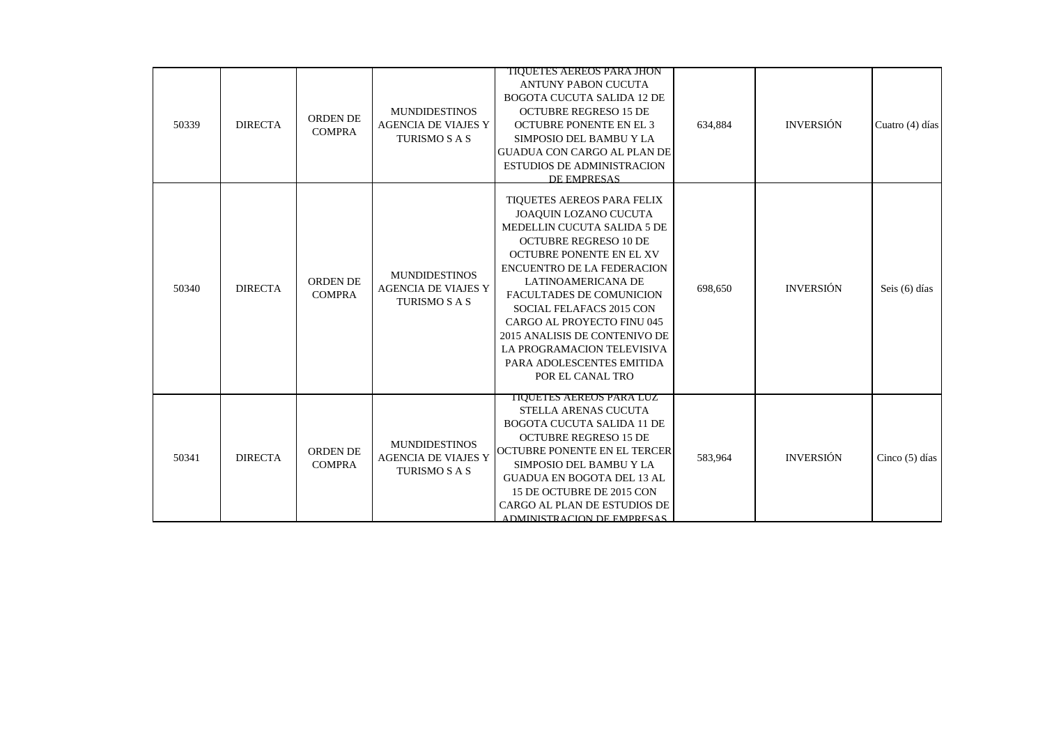| 50339 | <b>DIRECTA</b> | ORDEN DE<br><b>COMPRA</b>        | <b>MUNDIDESTINOS</b><br><b>AGENCIA DE VIAJES Y</b><br>TURISMO S A S        | TIQUETES AEREOS PARA JHON<br><b>ANTUNY PABON CUCUTA</b><br><b>BOGOTA CUCUTA SALIDA 12 DE</b><br><b>OCTUBRE REGRESO 15 DE</b><br><b>OCTUBRE PONENTE EN EL 3</b><br>SIMPOSIO DEL BAMBU Y LA<br>GUADUA CON CARGO AL PLAN DE<br><b>ESTUDIOS DE ADMINISTRACION</b><br>DE EMPRESAS                                                                                                                                    | 634,884 | <b>INVERSIÓN</b> | Cuatro (4) días  |
|-------|----------------|----------------------------------|----------------------------------------------------------------------------|-----------------------------------------------------------------------------------------------------------------------------------------------------------------------------------------------------------------------------------------------------------------------------------------------------------------------------------------------------------------------------------------------------------------|---------|------------------|------------------|
| 50340 | <b>DIRECTA</b> | <b>ORDEN DE</b><br><b>COMPRA</b> | <b>MUNDIDESTINOS</b><br><b>AGENCIA DE VIAJES Y</b><br>TURISMO S A S        | TIOUETES AEREOS PARA FELIX<br>JOAQUIN LOZANO CUCUTA<br>MEDELLIN CUCUTA SALIDA 5 DE<br><b>OCTUBRE REGRESO 10 DE</b><br>OCTUBRE PONENTE EN EL XV<br><b>ENCUENTRO DE LA FEDERACION</b><br>LATINOAMERICANA DE<br>FACULTADES DE COMUNICION<br>SOCIAL FELAFACS 2015 CON<br>CARGO AL PROYECTO FINU 045<br>2015 ANALISIS DE CONTENIVO DE<br>LA PROGRAMACION TELEVISIVA<br>PARA ADOLESCENTES EMITIDA<br>POR EL CANAL TRO | 698,650 | <b>INVERSIÓN</b> | Seis (6) días    |
| 50341 | <b>DIRECTA</b> | <b>ORDEN DE</b><br><b>COMPRA</b> | <b>MUNDIDESTINOS</b><br><b>AGENCIA DE VIAJES Y</b><br><b>TURISMO S A S</b> | TIQUETES AEREOS PARA LUZ<br>STELLA ARENAS CUCUTA<br><b>BOGOTA CUCUTA SALIDA 11 DE</b><br><b>OCTUBRE REGRESO 15 DE</b><br>OCTUBRE PONENTE EN EL TERCER<br>SIMPOSIO DEL BAMBU Y LA<br><b>GUADUA EN BOGOTA DEL 13 AL</b><br>15 DE OCTUBRE DE 2015 CON<br>CARGO AL PLAN DE ESTUDIOS DE<br>ADMINISTRACION DE EMPRESAS                                                                                                | 583,964 | <b>INVERSIÓN</b> | Cinco $(5)$ días |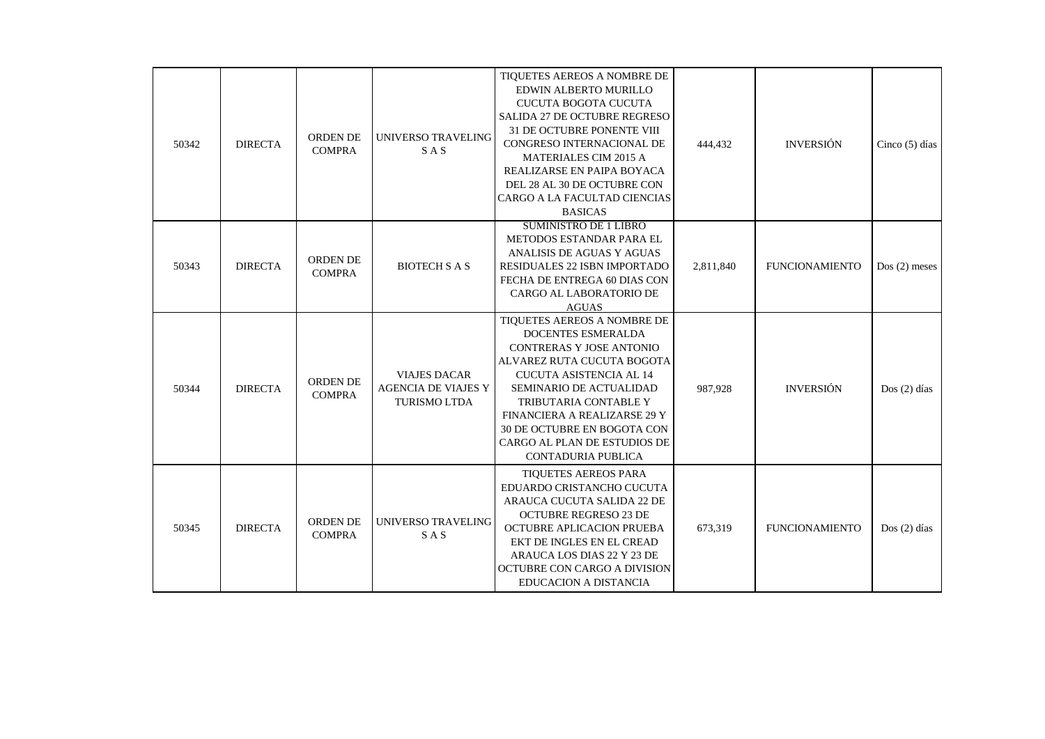| 50342 | <b>DIRECTA</b> | <b>ORDEN DE</b><br><b>COMPRA</b> | UNIVERSO TRAVELING<br><b>SAS</b>                                         | TIQUETES AEREOS A NOMBRE DE<br>EDWIN ALBERTO MURILLO<br><b>CUCUTA BOGOTA CUCUTA</b><br>SALIDA 27 DE OCTUBRE REGRESO<br><b>31 DE OCTUBRE PONENTE VIII</b><br>CONGRESO INTERNACIONAL DE<br><b>MATERIALES CIM 2015 A</b><br>REALIZARSE EN PAIPA BOYACA<br>DEL 28 AL 30 DE OCTUBRE CON<br>CARGO A LA FACULTAD CIENCIAS<br><b>BASICAS</b> | 444,432   | <b>INVERSIÓN</b>      | Cinco $(5)$ días |
|-------|----------------|----------------------------------|--------------------------------------------------------------------------|--------------------------------------------------------------------------------------------------------------------------------------------------------------------------------------------------------------------------------------------------------------------------------------------------------------------------------------|-----------|-----------------------|------------------|
| 50343 | <b>DIRECTA</b> | ORDEN DE<br><b>COMPRA</b>        | <b>BIOTECH S A S</b>                                                     | <b>SUMINISTRO DE 1 LIBRO</b><br>METODOS ESTANDAR PARA EL<br>ANALISIS DE AGUAS Y AGUAS<br>RESIDUALES 22 ISBN IMPORTADO<br>FECHA DE ENTREGA 60 DIAS CON<br>CARGO AL LABORATORIO DE<br><b>AGUAS</b>                                                                                                                                     | 2,811,840 | <b>FUNCIONAMIENTO</b> | $Dos(2)$ meses   |
| 50344 | <b>DIRECTA</b> | ORDEN DE<br><b>COMPRA</b>        | <b>VIAJES DACAR</b><br><b>AGENCIA DE VIAJES Y</b><br><b>TURISMO LTDA</b> | TIQUETES AEREOS A NOMBRE DE<br>DOCENTES ESMERALDA<br><b>CONTRERAS Y JOSE ANTONIO</b><br>ALVAREZ RUTA CUCUTA BOGOTA<br><b>CUCUTA ASISTENCIA AL 14</b><br>SEMINARIO DE ACTUALIDAD<br>TRIBUTARIA CONTABLE Y<br>FINANCIERA A REALIZARSE 29 Y<br>30 DE OCTUBRE EN BOGOTA CON<br>CARGO AL PLAN DE ESTUDIOS DE<br><b>CONTADURIA PUBLICA</b> | 987,928   | <b>INVERSIÓN</b>      | $Dos(2)$ días    |
| 50345 | <b>DIRECTA</b> | <b>ORDEN DE</b><br><b>COMPRA</b> | UNIVERSO TRAVELING<br><b>SAS</b>                                         | <b>TIQUETES AEREOS PARA</b><br>EDUARDO CRISTANCHO CUCUTA<br>ARAUCA CUCUTA SALIDA 22 DE<br><b>OCTUBRE REGRESO 23 DE</b><br>OCTUBRE APLICACION PRUEBA<br>EKT DE INGLES EN EL CREAD<br>ARAUCA LOS DIAS 22 Y 23 DE<br>OCTUBRE CON CARGO A DIVISION<br>EDUCACION A DISTANCIA                                                              | 673,319   | <b>FUNCIONAMIENTO</b> | $Dos(2)$ días    |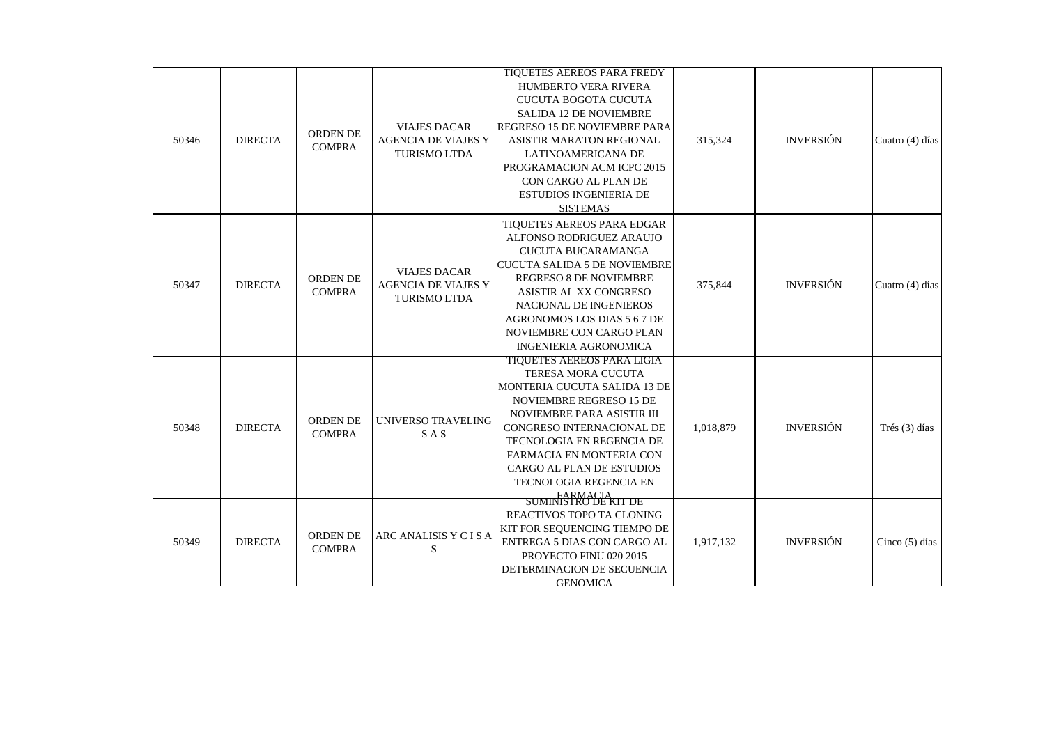| 50346 | <b>DIRECTA</b> | ORDEN DE<br><b>COMPRA</b>        | <b>VIAJES DACAR</b><br><b>AGENCIA DE VIAJES Y</b><br><b>TURISMO LTDA</b> | <b>TIQUETES AEREOS PARA FREDY</b><br>HUMBERTO VERA RIVERA<br><b>CUCUTA BOGOTA CUCUTA</b><br><b>SALIDA 12 DE NOVIEMBRE</b><br>REGRESO 15 DE NOVIEMBRE PARA<br><b>ASISTIR MARATON REGIONAL</b><br>LATINOAMERICANA DE<br>PROGRAMACION ACM ICPC 2015<br>CON CARGO AL PLAN DE<br><b>ESTUDIOS INGENIERIA DE</b><br><b>SISTEMAS</b> | 315,324   | <b>INVERSIÓN</b> | Cuatro (4) días  |
|-------|----------------|----------------------------------|--------------------------------------------------------------------------|------------------------------------------------------------------------------------------------------------------------------------------------------------------------------------------------------------------------------------------------------------------------------------------------------------------------------|-----------|------------------|------------------|
| 50347 | <b>DIRECTA</b> | ORDEN DE<br><b>COMPRA</b>        | <b>VIAJES DACAR</b><br><b>AGENCIA DE VIAJES Y</b><br><b>TURISMO LTDA</b> | TIQUETES AEREOS PARA EDGAR<br>ALFONSO RODRIGUEZ ARAUJO<br><b>CUCUTA BUCARAMANGA</b><br><b>CUCUTA SALIDA 5 DE NOVIEMBRE</b><br><b>REGRESO 8 DE NOVIEMBRE</b><br>ASISTIR AL XX CONGRESO<br>NACIONAL DE INGENIEROS<br>AGRONOMOS LOS DIAS 5 6 7 DE<br>NOVIEMBRE CON CARGO PLAN<br><b>INGENIERIA AGRONOMICA</b>                   | 375,844   | <b>INVERSIÓN</b> | Cuatro (4) días  |
| 50348 | <b>DIRECTA</b> | ORDEN DE<br><b>COMPRA</b>        | UNIVERSO TRAVELING<br><b>SAS</b>                                         | TIQUETES AEREOS PARA LIGIA<br>TERESA MORA CUCUTA<br>MONTERIA CUCUTA SALIDA 13 DE<br>NOVIEMBRE REGRESO 15 DE<br>NOVIEMBRE PARA ASISTIR III<br>CONGRESO INTERNACIONAL DE<br>TECNOLOGIA EN REGENCIA DE<br>FARMACIA EN MONTERIA CON<br>CARGO AL PLAN DE ESTUDIOS<br>TECNOLOGIA REGENCIA EN                                       | 1,018,879 | <b>INVERSIÓN</b> | Trés (3) días    |
| 50349 | <b>DIRECTA</b> | <b>ORDEN DE</b><br><b>COMPRA</b> | ARC ANALISIS Y C I S A<br>S                                              | FARMACIA<br>SUMINISTRO DE KIT DE<br>REACTIVOS TOPO TA CLONING<br>KIT FOR SEQUENCING TIEMPO DE<br>ENTREGA 5 DIAS CON CARGO AL<br>PROYECTO FINU 020 2015<br>DETERMINACION DE SECUENCIA<br><b>GENOMICA</b>                                                                                                                      | 1,917,132 | <b>INVERSIÓN</b> | Cinco $(5)$ días |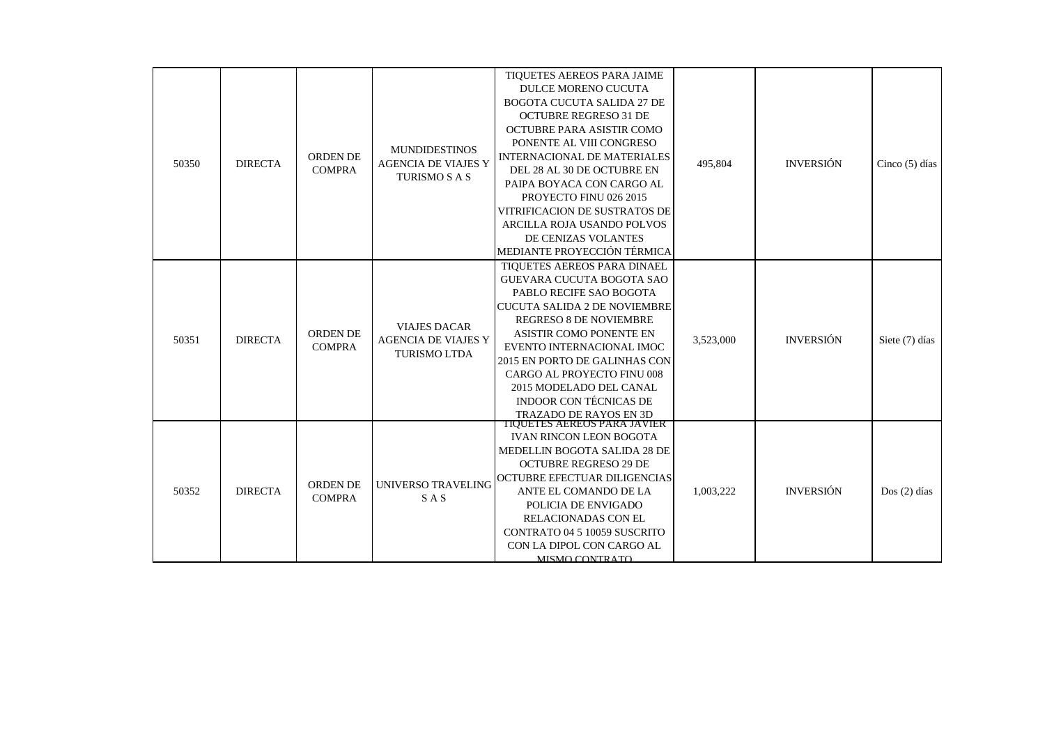| 50350 | <b>DIRECTA</b> | <b>ORDEN DE</b><br><b>COMPRA</b> | <b>MUNDIDESTINOS</b>                                                     | TIQUETES AEREOS PARA JAIME<br><b>DULCE MORENO CUCUTA</b><br><b>BOGOTA CUCUTA SALIDA 27 DE</b><br><b>OCTUBRE REGRESO 31 DE</b><br>OCTUBRE PARA ASISTIR COMO<br>PONENTE AL VIII CONGRESO                                                                                                                                                                                                 | 495,804   | <b>INVERSIÓN</b> | Cinco $(5)$ días |
|-------|----------------|----------------------------------|--------------------------------------------------------------------------|----------------------------------------------------------------------------------------------------------------------------------------------------------------------------------------------------------------------------------------------------------------------------------------------------------------------------------------------------------------------------------------|-----------|------------------|------------------|
|       |                |                                  | <b>AGENCIA DE VIAJES Y</b><br><b>TURISMO S A S</b>                       | <b>INTERNACIONAL DE MATERIALES</b><br>DEL 28 AL 30 DE OCTUBRE EN<br>PAIPA BOYACA CON CARGO AL<br>PROYECTO FINU 026 2015<br>VITRIFICACION DE SUSTRATOS DE<br>ARCILLA ROJA USANDO POLVOS<br>DE CENIZAS VOLANTES<br>MEDIANTE PROYECCIÓN TÉRMICA                                                                                                                                           |           |                  |                  |
| 50351 | <b>DIRECTA</b> | <b>ORDEN DE</b><br><b>COMPRA</b> | <b>VIAJES DACAR</b><br><b>AGENCIA DE VIAJES Y</b><br><b>TURISMO LTDA</b> | TIQUETES AEREOS PARA DINAEL<br><b>GUEVARA CUCUTA BOGOTA SAO</b><br>PABLO RECIFE SAO BOGOTA<br><b>CUCUTA SALIDA 2 DE NOVIEMBRE</b><br><b>REGRESO 8 DE NOVIEMBRE</b><br><b>ASISTIR COMO PONENTE EN</b><br>EVENTO INTERNACIONAL IMOC<br>2015 EN PORTO DE GALINHAS CON<br>CARGO AL PROYECTO FINU 008<br>2015 MODELADO DEL CANAL<br><b>INDOOR CON TÉCNICAS DE</b><br>TRAZADO DE RAYOS EN 3D | 3,523,000 | <b>INVERSIÓN</b> | Siete (7) días   |
| 50352 | <b>DIRECTA</b> | <b>ORDEN DE</b><br><b>COMPRA</b> | UNIVERSO TRAVELING<br><b>SAS</b>                                         | TIQUETES AEREOS PARA JAVIER<br><b>IVAN RINCON LEON BOGOTA</b><br>MEDELLIN BOGOTA SALIDA 28 DE<br><b>OCTUBRE REGRESO 29 DE</b><br>OCTUBRE EFECTUAR DILIGENCIAS<br>ANTE EL COMANDO DE LA<br>POLICIA DE ENVIGADO<br>RELACIONADAS CON EL<br>CONTRATO 04 5 10059 SUSCRITO<br>CON LA DIPOL CON CARGO AL<br>MISMO CONTRATO                                                                    | 1,003,222 | <b>INVERSIÓN</b> | $Dos(2)$ días    |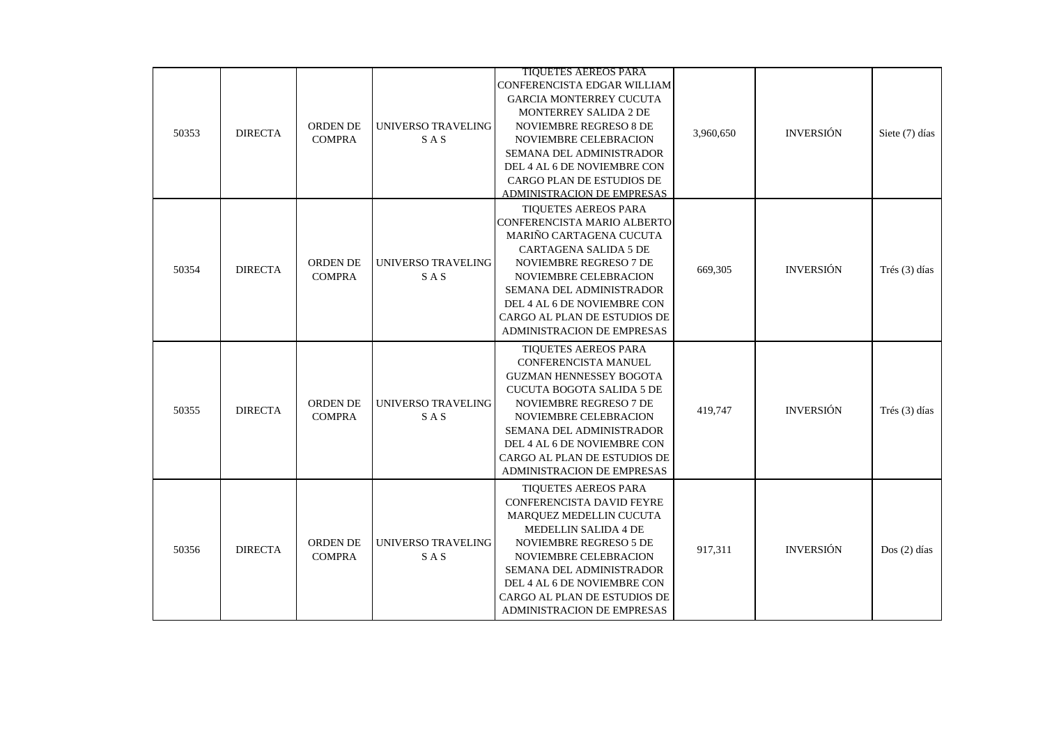| 50353 | <b>DIRECTA</b> | ORDEN DE<br><b>COMPRA</b>        | <b>UNIVERSO TRAVELING</b><br><b>SAS</b> | <b>TIQUETES AEREOS PARA</b><br>CONFERENCISTA EDGAR WILLIAM<br>GARCIA MONTERREY CUCUTA<br>MONTERREY SALIDA 2 DE<br>NOVIEMBRE REGRESO 8 DE<br>NOVIEMBRE CELEBRACION<br>SEMANA DEL ADMINISTRADOR<br>DEL 4 AL 6 DE NOVIEMBRE CON<br>CARGO PLAN DE ESTUDIOS DE<br><b>ADMINISTRACION DE EMPRESAS</b>           | 3,960,650 | <b>INVERSIÓN</b> | Siete (7) días |
|-------|----------------|----------------------------------|-----------------------------------------|----------------------------------------------------------------------------------------------------------------------------------------------------------------------------------------------------------------------------------------------------------------------------------------------------------|-----------|------------------|----------------|
| 50354 | <b>DIRECTA</b> | ORDEN DE<br><b>COMPRA</b>        | UNIVERSO TRAVELING<br><b>SAS</b>        | <b>TIOUETES AEREOS PARA</b><br>CONFERENCISTA MARIO ALBERTO<br>MARIÑO CARTAGENA CUCUTA<br><b>CARTAGENA SALIDA 5 DE</b><br>NOVIEMBRE REGRESO 7 DE<br>NOVIEMBRE CELEBRACION<br><b>SEMANA DEL ADMINISTRADOR</b><br>DEL 4 AL 6 DE NOVIEMBRE CON<br>CARGO AL PLAN DE ESTUDIOS DE<br>ADMINISTRACION DE EMPRESAS | 669,305   | <b>INVERSIÓN</b> | Trés (3) días  |
| 50355 | <b>DIRECTA</b> | <b>ORDEN DE</b><br><b>COMPRA</b> | UNIVERSO TRAVELING<br>SAS               | TIQUETES AEREOS PARA<br>CONFERENCISTA MANUEL<br><b>GUZMAN HENNESSEY BOGOTA</b><br>CUCUTA BOGOTA SALIDA 5 DE<br><b>NOVIEMBRE REGRESO 7 DE</b><br>NOVIEMBRE CELEBRACION<br>SEMANA DEL ADMINISTRADOR<br>DEL 4 AL 6 DE NOVIEMBRE CON<br>CARGO AL PLAN DE ESTUDIOS DE<br>ADMINISTRACION DE EMPRESAS           | 419,747   | <b>INVERSIÓN</b> | Trés (3) días  |
| 50356 | <b>DIRECTA</b> | <b>ORDEN DE</b><br><b>COMPRA</b> | UNIVERSO TRAVELING<br><b>SAS</b>        | <b>TIQUETES AEREOS PARA</b><br>CONFERENCISTA DAVID FEYRE<br>MAROUEZ MEDELLIN CUCUTA<br><b>MEDELLIN SALIDA 4 DE</b><br><b>NOVIEMBRE REGRESO 5 DE</b><br>NOVIEMBRE CELEBRACION<br>SEMANA DEL ADMINISTRADOR<br>DEL 4 AL 6 DE NOVIEMBRE CON<br>CARGO AL PLAN DE ESTUDIOS DE<br>ADMINISTRACION DE EMPRESAS    | 917,311   | <b>INVERSIÓN</b> | $Dos(2)$ días  |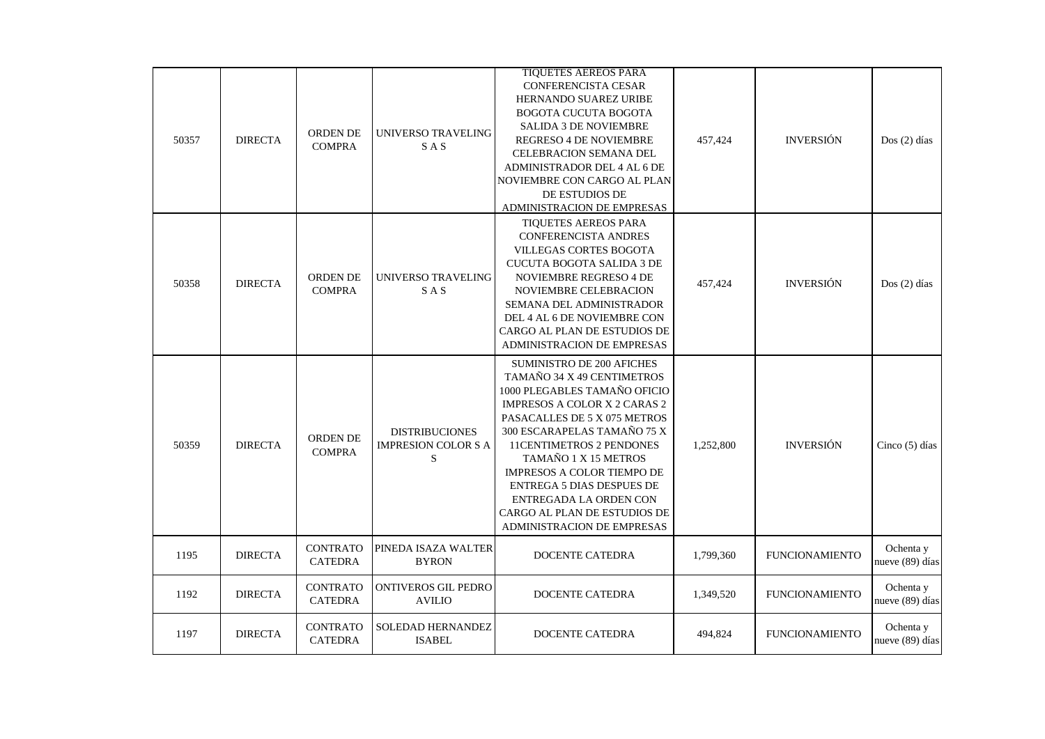| 50357 | <b>DIRECTA</b> | ORDEN DE<br><b>COMPRA</b>         | UNIVERSO TRAVELING<br>SAS                         | <b>TIQUETES AEREOS PARA</b><br>CONFERENCISTA CESAR<br>HERNANDO SUAREZ URIBE<br><b>BOGOTA CUCUTA BOGOTA</b><br><b>SALIDA 3 DE NOVIEMBRE</b><br><b>REGRESO 4 DE NOVIEMBRE</b><br><b>CELEBRACION SEMANA DEL</b><br>ADMINISTRADOR DEL 4 AL 6 DE<br>NOVIEMBRE CON CARGO AL PLAN<br>DE ESTUDIOS DE<br><b>ADMINISTRACION DE EMPRESAS</b>                                                                                         | 457,424   | <b>INVERSIÓN</b>      | $Dos(2)$ días                |
|-------|----------------|-----------------------------------|---------------------------------------------------|---------------------------------------------------------------------------------------------------------------------------------------------------------------------------------------------------------------------------------------------------------------------------------------------------------------------------------------------------------------------------------------------------------------------------|-----------|-----------------------|------------------------------|
| 50358 | <b>DIRECTA</b> | <b>ORDEN DE</b><br><b>COMPRA</b>  | UNIVERSO TRAVELING<br><b>SAS</b>                  | TIQUETES AEREOS PARA<br><b>CONFERENCISTA ANDRES</b><br><b>VILLEGAS CORTES BOGOTA</b><br><b>CUCUTA BOGOTA SALIDA 3 DE</b><br>NOVIEMBRE REGRESO 4 DE<br>NOVIEMBRE CELEBRACION<br>SEMANA DEL ADMINISTRADOR<br>DEL 4 AL 6 DE NOVIEMBRE CON<br>CARGO AL PLAN DE ESTUDIOS DE<br>ADMINISTRACION DE EMPRESAS                                                                                                                      | 457,424   | <b>INVERSIÓN</b>      | $Dos(2)$ días                |
| 50359 | <b>DIRECTA</b> | <b>ORDEN DE</b><br><b>COMPRA</b>  | <b>DISTRIBUCIONES</b><br>IMPRESION COLOR S A<br>S | <b>SUMINISTRO DE 200 AFICHES</b><br>TAMAÑO 34 X 49 CENTIMETROS<br>1000 PLEGABLES TAMAÑO OFICIO<br><b>IMPRESOS A COLOR X 2 CARAS 2</b><br>PASACALLES DE 5 X 075 METROS<br>300 ESCARAPELAS TAMAÑO 75 X<br><b>11CENTIMETROS 2 PENDONES</b><br>TAMAÑO 1 X 15 METROS<br>IMPRESOS A COLOR TIEMPO DE<br><b>ENTREGA 5 DIAS DESPUES DE</b><br>ENTREGADA LA ORDEN CON<br>CARGO AL PLAN DE ESTUDIOS DE<br>ADMINISTRACION DE EMPRESAS | 1,252,800 | <b>INVERSIÓN</b>      | Cinco (5) días               |
| 1195  | <b>DIRECTA</b> | <b>CONTRATO</b><br><b>CATEDRA</b> | PINEDA ISAZA WALTER<br><b>BYRON</b>               | DOCENTE CATEDRA                                                                                                                                                                                                                                                                                                                                                                                                           | 1,799,360 | <b>FUNCIONAMIENTO</b> | Ochenta y<br>nueve (89) días |
| 1192  | <b>DIRECTA</b> | <b>CONTRATO</b><br><b>CATEDRA</b> | <b>ONTIVEROS GIL PEDRO</b><br><b>AVILIO</b>       | <b>DOCENTE CATEDRA</b>                                                                                                                                                                                                                                                                                                                                                                                                    | 1,349,520 | <b>FUNCIONAMIENTO</b> | Ochenta y<br>nueve (89) días |
| 1197  | <b>DIRECTA</b> | <b>CONTRATO</b><br>CATEDRA        | SOLEDAD HERNANDEZ<br><b>ISABEL</b>                | DOCENTE CATEDRA                                                                                                                                                                                                                                                                                                                                                                                                           | 494,824   | <b>FUNCIONAMIENTO</b> | Ochenta y<br>nueve (89) días |